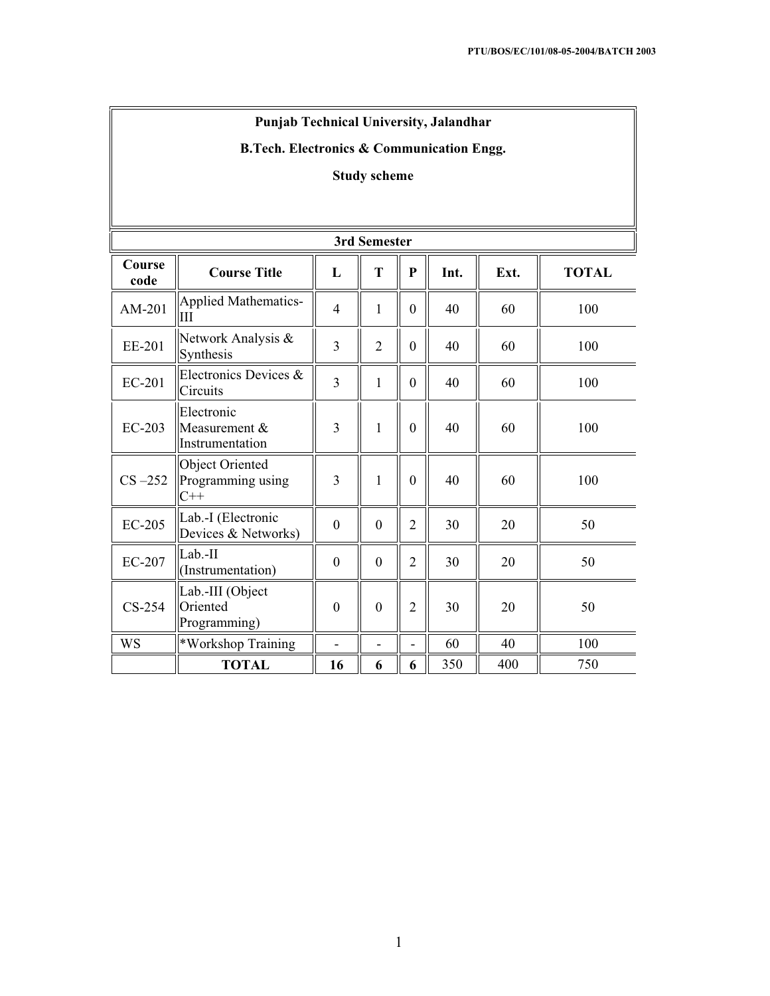# **Punjab Technical University, Jalandhar**

# **B.Tech. Electronics & Communication Engg.**

# **Study scheme**

| 3rd Semester   |                                                  |                  |                |                |      |      |              |
|----------------|--------------------------------------------------|------------------|----------------|----------------|------|------|--------------|
| Course<br>code | <b>Course Title</b>                              | L                | T              | $\mathbf{P}$   | Int. | Ext. | <b>TOTAL</b> |
| AM-201         | Applied Mathematics-<br>Ш                        | $\overline{4}$   | $\mathbf{1}$   | $\overline{0}$ | 40   | 60   | 100          |
| EE-201         | Network Analysis &<br>Synthesis                  | 3                | $\overline{2}$ | $\overline{0}$ | 40   | 60   | 100          |
| <b>EC-201</b>  | Electronics Devices &<br>Circuits                | $\overline{3}$   | $\mathbf{1}$   | $\mathbf{0}$   | 40   | 60   | 100          |
| EC-203         | Electronic<br>Measurement $&$<br>Instrumentation | 3                | $\mathbf{1}$   | $\mathbf{0}$   | 40   | 60   | 100          |
| $CS -252$      | Object Oriented<br>Programming using<br>$C++$    | 3                | $\mathbf{1}$   | $\overline{0}$ | 40   | 60   | 100          |
| $EC-205$       | Lab.-I (Electronic<br>Devices & Networks)        | $\boldsymbol{0}$ | $\overline{0}$ | $\overline{2}$ | 30   | 20   | 50           |
| <b>EC-207</b>  | Lab.II<br>(Instrumentation)                      | $\mathbf{0}$     | $\overline{0}$ | $\overline{2}$ | 30   | 20   | 50           |
| $CS-254$       | Lab.-III (Object<br>Oriented<br>Programming)     | $\mathbf{0}$     | $\theta$       | $\overline{2}$ | 30   | 20   | 50           |
| WS             | *Workshop Training                               |                  | $\overline{a}$ |                | 60   | 40   | 100          |
|                | <b>TOTAL</b>                                     | 16               | 6              | 6              | 350  | 400  | 750          |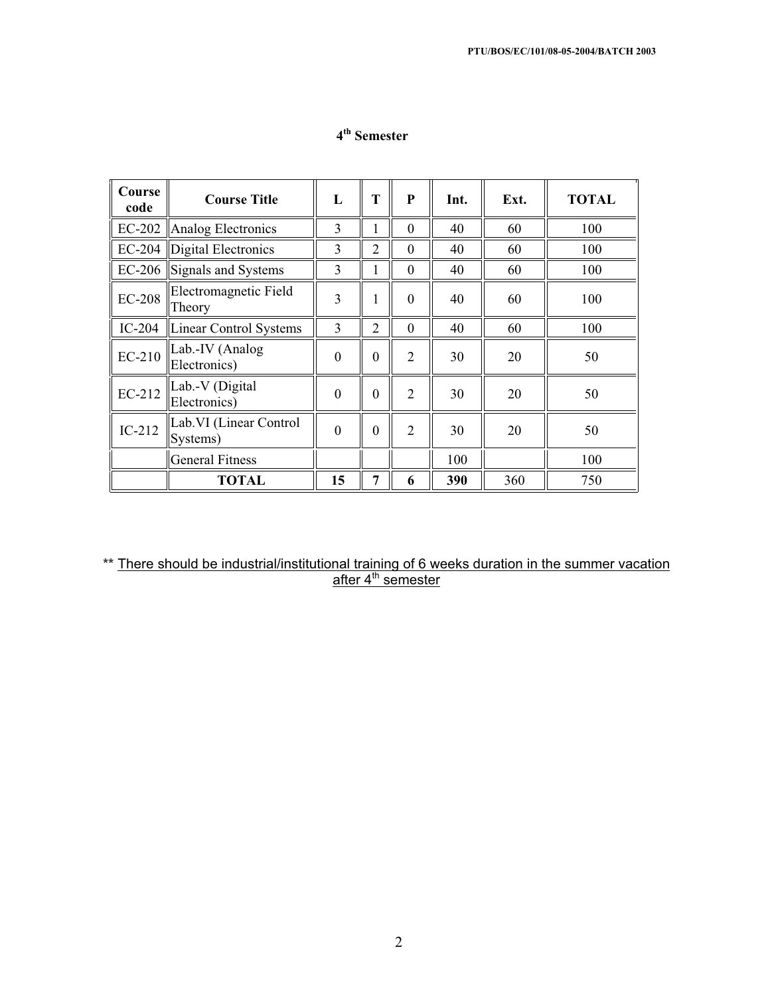| Course<br>code | <b>Course Title</b>                 | L            | T              | P              | Int. | Ext. | <b>TOTAL</b> |
|----------------|-------------------------------------|--------------|----------------|----------------|------|------|--------------|
|                | EC-202   Analog Electronics         | 3            |                | $\theta$       | 40   | 60   | 100          |
| EC-204         | Digital Electronics                 | 3            | 2              | $\theta$       | 40   | 60   | 100          |
| EC-206         | Signals and Systems                 | 3            | 1              | $\Omega$       | 40   | 60   | 100          |
| <b>EC-208</b>  | Electromagnetic Field<br>Theory     | 3            |                | $\theta$       | 40   | 60   | 100          |
| $IC-204$       | Linear Control Systems              | 3            | $\overline{2}$ | $\Omega$       | 40   | 60   | 100          |
| EC-210         | Lab.-IV (Analog<br>Electronics)     | $\mathbf{0}$ | $\Omega$       | $\overline{2}$ | 30   | 20   | 50           |
| EC-212         | Lab.-V (Digital<br>Electronics)     | $\theta$     | $\theta$       | $\mathfrak{D}$ | 30   | 20   | 50           |
| $IC-212$       | Lab. VI (Linear Control<br>Systems) | $\theta$     | $\theta$       | $\overline{2}$ | 30   | 20   | 50           |
|                | <b>General Fitness</b>              |              |                |                | 100  |      | 100          |
|                | <b>TOTAL</b>                        | 15           | 7              | 6              | 390  | 360  | 750          |

# **4th Semester**

**\*\*** There should be industrial/institutional training of 6 weeks duration in the summer vacation <u>after 4<sup>th</sup> semester</u>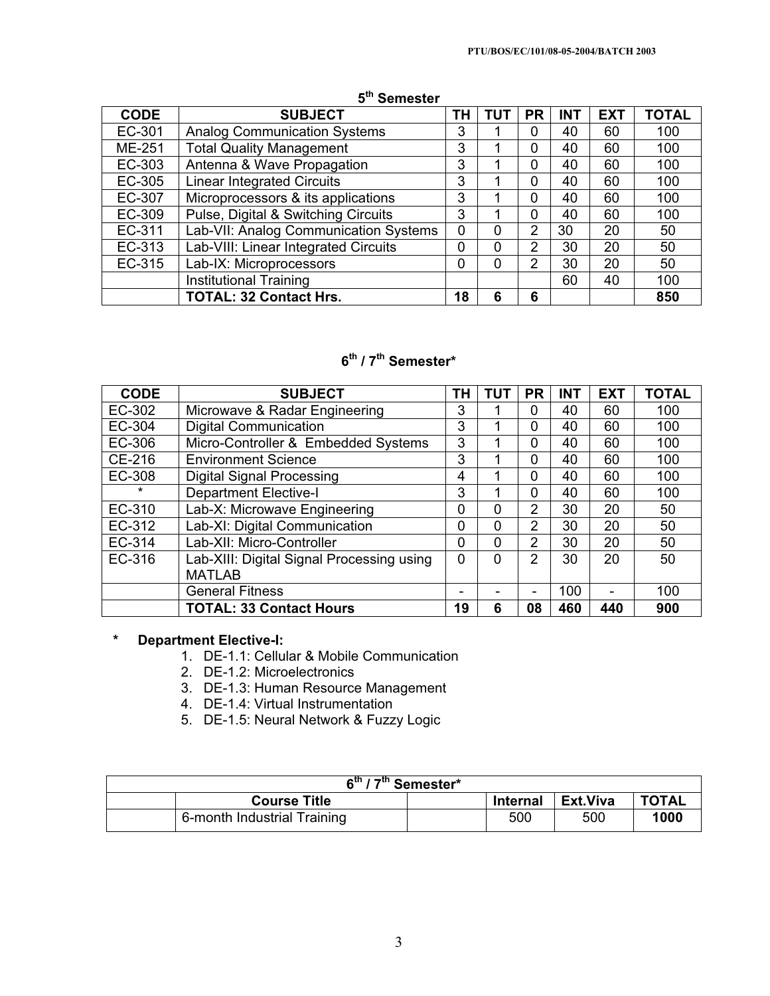| <b>CODE</b> | <b>SUBJECT</b>                        | ΤН | TUT | <b>PR</b>      | <b>INT</b> | <b>EXT</b> | <b>TOTAL</b> |
|-------------|---------------------------------------|----|-----|----------------|------------|------------|--------------|
| EC-301      | <b>Analog Communication Systems</b>   | 3  |     | 0              | 40         | 60         | 100          |
| ME-251      | <b>Total Quality Management</b>       | 3  |     | $\Omega$       | 40         | 60         | 100          |
| EC-303      | Antenna & Wave Propagation            | 3  |     | $\Omega$       | 40         | 60         | 100          |
| EC-305      | <b>Linear Integrated Circuits</b>     | 3  |     | 0              | 40         | 60         | 100          |
| EC-307      | Microprocessors & its applications    | 3  |     | 0              | 40         | 60         | 100          |
| EC-309      | Pulse, Digital & Switching Circuits   | 3  |     | $\Omega$       | 40         | 60         | 100          |
| EC-311      | Lab-VII: Analog Communication Systems | 0  | 0   | $\overline{2}$ | 30         | 20         | 50           |
| EC-313      | Lab-VIII: Linear Integrated Circuits  | 0  | 0   | 2              | 30         | 20         | 50           |
| EC-315      | Lab-IX: Microprocessors               | 0  | 0   | $\overline{2}$ | 30         | 20         | 50           |
|             | <b>Institutional Training</b>         |    |     |                | 60         | 40         | 100          |
|             | <b>TOTAL: 32 Contact Hrs.</b>         | 18 | 6   | 6              |            |            | 850          |

# **5th Semester**

# **6th / 7th Semester\***

| <b>CODE</b> | <b>SUBJECT</b>                            | TΗ       | TUT | <b>PR</b>      | <b>INT</b> | <b>EXT</b>     | <b>TOTAL</b> |
|-------------|-------------------------------------------|----------|-----|----------------|------------|----------------|--------------|
| EC-302      | Microwave & Radar Engineering             | 3        |     | 0              | 40         | 60             | 100          |
| EC-304      | <b>Digital Communication</b>              | 3        |     | $\Omega$       | 40         | 60             | 100          |
| EC-306      | Micro-Controller & Embedded Systems       | 3        |     | 0              | 40         | 60             | 100          |
| CE-216      | <b>Environment Science</b>                | 3        |     | $\Omega$       | 40         | 60             | 100          |
| EC-308      | <b>Digital Signal Processing</b>          | 4        |     | $\Omega$       | 40         | 60             | 100          |
| $\star$     | <b>Department Elective-I</b>              | 3        |     | $\Omega$       | 40         | 60             | 100          |
| EC-310      | Lab-X: Microwave Engineering              | 0        | 0   | $\overline{2}$ | 30         | 20             | 50           |
| EC-312      | Lab-XI: Digital Communication             | $\Omega$ | 0   | $\overline{2}$ | 30         | 20             | 50           |
| EC-314      | Lab-XII: Micro-Controller                 | $\Omega$ | 0   | 2              | 30         | 20             | 50           |
| EC-316      | Lab-XIII: Digital Signal Processing using | $\Omega$ | 0   | 2              | 30         | 20             | 50           |
|             | <b>MATLAB</b>                             |          |     |                |            |                |              |
|             | <b>General Fitness</b>                    |          |     | ۰              | 100        | $\blacksquare$ | 100          |
|             | <b>TOTAL: 33 Contact Hours</b>            | 19       | 6   | 08             | 460        | 440            | 900          |

# **\* Department Elective-I:**

- 1. DE-1.1: Cellular & Mobile Communication
- 2. DE-1.2: Microelectronics
- 3. DE-1.3: Human Resource Management
- 4. DE-1.4: Virtual Instrumentation
- 5. DE-1.5: Neural Network & Fuzzy Logic

| $\overline{6^{th}}$ / 7 <sup>th</sup> Semester* |                             |  |                 |                 |              |
|-------------------------------------------------|-----------------------------|--|-----------------|-----------------|--------------|
|                                                 | <b>Course Title</b>         |  | <b>Internal</b> | <b>Ext.Viva</b> | <b>TOTAL</b> |
|                                                 | 6-month Industrial Training |  | 500             | 500             | 1000         |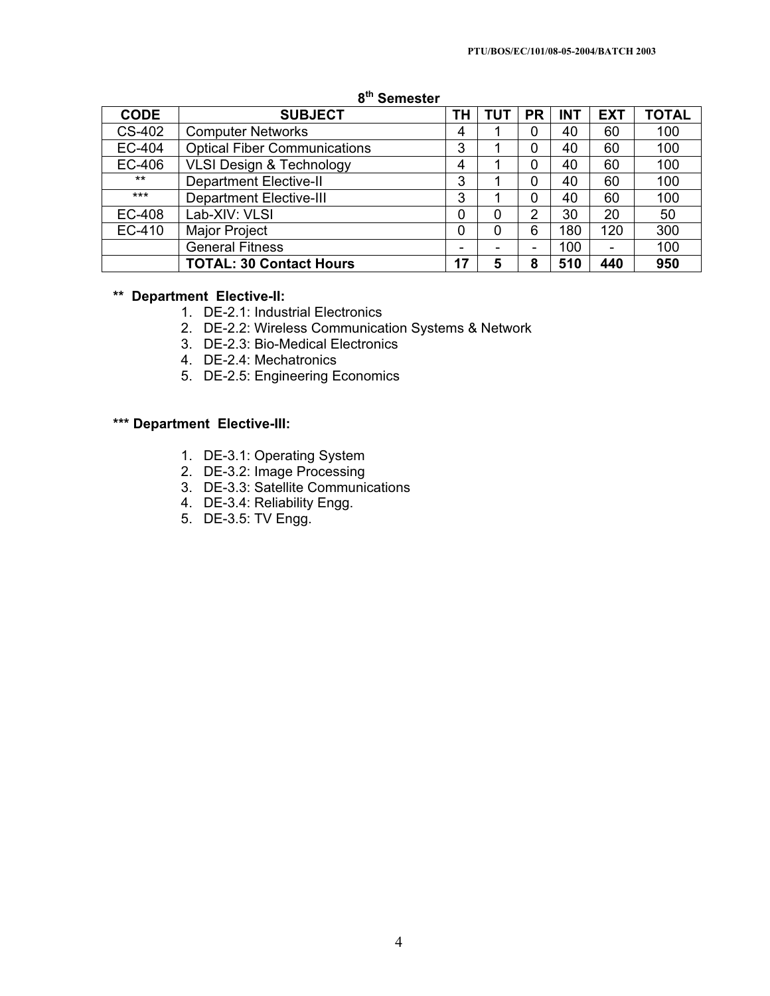| <b>CODE</b> | <b>SUBJECT</b>                      | TΗ | TUT | <b>PR</b> | <b>INT</b> | <b>EXT</b>               | <b>TOTAL</b> |
|-------------|-------------------------------------|----|-----|-----------|------------|--------------------------|--------------|
| CS-402      | <b>Computer Networks</b>            | 4  |     | 0         | 40         | 60                       | 100          |
| EC-404      | <b>Optical Fiber Communications</b> | 3  |     | 0         | 40         | 60                       | 100          |
| EC-406      | <b>VLSI Design &amp; Technology</b> | 4  |     | 0         | 40         | 60                       | 100          |
| $***$       | <b>Department Elective-II</b>       | 3  |     | 0         | 40         | 60                       | 100          |
| $***$       | <b>Department Elective-III</b>      | 3  |     | 0         | 40         | 60                       | 100          |
| EC-408      | Lab-XIV: VLSI                       | 0  | 0   | 2         | 30         | 20                       | 50           |
| EC-410      | <b>Major Project</b>                | 0  | 0   | 6         | 180        | 120                      | 300          |
|             | <b>General Fitness</b>              | -  |     | -         | 100        | $\overline{\phantom{0}}$ | 100          |
|             | <b>TOTAL: 30 Contact Hours</b>      | 17 | 5   | 8         | 510        | 440                      | 950          |

## **8th Semester**

## **\*\* Department Elective-II:**

- 1. DE-2.1: Industrial Electronics
- 2. DE-2.2: Wireless Communication Systems & Network
- 3. DE-2.3: Bio-Medical Electronics
- 4. DE-2.4: Mechatronics
- 5. DE-2.5: Engineering Economics

## **\*\*\* Department Elective-III:**

- 1. DE-3.1: Operating System
- 2. DE-3.2: Image Processing
- 3. DE-3.3: Satellite Communications
- 4. DE-3.4: Reliability Engg.
- 5. DE-3.5: TV Engg.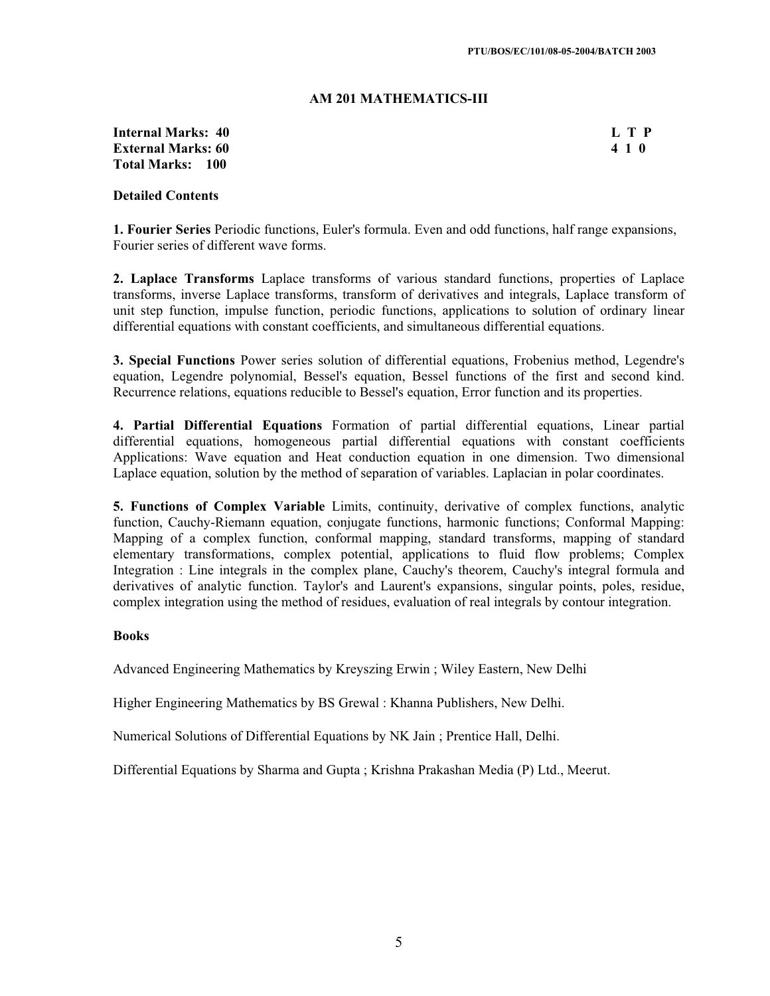#### **AM 201 MATHEMATICS-III**

#### **Internal Marks: 40 L T P External Marks: 60 4 1 0 Total Marks: 100**

## **Detailed Contents**

**1. Fourier Series** Periodic functions, Euler's formula. Even and odd functions, half range expansions, Fourier series of different wave forms.

**2. Laplace Transforms** Laplace transforms of various standard functions, properties of Laplace transforms, inverse Laplace transforms, transform of derivatives and integrals, Laplace transform of unit step function, impulse function, periodic functions, applications to solution of ordinary linear differential equations with constant coefficients, and simultaneous differential equations.

**3. Special Functions** Power series solution of differential equations, Frobenius method, Legendre's equation, Legendre polynomial, Bessel's equation, Bessel functions of the first and second kind. Recurrence relations, equations reducible to Bessel's equation, Error function and its properties.

**4. Partial Differential Equations** Formation of partial differential equations, Linear partial differential equations, homogeneous partial differential equations with constant coefficients Applications: Wave equation and Heat conduction equation in one dimension. Two dimensional Laplace equation, solution by the method of separation of variables. Laplacian in polar coordinates.

**5. Functions of Complex Variable** Limits, continuity, derivative of complex functions, analytic function, Cauchy-Riemann equation, conjugate functions, harmonic functions; Conformal Mapping: Mapping of a complex function, conformal mapping, standard transforms, mapping of standard elementary transformations, complex potential, applications to fluid flow problems; Complex Integration : Line integrals in the complex plane, Cauchy's theorem, Cauchy's integral formula and derivatives of analytic function. Taylor's and Laurent's expansions, singular points, poles, residue, complex integration using the method of residues, evaluation of real integrals by contour integration.

#### **Books**

Advanced Engineering Mathematics by Kreyszing Erwin ; Wiley Eastern, New Delhi

Higher Engineering Mathematics by BS Grewal : Khanna Publishers, New Delhi.

Numerical Solutions of Differential Equations by NK Jain ; Prentice Hall, Delhi.

Differential Equations by Sharma and Gupta ; Krishna Prakashan Media (P) Ltd., Meerut.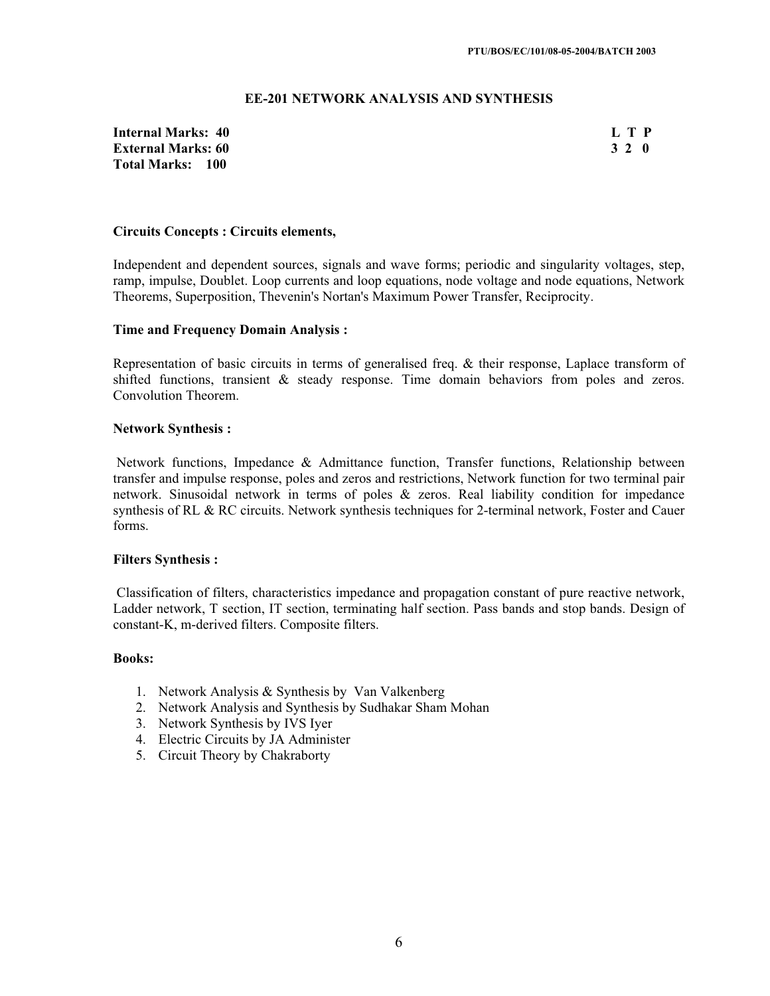### **EE-201 NETWORK ANALYSIS AND SYNTHESIS**

**Internal Marks: 40 L T P External Marks: 60 3 2 0 Total Marks: 100**

#### **Circuits Concepts : Circuits elements,**

Independent and dependent sources, signals and wave forms; periodic and singularity voltages, step, ramp, impulse, Doublet. Loop currents and loop equations, node voltage and node equations, Network Theorems, Superposition, Thevenin's Nortan's Maximum Power Transfer, Reciprocity.

#### **Time and Frequency Domain Analysis :**

Representation of basic circuits in terms of generalised freq. & their response, Laplace transform of shifted functions, transient & steady response. Time domain behaviors from poles and zeros. Convolution Theorem.

#### **Network Synthesis :**

Network functions, Impedance & Admittance function, Transfer functions, Relationship between transfer and impulse response, poles and zeros and restrictions, Network function for two terminal pair network. Sinusoidal network in terms of poles & zeros. Real liability condition for impedance synthesis of RL & RC circuits. Network synthesis techniques for 2-terminal network, Foster and Cauer forms.

#### **Filters Synthesis :**

Classification of filters, characteristics impedance and propagation constant of pure reactive network, Ladder network, T section, IT section, terminating half section. Pass bands and stop bands. Design of constant-K, m-derived filters. Composite filters.

#### **Books:**

- 1. Network Analysis & Synthesis by Van Valkenberg
- 2. Network Analysis and Synthesis by Sudhakar Sham Mohan
- 3. Network Synthesis by IVS Iyer
- 4. Electric Circuits by JA Administer
- 5. Circuit Theory by Chakraborty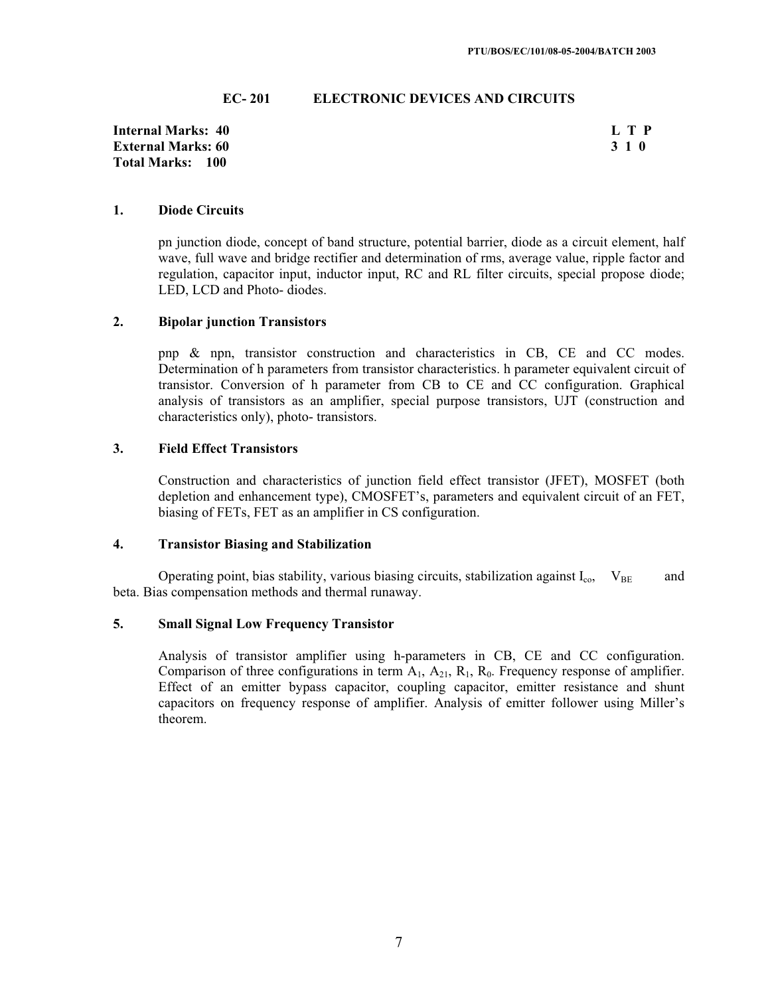#### **EC- 201 ELECTRONIC DEVICES AND CIRCUITS**

**Internal Marks: 40 L T P External Marks: 60 Total Marks: 100**

#### **1. Diode Circuits**

pn junction diode, concept of band structure, potential barrier, diode as a circuit element, half wave, full wave and bridge rectifier and determination of rms, average value, ripple factor and regulation, capacitor input, inductor input, RC and RL filter circuits, special propose diode; LED, LCD and Photo- diodes.

#### **2. Bipolar junction Transistors**

pnp & npn, transistor construction and characteristics in CB, CE and CC modes. Determination of h parameters from transistor characteristics. h parameter equivalent circuit of transistor. Conversion of h parameter from CB to CE and CC configuration. Graphical analysis of transistors as an amplifier, special purpose transistors, UJT (construction and characteristics only), photo- transistors.

#### **3. Field Effect Transistors**

Construction and characteristics of junction field effect transistor (JFET), MOSFET (both depletion and enhancement type), CMOSFET's, parameters and equivalent circuit of an FET, biasing of FETs, FET as an amplifier in CS configuration.

#### **4. Transistor Biasing and Stabilization**

Operating point, bias stability, various biasing circuits, stabilization against  $I_{\text{co}}$ ,  $V_{\text{BE}}$  and beta. Bias compensation methods and thermal runaway.

#### **5. Small Signal Low Frequency Transistor**

Analysis of transistor amplifier using h-parameters in CB, CE and CC configuration. Comparison of three configurations in term  $A_1$ ,  $A_{21}$ ,  $R_1$ ,  $R_0$ . Frequency response of amplifier. Effect of an emitter bypass capacitor, coupling capacitor, emitter resistance and shunt capacitors on frequency response of amplifier. Analysis of emitter follower using Miller's theorem.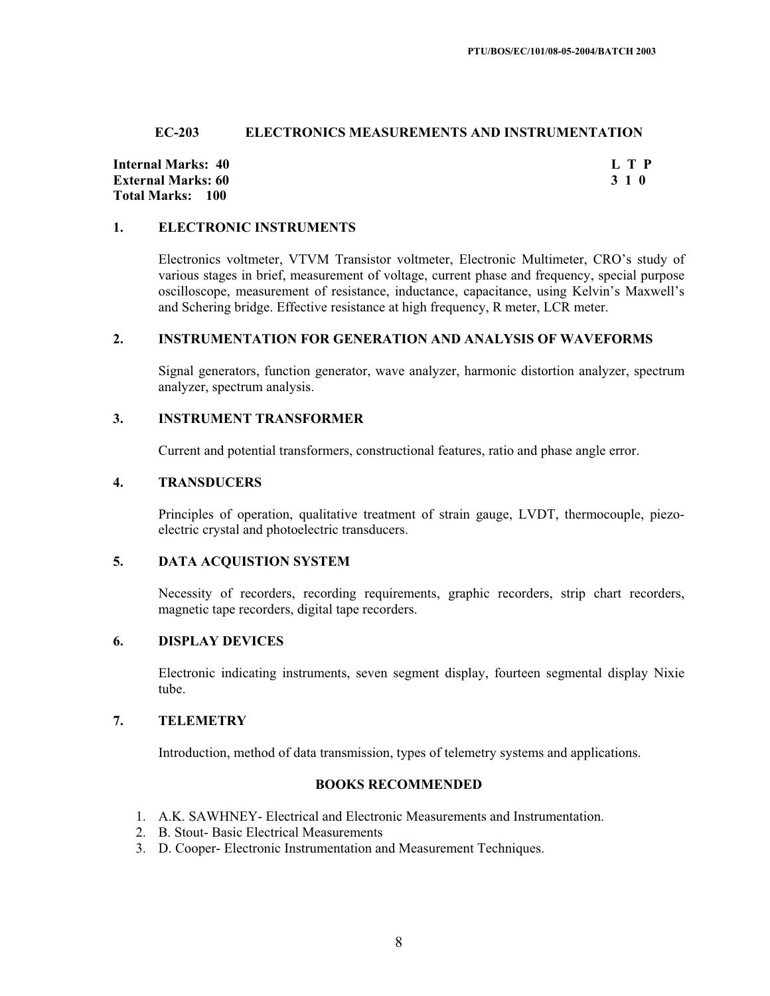### **EC-203 ELECTRONICS MEASUREMENTS AND INSTRUMENTATION**

**Internal Marks: 40 L T P External Marks: 60 3 1 0 Total Marks: 100**

#### **1. ELECTRONIC INSTRUMENTS**

Electronics voltmeter, VTVM Transistor voltmeter, Electronic Multimeter, CRO's study of various stages in brief, measurement of voltage, current phase and frequency, special purpose oscilloscope, measurement of resistance, inductance, capacitance, using Kelvin's Maxwell's and Schering bridge. Effective resistance at high frequency, R meter, LCR meter.

#### **2. INSTRUMENTATION FOR GENERATION AND ANALYSIS OF WAVEFORMS**

Signal generators, function generator, wave analyzer, harmonic distortion analyzer, spectrum analyzer, spectrum analysis.

#### **3. INSTRUMENT TRANSFORMER**

Current and potential transformers, constructional features, ratio and phase angle error.

#### **4. TRANSDUCERS**

Principles of operation, qualitative treatment of strain gauge, LVDT, thermocouple, piezoelectric crystal and photoelectric transducers.

#### **5. DATA ACQUISTION SYSTEM**

Necessity of recorders, recording requirements, graphic recorders, strip chart recorders, magnetic tape recorders, digital tape recorders.

#### **6. DISPLAY DEVICES**

Electronic indicating instruments, seven segment display, fourteen segmental display Nixie tube.

## **7. TELEMETRY**

Introduction, method of data transmission, types of telemetry systems and applications.

#### **BOOKS RECOMMENDED**

- 1. A.K. SAWHNEY- Electrical and Electronic Measurements and Instrumentation.
- 2. B. Stout- Basic Electrical Measurements
- 3. D. Cooper- Electronic Instrumentation and Measurement Techniques.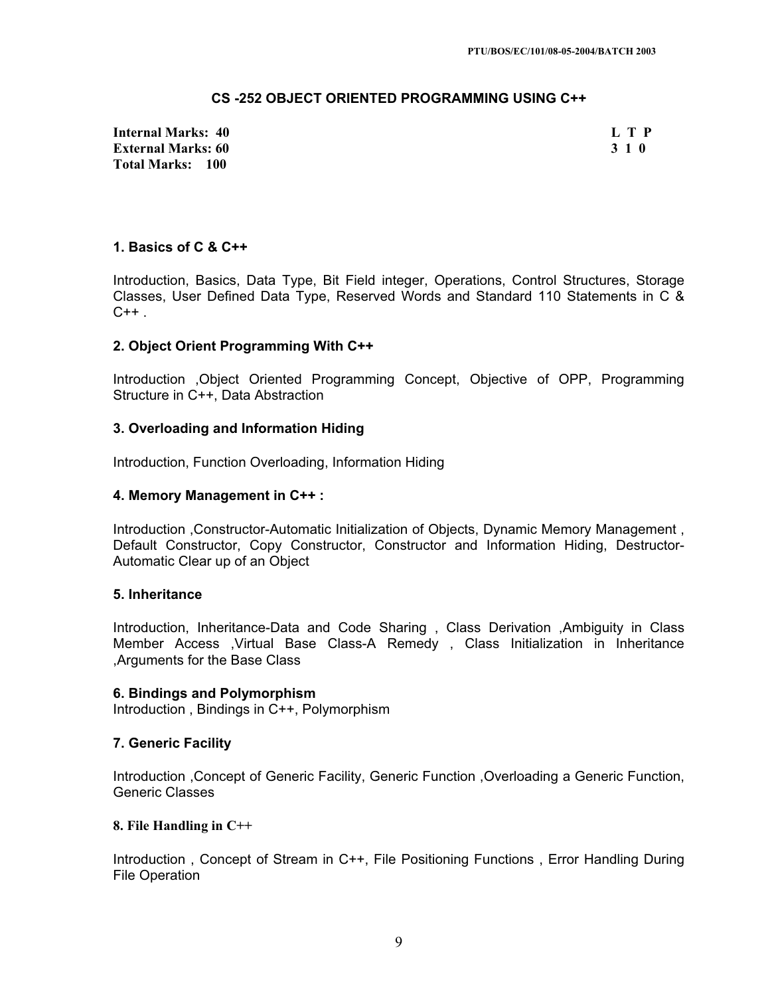## **CS -252 OBJECT ORIENTED PROGRAMMING USING C++**

**Internal Marks: 40 L T P External Marks: 60 3 1 0 3 2 3 3 4 6 3 3 4 6 3 3 4 6 3 4 7 4 3 4 7 4 3 4 7 6 3 4 7 7 8 7 7 8 7 7 7 8 7 7 8 7 7 8 7 7 8 7 7 8 7 7 8 7 7 8 7 7 8 7 7 8 7 7 8 7 7 8 7 7 8 7 7 8 7 7 8 7 7 8 7 7 8 7 7 8 7 7 8 7 7 8 7 7 8 7 7 8 Total Marks: 100**

## **1. Basics of C & C++**

Introduction, Basics, Data Type, Bit Field integer, Operations, Control Structures, Storage Classes, User Defined Data Type, Reserved Words and Standard 110 Statements in C &  $C++$ .

## **2. Object Orient Programming With C++**

Introduction ,Object Oriented Programming Concept, Objective of OPP, Programming Structure in C++, Data Abstraction

## **3. Overloading and Information Hiding**

Introduction, Function Overloading, Information Hiding

## **4. Memory Management in C++ :**

Introduction ,Constructor-Automatic Initialization of Objects, Dynamic Memory Management , Default Constructor, Copy Constructor, Constructor and Information Hiding, Destructor-Automatic Clear up of an Object

#### **5. Inheritance**

Introduction, Inheritance-Data and Code Sharing , Class Derivation ,Ambiguity in Class Member Access ,Virtual Base Class-A Remedy , Class Initialization in Inheritance ,Arguments for the Base Class

#### **6. Bindings and Polymorphism**

Introduction , Bindings in C++, Polymorphism

#### **7. Generic Facility**

Introduction ,Concept of Generic Facility, Generic Function ,Overloading a Generic Function, Generic Classes

#### **8. File Handling in C++**

Introduction , Concept of Stream in C++, File Positioning Functions , Error Handling During File Operation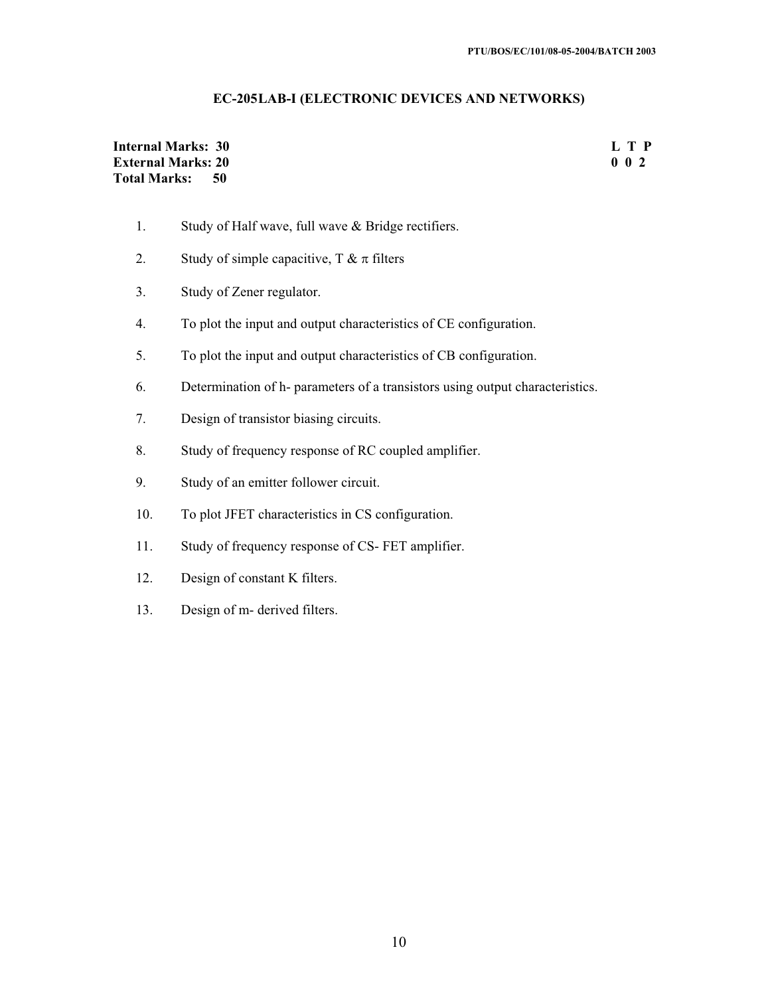## **EC-205LAB-I (ELECTRONIC DEVICES AND NETWORKS)**

## **Internal Marks: 30** L T P<br> **External Marks: 20** 0 2 **External Marks: 20 Total Marks: 50**

- 1. Study of Half wave, full wave & Bridge rectifiers.
- 2. Study of simple capacitive,  $T \& \pi$  filters
- 3. Study of Zener regulator.
- 4. To plot the input and output characteristics of CE configuration.
- 5. To plot the input and output characteristics of CB configuration.
- 6. Determination of h- parameters of a transistors using output characteristics.
- 7. Design of transistor biasing circuits.
- 8. Study of frequency response of RC coupled amplifier.
- 9. Study of an emitter follower circuit.
- 10. To plot JFET characteristics in CS configuration.
- 11. Study of frequency response of CS- FET amplifier.
- 12. Design of constant K filters.
- 13. Design of m- derived filters.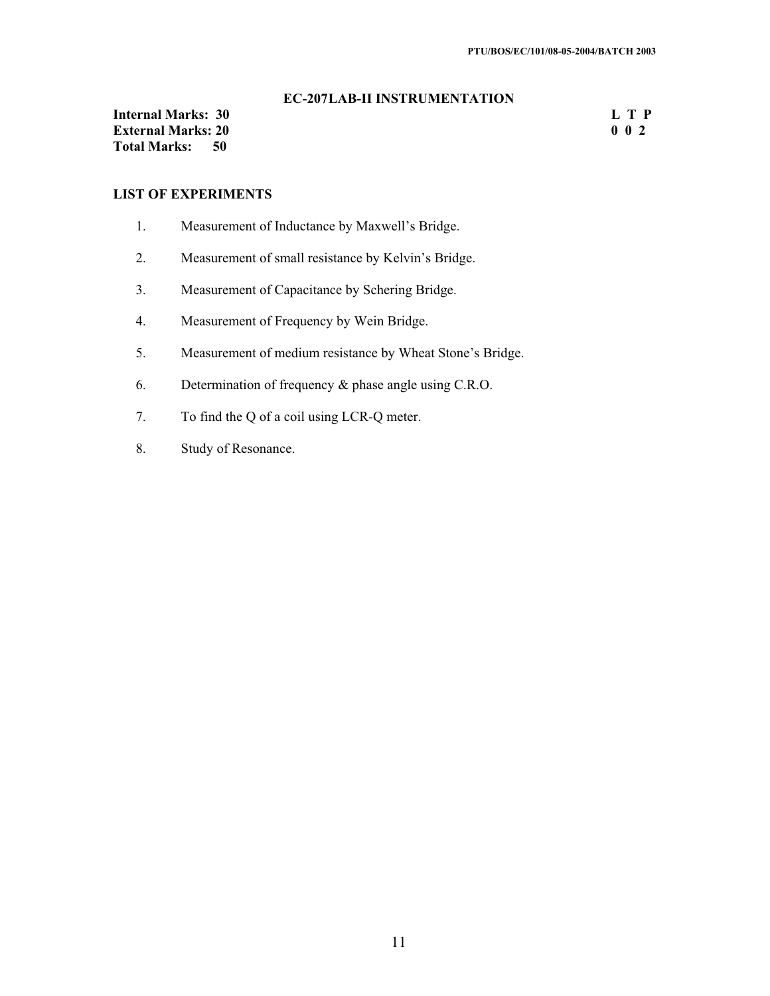## **EC-207 LAB-II INSTRUMENTATION**

**Internal Marks: 30** L T P<br> **External Marks: 20** 0 2 **External Marks: 20<br>Total Marks: 50 Total Marks: 50**

## **LIST OF EXPERIMENTS**

- 1. Measurement of Inductance by Maxwell's Bridge.
- 2. Measurement of small resistance by Kelvin's Bridge.
- 3. Measurement of Capacitance by Schering Bridge.
- 4. Measurement of Frequency by Wein Bridge.
- 5. Measurement of medium resistance by Wheat Stone's Bridge.
- 6. Determination of frequency & phase angle using C.R.O.
- 7. To find the Q of a coil using LCR-Q meter.
- 8. Study of Resonance.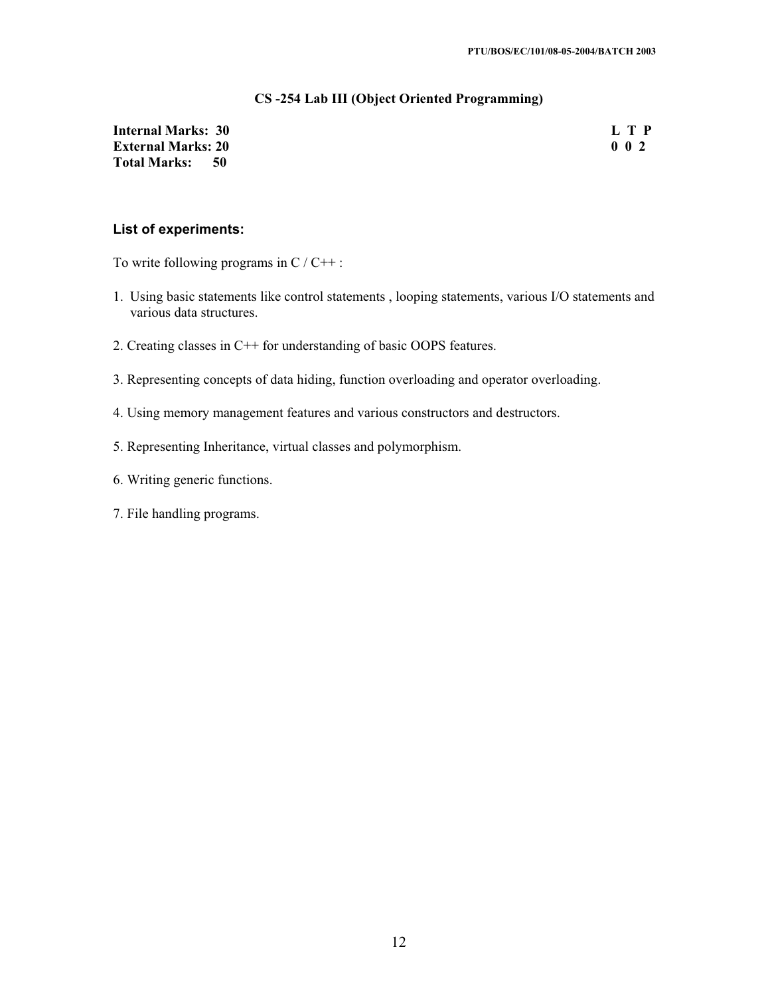#### **CS -254 Lab III (Object Oriented Programming)**

## **Internal Marks: 30** L T P<br> **External Marks: 20** 0 2 **External Marks: 20 Total Marks: 50**

#### **List of experiments:**

To write following programs in  $C / C_{++}$ :

- 1. Using basic statements like control statements , looping statements, various I/O statements and various data structures.
- 2. Creating classes in C++ for understanding of basic OOPS features.
- 3. Representing concepts of data hiding, function overloading and operator overloading.
- 4. Using memory management features and various constructors and destructors.
- 5. Representing Inheritance, virtual classes and polymorphism.
- 6. Writing generic functions.
- 7. File handling programs.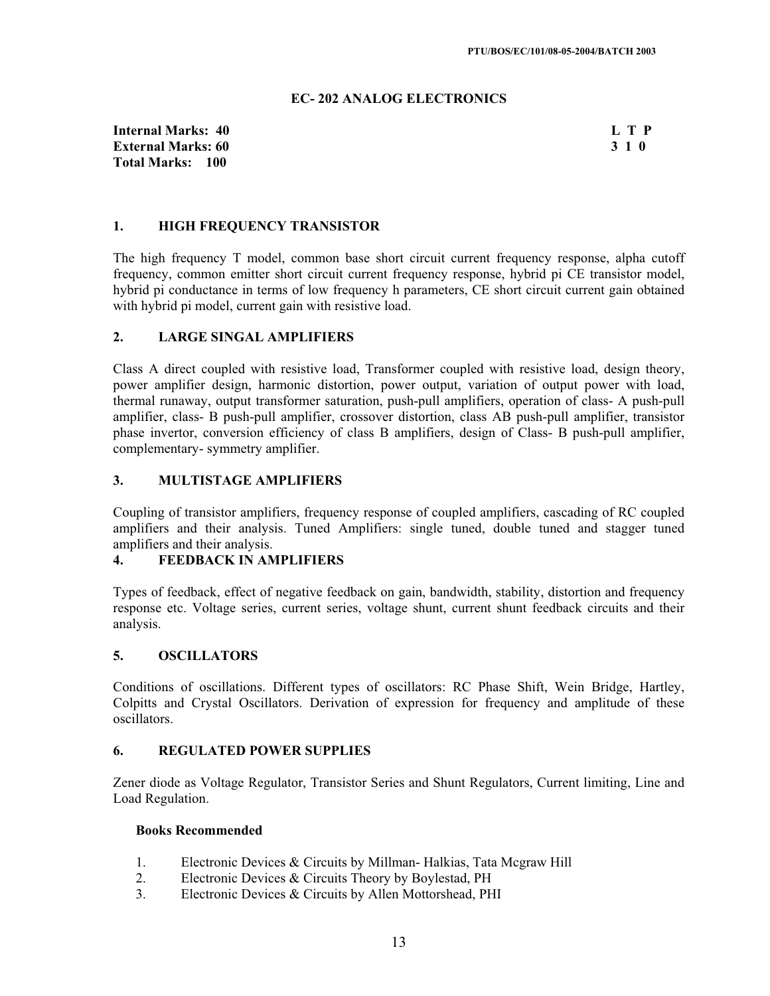#### **EC- 202 ANALOG ELECTRONICS**

**Internal Marks: 40 L T P I** L T P **External Marks: 60 3 1 0** 3 3 1 0 3 3 4 0 3 3 4 0 3 3 4 0 3 3 4 0 3 3 4 0 3 3 4 0 3 3 4 0 3 4  $\sigma$ **Total Marks: 100**

#### **1. HIGH FREQUENCY TRANSISTOR**

The high frequency T model, common base short circuit current frequency response, alpha cutoff frequency, common emitter short circuit current frequency response, hybrid pi CE transistor model, hybrid pi conductance in terms of low frequency h parameters, CE short circuit current gain obtained with hybrid pi model, current gain with resistive load.

#### **2. LARGE SINGAL AMPLIFIERS**

Class A direct coupled with resistive load, Transformer coupled with resistive load, design theory, power amplifier design, harmonic distortion, power output, variation of output power with load, thermal runaway, output transformer saturation, push-pull amplifiers, operation of class- A push-pull amplifier, class- B push-pull amplifier, crossover distortion, class AB push-pull amplifier, transistor phase invertor, conversion efficiency of class B amplifiers, design of Class- B push-pull amplifier, complementary- symmetry amplifier.

#### **3. MULTISTAGE AMPLIFIERS**

Coupling of transistor amplifiers, frequency response of coupled amplifiers, cascading of RC coupled amplifiers and their analysis. Tuned Amplifiers: single tuned, double tuned and stagger tuned amplifiers and their analysis.

## **4. FEEDBACK IN AMPLIFIERS**

Types of feedback, effect of negative feedback on gain, bandwidth, stability, distortion and frequency response etc. Voltage series, current series, voltage shunt, current shunt feedback circuits and their analysis.

#### **5. OSCILLATORS**

Conditions of oscillations. Different types of oscillators: RC Phase Shift, Wein Bridge, Hartley, Colpitts and Crystal Oscillators. Derivation of expression for frequency and amplitude of these oscillators.

#### **6. REGULATED POWER SUPPLIES**

Zener diode as Voltage Regulator, Transistor Series and Shunt Regulators, Current limiting, Line and Load Regulation.

#### **Books Recommended**

- 1. Electronic Devices & Circuits by Millman- Halkias, Tata Mcgraw Hill
- 2. Electronic Devices & Circuits Theory by Boylestad, PH
- 3. Electronic Devices & Circuits by Allen Mottorshead, PHI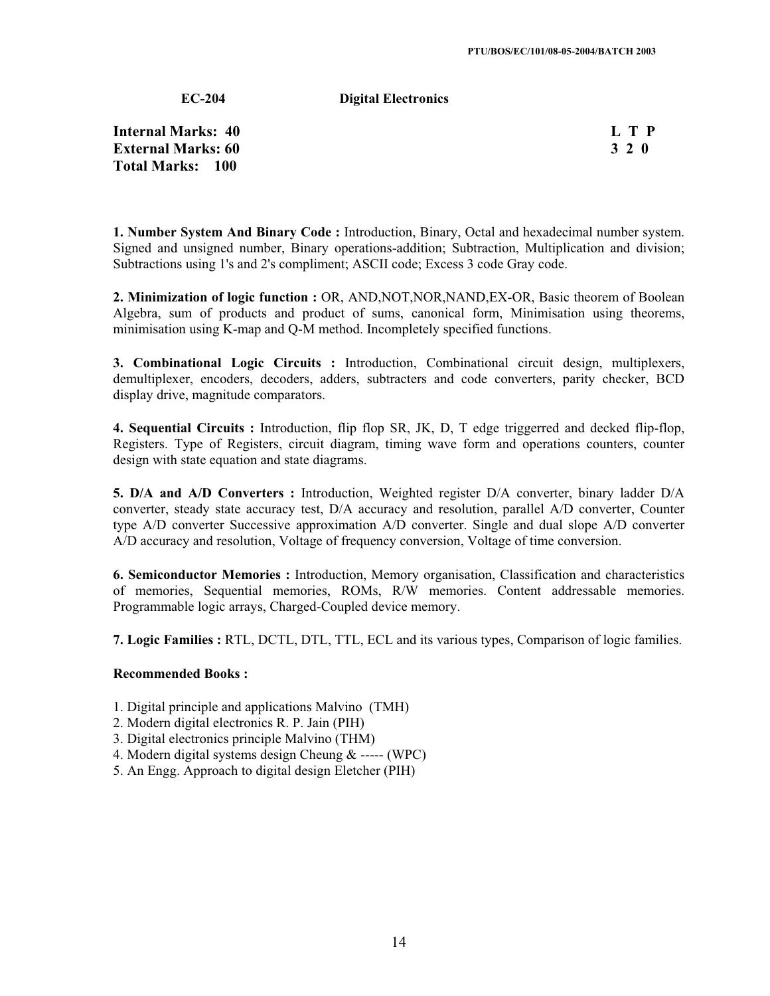**EC-204 Digital Electronics** 

**Internal Marks: 40 External Marks: 60 Total Marks: 100**

| П, | I | р |
|----|---|---|
| ъ  |   | 0 |

**1. Number System And Binary Code :** Introduction, Binary, Octal and hexadecimal number system. Signed and unsigned number, Binary operations-addition; Subtraction, Multiplication and division; Subtractions using 1's and 2's compliment; ASCII code; Excess 3 code Gray code.

**2. Minimization of logic function :** OR, AND,NOT,NOR,NAND,EX-OR, Basic theorem of Boolean Algebra, sum of products and product of sums, canonical form, Minimisation using theorems, minimisation using K-map and Q-M method. Incompletely specified functions.

**3. Combinational Logic Circuits :** Introduction, Combinational circuit design, multiplexers, demultiplexer, encoders, decoders, adders, subtracters and code converters, parity checker, BCD display drive, magnitude comparators.

**4. Sequential Circuits :** Introduction, flip flop SR, JK, D, T edge triggerred and decked flip-flop, Registers. Type of Registers, circuit diagram, timing wave form and operations counters, counter design with state equation and state diagrams.

**5. D/A and A/D Converters :** Introduction, Weighted register D/A converter, binary ladder D/A converter, steady state accuracy test, D/A accuracy and resolution, parallel A/D converter, Counter type A/D converter Successive approximation A/D converter. Single and dual slope A/D converter A/D accuracy and resolution, Voltage of frequency conversion, Voltage of time conversion.

**6. Semiconductor Memories :** Introduction, Memory organisation, Classification and characteristics of memories, Sequential memories, ROMs, R/W memories. Content addressable memories. Programmable logic arrays, Charged-Coupled device memory.

**7. Logic Families :** RTL, DCTL, DTL, TTL, ECL and its various types, Comparison of logic families.

#### **Recommended Books :**

- 1. Digital principle and applications Malvino (TMH)
- 2. Modern digital electronics R. P. Jain (PIH)
- 3. Digital electronics principle Malvino (THM)
- 4. Modern digital systems design Cheung & ----- (WPC)
- 5. An Engg. Approach to digital design Eletcher (PIH)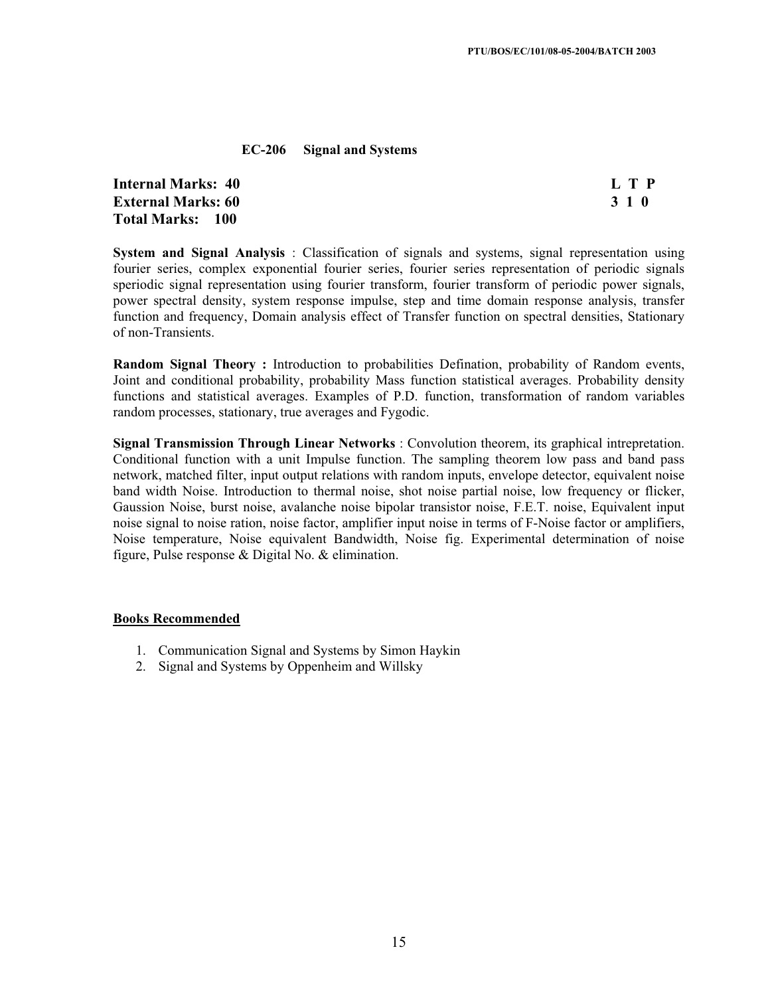#### **EC-206 Signal and Systems**

**Internal Marks: 40 L T P External Marks: 60 3 1 0 Total Marks: 100**

**System and Signal Analysis** : Classification of signals and systems, signal representation using fourier series, complex exponential fourier series, fourier series representation of periodic signals speriodic signal representation using fourier transform, fourier transform of periodic power signals, power spectral density, system response impulse, step and time domain response analysis, transfer function and frequency, Domain analysis effect of Transfer function on spectral densities, Stationary of non-Transients.

**Random Signal Theory :** Introduction to probabilities Defination, probability of Random events, Joint and conditional probability, probability Mass function statistical averages. Probability density functions and statistical averages. Examples of P.D. function, transformation of random variables random processes, stationary, true averages and Fygodic.

**Signal Transmission Through Linear Networks** : Convolution theorem, its graphical intrepretation. Conditional function with a unit Impulse function. The sampling theorem low pass and band pass network, matched filter, input output relations with random inputs, envelope detector, equivalent noise band width Noise. Introduction to thermal noise, shot noise partial noise, low frequency or flicker, Gaussion Noise, burst noise, avalanche noise bipolar transistor noise, F.E.T. noise, Equivalent input noise signal to noise ration, noise factor, amplifier input noise in terms of F-Noise factor or amplifiers, Noise temperature, Noise equivalent Bandwidth, Noise fig. Experimental determination of noise figure, Pulse response & Digital No. & elimination.

#### **Books Recommended**

- 1. Communication Signal and Systems by Simon Haykin
- 2. Signal and Systems by Oppenheim and Willsky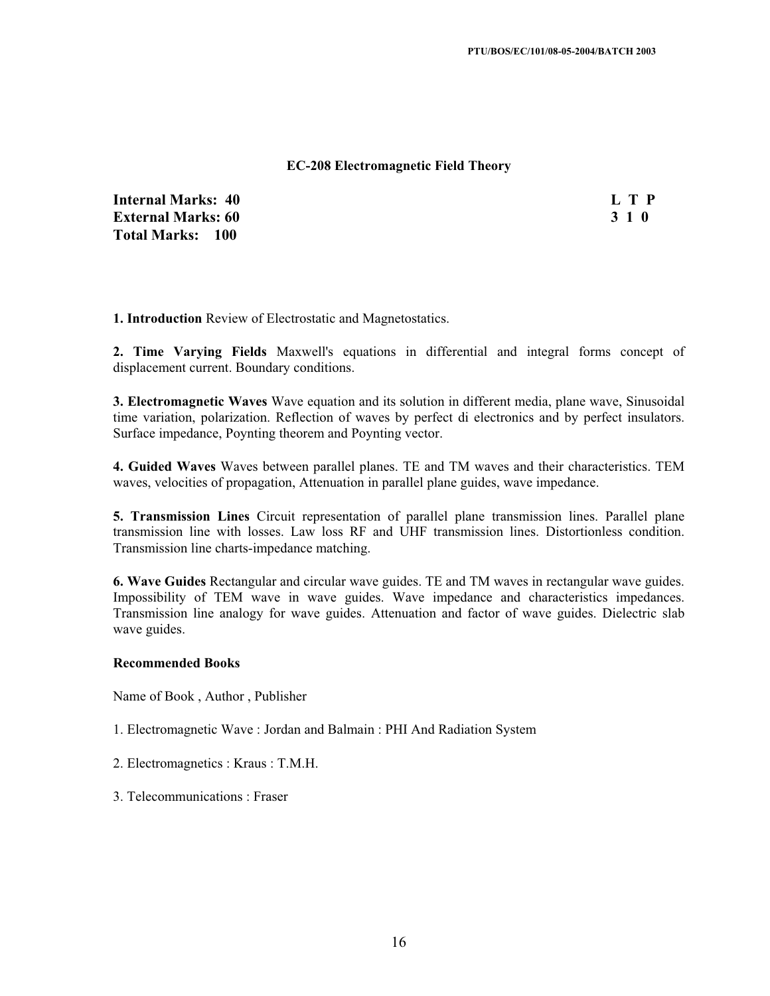#### **EC-208 Electromagnetic Field Theory**

**Internal Marks: 40 L T P L T P External Marks: 60 3 1 0 3 2 3 3 4 6 3 4 5 4 4 4 4 4 5 4 5 4 5 4 4 5 4 5 6 7 6 7 7 8 4 5 6 7 7 8 7 7 8 7 8 7 7 8 7 8 7 7 8 7 7 8 7 7 8 7 7 8 7 7 8 7 7 8 7 7 8 7 7 8 7 7 8 7 7 8 7 7 8 7 7 8 7 7 8 7 7 8 7 7 8 7 7 8 7 7 8 7 Total Marks: 100**

**1. Introduction** Review of Electrostatic and Magnetostatics.

**2. Time Varying Fields** Maxwell's equations in differential and integral forms concept of displacement current. Boundary conditions.

**3. Electromagnetic Waves** Wave equation and its solution in different media, plane wave, Sinusoidal time variation, polarization. Reflection of waves by perfect di electronics and by perfect insulators. Surface impedance, Poynting theorem and Poynting vector.

**4. Guided Waves** Waves between parallel planes. TE and TM waves and their characteristics. TEM waves, velocities of propagation, Attenuation in parallel plane guides, wave impedance.

**5. Transmission Lines** Circuit representation of parallel plane transmission lines. Parallel plane transmission line with losses. Law loss RF and UHF transmission lines. Distortionless condition. Transmission line charts-impedance matching.

**6. Wave Guides** Rectangular and circular wave guides. TE and TM waves in rectangular wave guides. Impossibility of TEM wave in wave guides. Wave impedance and characteristics impedances. Transmission line analogy for wave guides. Attenuation and factor of wave guides. Dielectric slab wave guides.

#### **Recommended Books**

Name of Book , Author , Publisher

- 1. Electromagnetic Wave : Jordan and Balmain : PHI And Radiation System
- 2. Electromagnetics : Kraus : T.M.H.
- 3. Telecommunications : Fraser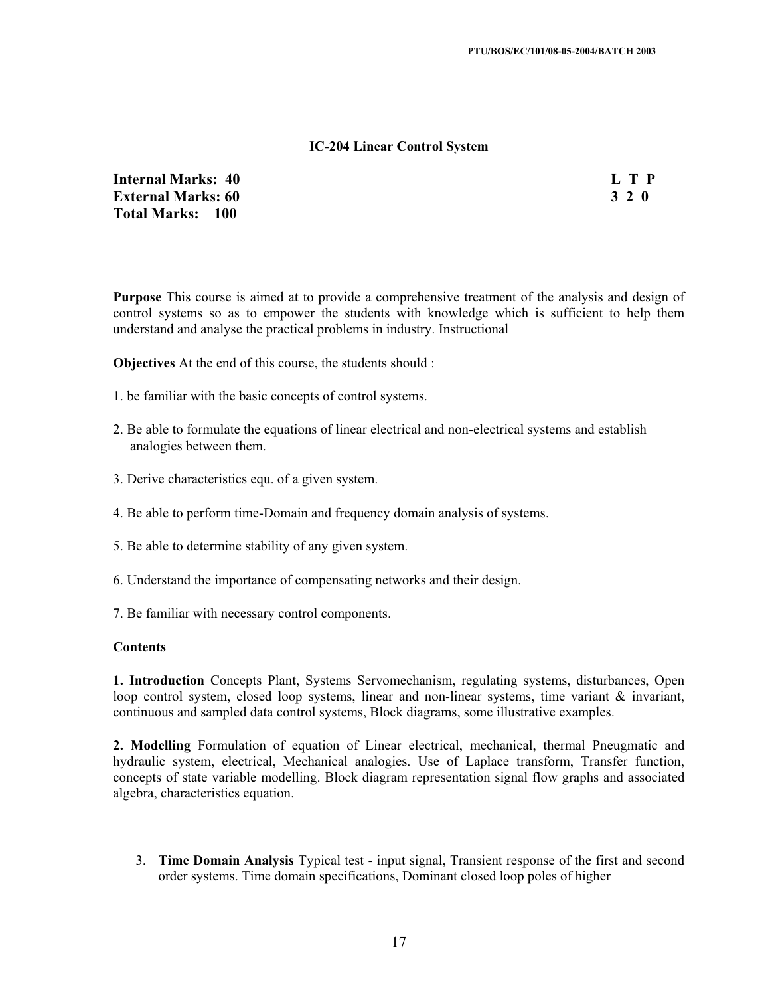#### **IC-204 Linear Control System**

**Internal Marks: 40 L T P External Marks: 60 3 2 0 Total Marks: 100**

**Purpose** This course is aimed at to provide a comprehensive treatment of the analysis and design of control systems so as to empower the students with knowledge which is sufficient to help them understand and analyse the practical problems in industry. Instructional

**Objectives** At the end of this course, the students should :

- 1. be familiar with the basic concepts of control systems.
- 2. Be able to formulate the equations of linear electrical and non-electrical systems and establish analogies between them.
- 3. Derive characteristics equ. of a given system.
- 4. Be able to perform time-Domain and frequency domain analysis of systems.
- 5. Be able to determine stability of any given system.
- 6. Understand the importance of compensating networks and their design.
- 7. Be familiar with necessary control components.

#### **Contents**

**1. Introduction** Concepts Plant, Systems Servomechanism, regulating systems, disturbances, Open loop control system, closed loop systems, linear and non-linear systems, time variant  $\&$  invariant, continuous and sampled data control systems, Block diagrams, some illustrative examples.

**2. Modelling** Formulation of equation of Linear electrical, mechanical, thermal Pneugmatic and hydraulic system, electrical, Mechanical analogies. Use of Laplace transform, Transfer function, concepts of state variable modelling. Block diagram representation signal flow graphs and associated algebra, characteristics equation.

3. **Time Domain Analysis** Typical test - input signal, Transient response of the first and second order systems. Time domain specifications, Dominant closed loop poles of higher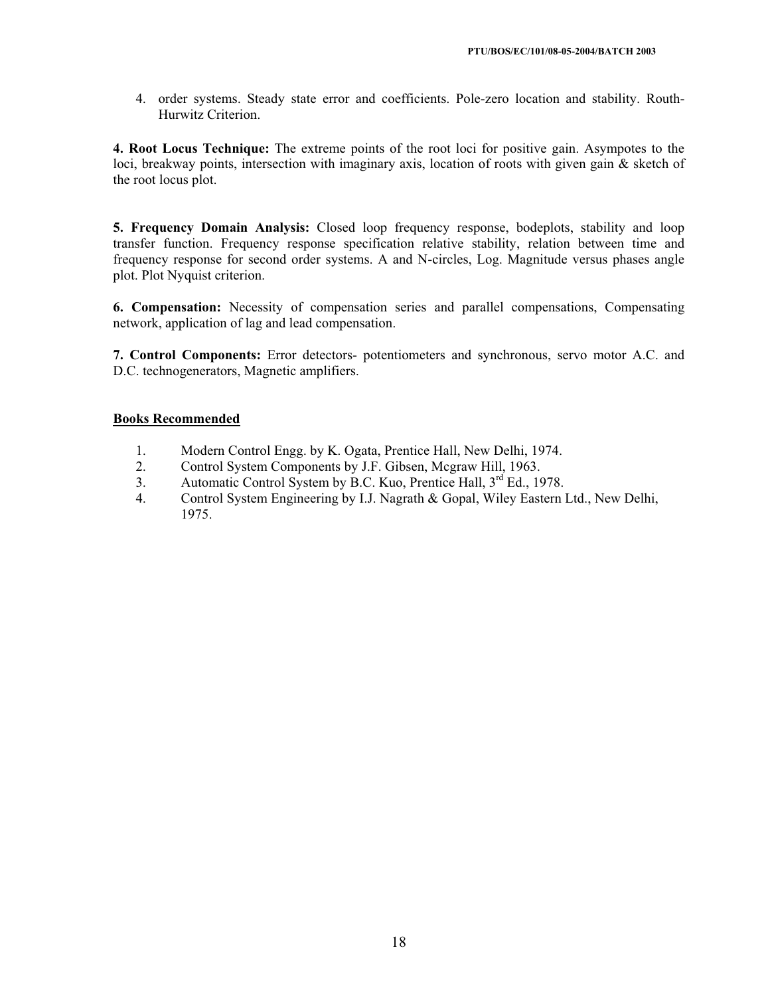4. order systems. Steady state error and coefficients. Pole-zero location and stability. Routh-Hurwitz Criterion.

**4. Root Locus Technique:** The extreme points of the root loci for positive gain. Asympotes to the loci, breakway points, intersection with imaginary axis, location of roots with given gain & sketch of the root locus plot.

**5. Frequency Domain Analysis:** Closed loop frequency response, bodeplots, stability and loop transfer function. Frequency response specification relative stability, relation between time and frequency response for second order systems. A and N-circles, Log. Magnitude versus phases angle plot. Plot Nyquist criterion.

**6. Compensation:** Necessity of compensation series and parallel compensations, Compensating network, application of lag and lead compensation.

**7. Control Components:** Error detectors- potentiometers and synchronous, servo motor A.C. and D.C. technogenerators, Magnetic amplifiers.

## **Books Recommended**

- 1. Modern Control Engg. by K. Ogata, Prentice Hall, New Delhi, 1974.<br>2. Control System Components by J.F. Gibsen. Mcgraw Hill. 1963.
- 2. Control System Components by J.F. Gibsen, Mcgraw Hill, 1963.
- 3. Automatic Control System by B.C. Kuo, Prentice Hall, 3<sup>rd</sup> Ed., 1978.
- 4. Control System Engineering by I.J. Nagrath & Gopal, Wiley Eastern Ltd., New Delhi, 1975.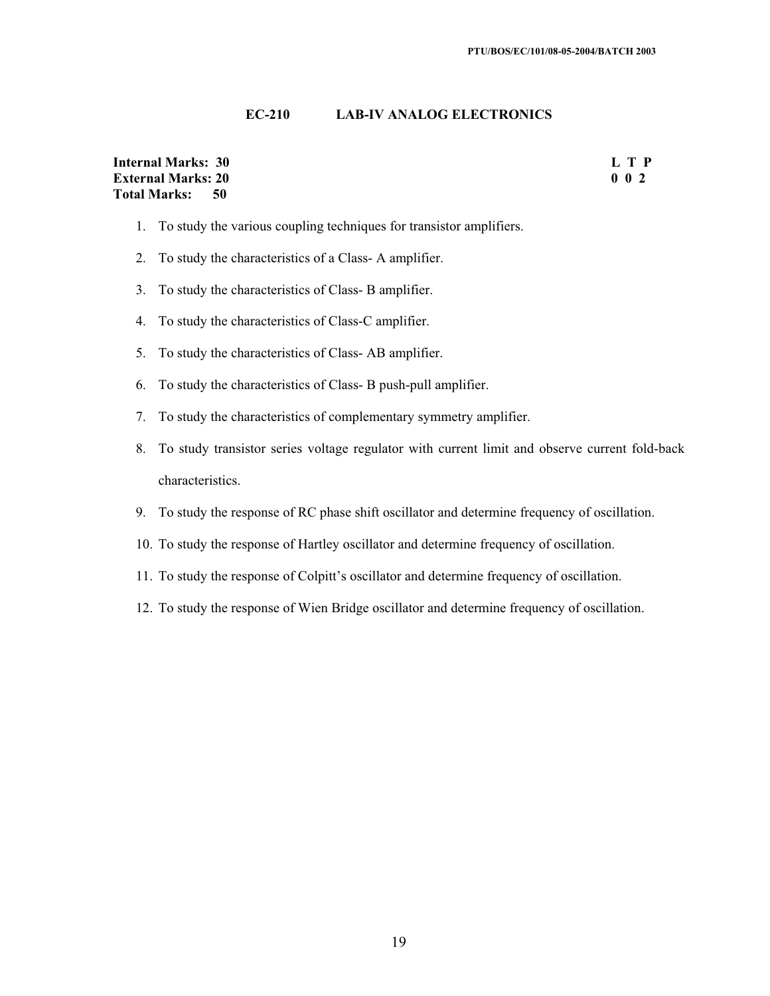## **EC-210 LAB-IV ANALOG ELECTRONICS**

| <b>Internal Marks: 30</b> | L T P            |
|---------------------------|------------------|
| <b>External Marks: 20</b> | 0 <sub>0</sub> 2 |
| Total Marks: 50           |                  |

- 1. To study the various coupling techniques for transistor amplifiers.
- 2. To study the characteristics of a Class- A amplifier.
- 3. To study the characteristics of Class- B amplifier.
- 4. To study the characteristics of Class-C amplifier.
- 5. To study the characteristics of Class- AB amplifier.
- 6. To study the characteristics of Class- B push-pull amplifier.
- 7. To study the characteristics of complementary symmetry amplifier.
- 8. To study transistor series voltage regulator with current limit and observe current fold-back characteristics.
- 9. To study the response of RC phase shift oscillator and determine frequency of oscillation.
- 10. To study the response of Hartley oscillator and determine frequency of oscillation.
- 11. To study the response of Colpitt's oscillator and determine frequency of oscillation.
- 12. To study the response of Wien Bridge oscillator and determine frequency of oscillation.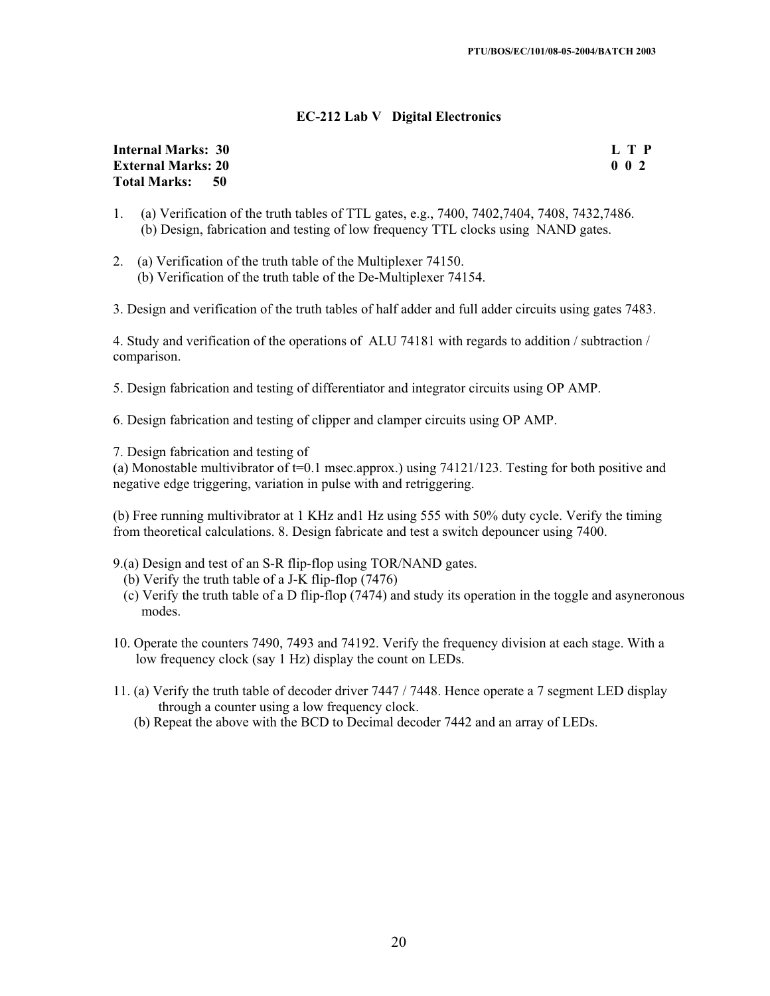#### **EC-212 Lab V Digital Electronics**

#### **Internal Marks: 30 L T P I** L T P **External Marks: 20 0 0 2 Total Marks: 50**

- 1. (a) Verification of the truth tables of TTL gates, e.g., 7400, 7402,7404, 7408, 7432,7486. (b) Design, fabrication and testing of low frequency TTL clocks using NAND gates.
- 2. (a) Verification of the truth table of the Multiplexer 74150. (b) Verification of the truth table of the De-Multiplexer 74154.
- 3. Design and verification of the truth tables of half adder and full adder circuits using gates 7483.

4. Study and verification of the operations of ALU 74181 with regards to addition / subtraction / comparison.

5. Design fabrication and testing of differentiator and integrator circuits using OP AMP.

6. Design fabrication and testing of clipper and clamper circuits using OP AMP.

7. Design fabrication and testing of

(a) Monostable multivibrator of  $t=0.1$  msec.approx.) using 74121/123. Testing for both positive and negative edge triggering, variation in pulse with and retriggering.

(b) Free running multivibrator at 1 KHz and1 Hz using 555 with 50% duty cycle. Verify the timing from theoretical calculations. 8. Design fabricate and test a switch depouncer using 7400.

- 9.(a) Design and test of an S-R flip-flop using TOR/NAND gates.
	- (b) Verify the truth table of a J-K flip-flop (7476)
	- (c) Verify the truth table of a D flip-flop (7474) and study its operation in the toggle and asyneronous modes.
- 10. Operate the counters 7490, 7493 and 74192. Verify the frequency division at each stage. With a low frequency clock (say 1 Hz) display the count on LEDs.
- 11. (a) Verify the truth table of decoder driver 7447 / 7448. Hence operate a 7 segment LED display through a counter using a low frequency clock.
	- (b) Repeat the above with the BCD to Decimal decoder 7442 and an array of LEDs.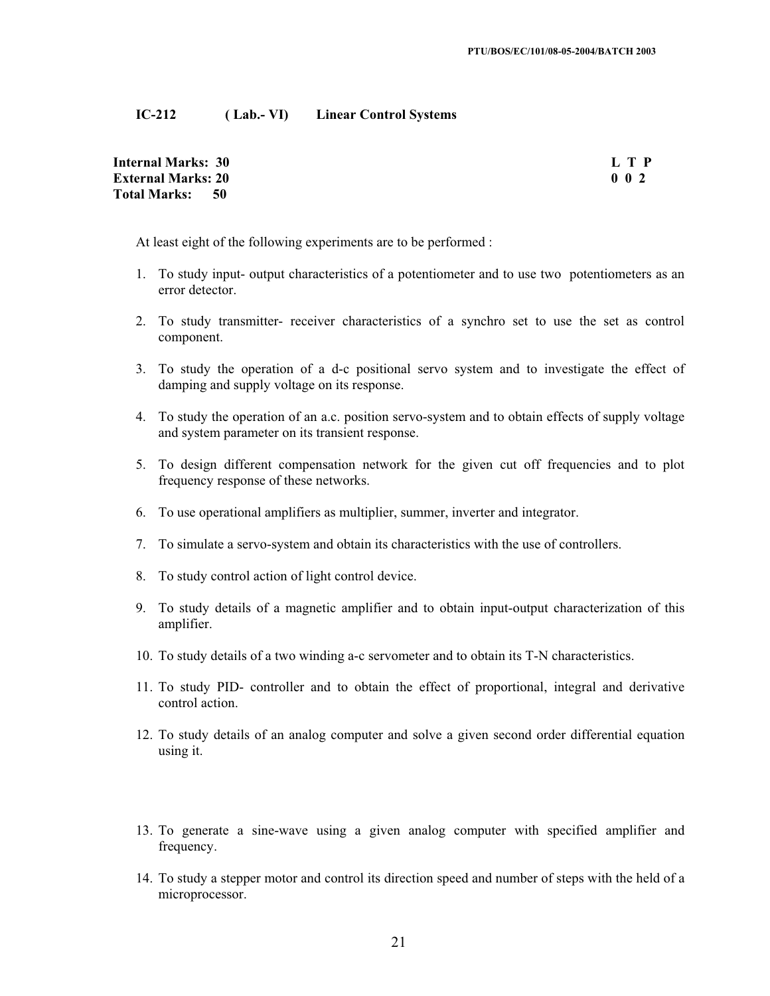#### **IC-212 ( Lab.- VI) Linear Control Systems**

**Internal Marks: 30 L T P External Marks: 20 0 0 2 Total Marks: 50**

At least eight of the following experiments are to be performed :

- 1. To study input- output characteristics of a potentiometer and to use two potentiometers as an error detector.
- 2. To study transmitter- receiver characteristics of a synchro set to use the set as control component.
- 3. To study the operation of a d-c positional servo system and to investigate the effect of damping and supply voltage on its response.
- 4. To study the operation of an a.c. position servo-system and to obtain effects of supply voltage and system parameter on its transient response.
- 5. To design different compensation network for the given cut off frequencies and to plot frequency response of these networks.
- 6. To use operational amplifiers as multiplier, summer, inverter and integrator.
- 7. To simulate a servo-system and obtain its characteristics with the use of controllers.
- 8. To study control action of light control device.
- 9. To study details of a magnetic amplifier and to obtain input-output characterization of this amplifier.
- 10. To study details of a two winding a-c servometer and to obtain its T-N characteristics.
- 11. To study PID- controller and to obtain the effect of proportional, integral and derivative control action.
- 12. To study details of an analog computer and solve a given second order differential equation using it.
- 13. To generate a sine-wave using a given analog computer with specified amplifier and frequency.
- 14. To study a stepper motor and control its direction speed and number of steps with the held of a microprocessor.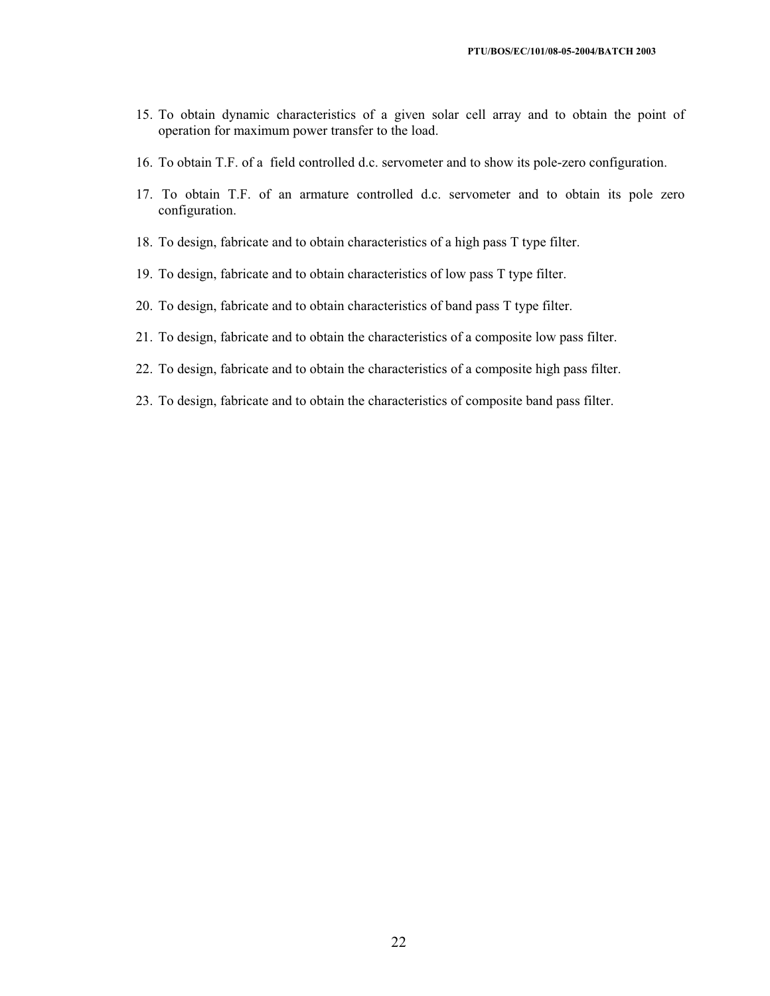- 15. To obtain dynamic characteristics of a given solar cell array and to obtain the point of operation for maximum power transfer to the load.
- 16. To obtain T.F. of a field controlled d.c. servometer and to show its pole-zero configuration.
- 17. To obtain T.F. of an armature controlled d.c. servometer and to obtain its pole zero configuration.
- 18. To design, fabricate and to obtain characteristics of a high pass T type filter.
- 19. To design, fabricate and to obtain characteristics of low pass T type filter.
- 20. To design, fabricate and to obtain characteristics of band pass T type filter.
- 21. To design, fabricate and to obtain the characteristics of a composite low pass filter.
- 22. To design, fabricate and to obtain the characteristics of a composite high pass filter.
- 23. To design, fabricate and to obtain the characteristics of composite band pass filter.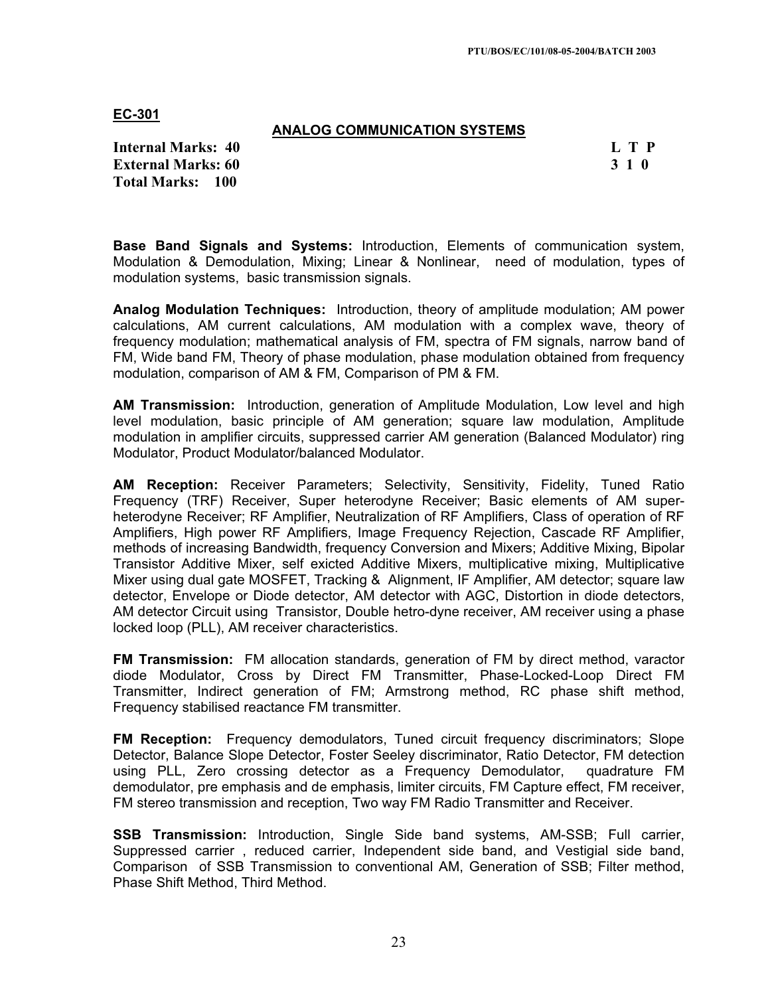#### **ANALOG COMMUNICATION SYSTEMS**

**Internal Marks: 40 L T P L T P External Marks: 60 3 1 0 Total Marks: 100**

**Base Band Signals and Systems:** Introduction, Elements of communication system, Modulation & Demodulation, Mixing; Linear & Nonlinear, need of modulation, types of modulation systems, basic transmission signals.

**Analog Modulation Techniques:** Introduction, theory of amplitude modulation; AM power calculations, AM current calculations, AM modulation with a complex wave, theory of frequency modulation; mathematical analysis of FM, spectra of FM signals, narrow band of FM, Wide band FM, Theory of phase modulation, phase modulation obtained from frequency modulation, comparison of AM & FM, Comparison of PM & FM.

**AM Transmission:** Introduction, generation of Amplitude Modulation, Low level and high level modulation, basic principle of AM generation; square law modulation, Amplitude modulation in amplifier circuits, suppressed carrier AM generation (Balanced Modulator) ring Modulator, Product Modulator/balanced Modulator.

**AM Reception:** Receiver Parameters; Selectivity, Sensitivity, Fidelity, Tuned Ratio Frequency (TRF) Receiver, Super heterodyne Receiver; Basic elements of AM superheterodyne Receiver; RF Amplifier, Neutralization of RF Amplifiers, Class of operation of RF Amplifiers, High power RF Amplifiers, Image Frequency Rejection, Cascade RF Amplifier, methods of increasing Bandwidth, frequency Conversion and Mixers; Additive Mixing, Bipolar Transistor Additive Mixer, self exicted Additive Mixers, multiplicative mixing, Multiplicative Mixer using dual gate MOSFET, Tracking & Alignment, IF Amplifier, AM detector; square law detector, Envelope or Diode detector, AM detector with AGC, Distortion in diode detectors, AM detector Circuit using Transistor, Double hetro-dyne receiver, AM receiver using a phase locked loop (PLL), AM receiver characteristics.

**FM Transmission:** FM allocation standards, generation of FM by direct method, varactor diode Modulator, Cross by Direct FM Transmitter, Phase-Locked-Loop Direct FM Transmitter, Indirect generation of FM; Armstrong method, RC phase shift method, Frequency stabilised reactance FM transmitter.

**FM Reception:** Frequency demodulators, Tuned circuit frequency discriminators; Slope Detector, Balance Slope Detector, Foster Seeley discriminator, Ratio Detector, FM detection using PLL, Zero crossing detector as a Frequency Demodulator, quadrature FM demodulator, pre emphasis and de emphasis, limiter circuits, FM Capture effect, FM receiver, FM stereo transmission and reception, Two way FM Radio Transmitter and Receiver.

**SSB Transmission:** Introduction, Single Side band systems, AM-SSB; Full carrier, Suppressed carrier , reduced carrier, Independent side band, and Vestigial side band, Comparison of SSB Transmission to conventional AM, Generation of SSB; Filter method, Phase Shift Method, Third Method.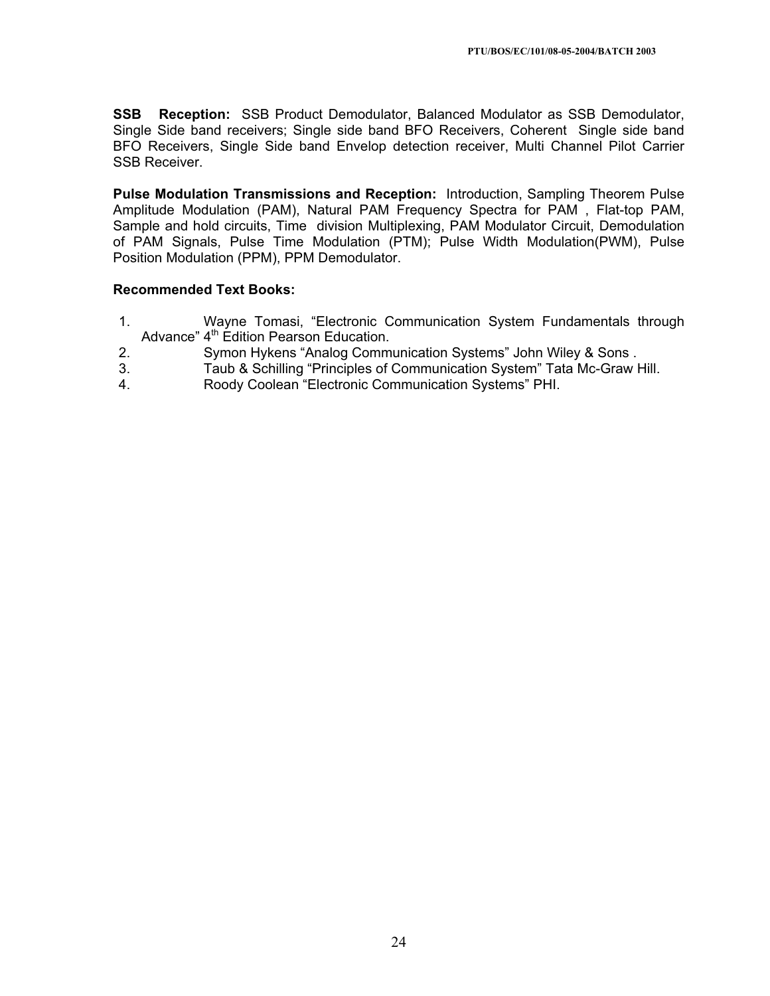**SSB Reception:** SSB Product Demodulator, Balanced Modulator as SSB Demodulator, Single Side band receivers; Single side band BFO Receivers, Coherent Single side band BFO Receivers, Single Side band Envelop detection receiver, Multi Channel Pilot Carrier SSB Receiver.

**Pulse Modulation Transmissions and Reception:** Introduction, Sampling Theorem Pulse Amplitude Modulation (PAM), Natural PAM Frequency Spectra for PAM , Flat-top PAM, Sample and hold circuits, Time division Multiplexing, PAM Modulator Circuit, Demodulation of PAM Signals, Pulse Time Modulation (PTM); Pulse Width Modulation(PWM), Pulse Position Modulation (PPM), PPM Demodulator.

- 1. Wayne Tomasi, "Electronic Communication System Fundamentals through Advance" 4<sup>th</sup> Edition Pearson Education.
- 2. Symon Hykens "Analog Communication Systems" John Wiley & Sons .
- 3. Taub & Schilling "Principles of Communication System" Tata Mc-Graw Hill.
- 4. Roody Coolean "Electronic Communication Systems" PHI.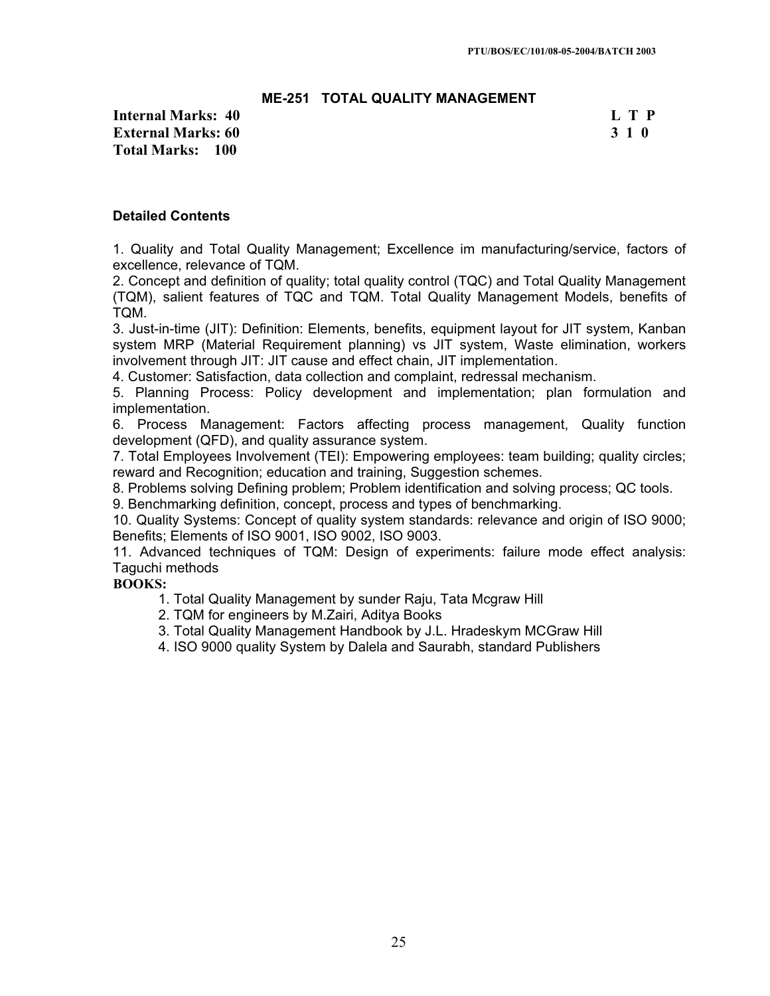## **ME-251 TOTAL QUALITY MANAGEMENT**

**Internal Marks: 40 L T P External Marks: 60 3 1 0 Total Marks: 100**

#### **Detailed Contents**

1. Quality and Total Quality Management; Excellence im manufacturing/service, factors of excellence, relevance of TQM.

2. Concept and definition of quality; total quality control (TQC) and Total Quality Management (TQM), salient features of TQC and TQM. Total Quality Management Models, benefits of TQM.

3. Just-in-time (JIT): Definition: Elements, benefits, equipment layout for JIT system, Kanban system MRP (Material Requirement planning) vs JIT system, Waste elimination, workers involvement through JIT: JIT cause and effect chain, JIT implementation.

4. Customer: Satisfaction, data collection and complaint, redressal mechanism.

5. Planning Process: Policy development and implementation; plan formulation and implementation.

6. Process Management: Factors affecting process management, Quality function development (QFD), and quality assurance system.

7. Total Employees Involvement (TEI): Empowering employees: team building; quality circles; reward and Recognition; education and training, Suggestion schemes.

8. Problems solving Defining problem; Problem identification and solving process; QC tools.

9. Benchmarking definition, concept, process and types of benchmarking.

10. Quality Systems: Concept of quality system standards: relevance and origin of ISO 9000; Benefits; Elements of ISO 9001, ISO 9002, ISO 9003.

11. Advanced techniques of TQM: Design of experiments: failure mode effect analysis: Taguchi methods

#### **BOOKS:**

1. Total Quality Management by sunder Raju, Tata Mcgraw Hill

- 2. TQM for engineers by M.Zairi, Aditya Books
- 3. Total Quality Management Handbook by J.L. Hradeskym MCGraw Hill

4. ISO 9000 quality System by Dalela and Saurabh, standard Publishers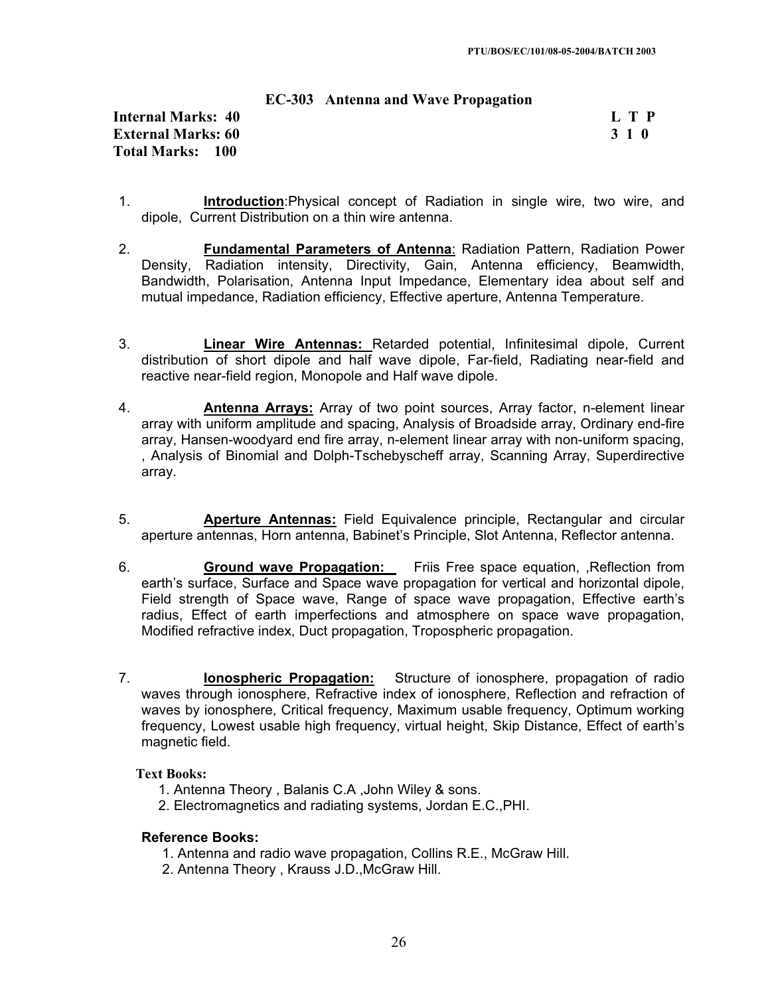|  |  |  |  | <b>EC-303</b> Antenna and Wave Propagation |
|--|--|--|--|--------------------------------------------|
|--|--|--|--|--------------------------------------------|

## **Internal Marks: 40 L T P I** L T P **External Marks: 60 3 1 0 Total Marks: 100**

- 1. **Introduction**:Physical concept of Radiation in single wire, two wire, and dipole, Current Distribution on a thin wire antenna.
- 2. **Fundamental Parameters of Antenna**: Radiation Pattern, Radiation Power Density, Radiation intensity, Directivity, Gain, Antenna efficiency, Beamwidth, Bandwidth, Polarisation, Antenna Input Impedance, Elementary idea about self and mutual impedance, Radiation efficiency, Effective aperture, Antenna Temperature.
- 3. **Linear Wire Antennas:** Retarded potential, Infinitesimal dipole, Current distribution of short dipole and half wave dipole, Far-field, Radiating near-field and reactive near-field region, Monopole and Half wave dipole.
- 4. **Antenna Arrays:** Array of two point sources, Array factor, n-element linear array with uniform amplitude and spacing, Analysis of Broadside array, Ordinary end-fire array, Hansen-woodyard end fire array, n-element linear array with non-uniform spacing, , Analysis of Binomial and Dolph-Tschebyscheff array, Scanning Array, Superdirective array.
- 5. **Aperture Antennas:** Field Equivalence principle, Rectangular and circular aperture antennas, Horn antenna, Babinet's Principle, Slot Antenna, Reflector antenna.
- 6. **Ground wave Propagation:** Friis Free space equation, ,Reflection from earth's surface, Surface and Space wave propagation for vertical and horizontal dipole, Field strength of Space wave, Range of space wave propagation, Effective earth's radius, Effect of earth imperfections and atmosphere on space wave propagation, Modified refractive index, Duct propagation, Tropospheric propagation.
- 7. **Ionospheric Propagation:** Structure of ionosphere, propagation of radio waves through ionosphere, Refractive index of ionosphere, Reflection and refraction of waves by ionosphere, Critical frequency, Maximum usable frequency, Optimum working frequency, Lowest usable high frequency, virtual height, Skip Distance, Effect of earth's magnetic field.

## **Text Books:**

- 1. Antenna Theory , Balanis C.A ,John Wiley & sons.
- 2. Electromagnetics and radiating systems, Jordan E.C.,PHI.

#### **Reference Books:**

- 1. Antenna and radio wave propagation, Collins R.E., McGraw Hill.
- 2. Antenna Theory , Krauss J.D.,McGraw Hill.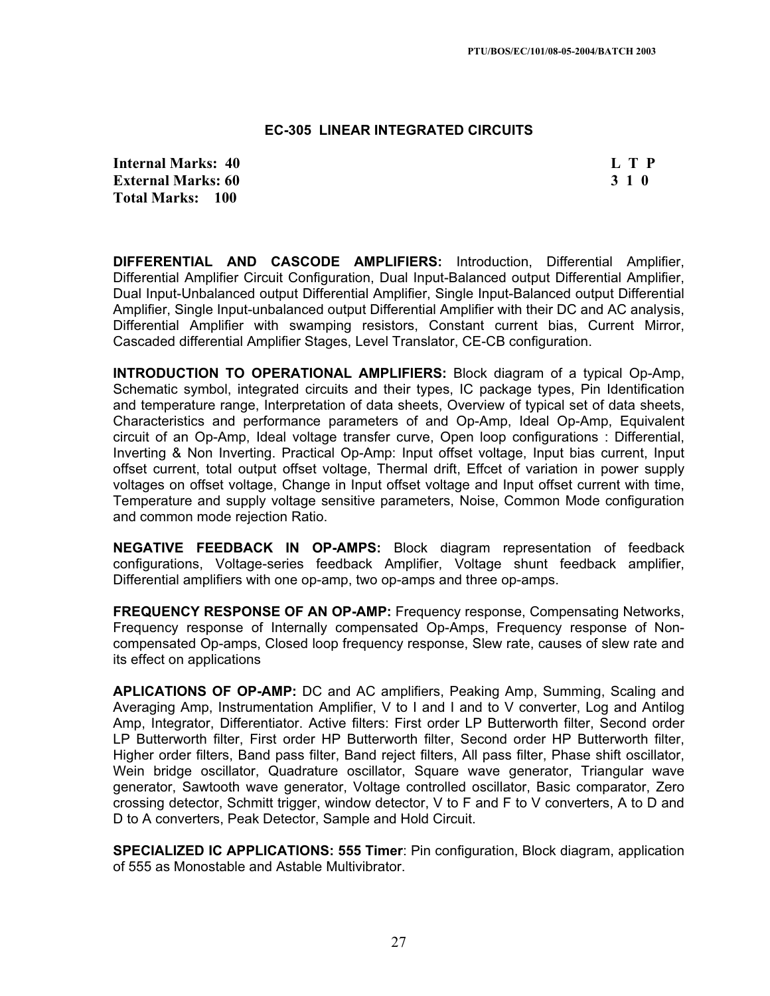#### **EC-305 LINEAR INTEGRATED CIRCUITS**

**Internal Marks: 40 L T P I** L T P **External Marks: 60 3 1 0 Total Marks: 100**

**DIFFERENTIAL AND CASCODE AMPLIFIERS:** Introduction, Differential Amplifier, Differential Amplifier Circuit Configuration, Dual Input-Balanced output Differential Amplifier, Dual Input-Unbalanced output Differential Amplifier, Single Input-Balanced output Differential Amplifier, Single Input-unbalanced output Differential Amplifier with their DC and AC analysis, Differential Amplifier with swamping resistors, Constant current bias, Current Mirror, Cascaded differential Amplifier Stages, Level Translator, CE-CB configuration.

**INTRODUCTION TO OPERATIONAL AMPLIFIERS:** Block diagram of a typical Op-Amp, Schematic symbol, integrated circuits and their types, IC package types, Pin Identification and temperature range, Interpretation of data sheets, Overview of typical set of data sheets, Characteristics and performance parameters of and Op-Amp, Ideal Op-Amp, Equivalent circuit of an Op-Amp, Ideal voltage transfer curve, Open loop configurations : Differential, Inverting & Non Inverting. Practical Op-Amp: Input offset voltage, Input bias current, Input offset current, total output offset voltage, Thermal drift, Effcet of variation in power supply voltages on offset voltage, Change in Input offset voltage and Input offset current with time, Temperature and supply voltage sensitive parameters, Noise, Common Mode configuration and common mode rejection Ratio.

**NEGATIVE FEEDBACK IN OP-AMPS:** Block diagram representation of feedback configurations, Voltage-series feedback Amplifier, Voltage shunt feedback amplifier, Differential amplifiers with one op-amp, two op-amps and three op-amps.

**FREQUENCY RESPONSE OF AN OP-AMP:** Frequency response, Compensating Networks, Frequency response of Internally compensated Op-Amps, Frequency response of Noncompensated Op-amps, Closed loop frequency response, Slew rate, causes of slew rate and its effect on applications

**APLICATIONS OF OP-AMP:** DC and AC amplifiers, Peaking Amp, Summing, Scaling and Averaging Amp, Instrumentation Amplifier, V to I and I and to V converter, Log and Antilog Amp, Integrator, Differentiator. Active filters: First order LP Butterworth filter, Second order LP Butterworth filter, First order HP Butterworth filter, Second order HP Butterworth filter, Higher order filters, Band pass filter, Band reject filters, All pass filter, Phase shift oscillator, Wein bridge oscillator, Quadrature oscillator, Square wave generator, Triangular wave generator, Sawtooth wave generator, Voltage controlled oscillator, Basic comparator, Zero crossing detector, Schmitt trigger, window detector, V to F and F to V converters, A to D and D to A converters, Peak Detector, Sample and Hold Circuit.

**SPECIALIZED IC APPLICATIONS: 555 Timer**: Pin configuration, Block diagram, application of 555 as Monostable and Astable Multivibrator.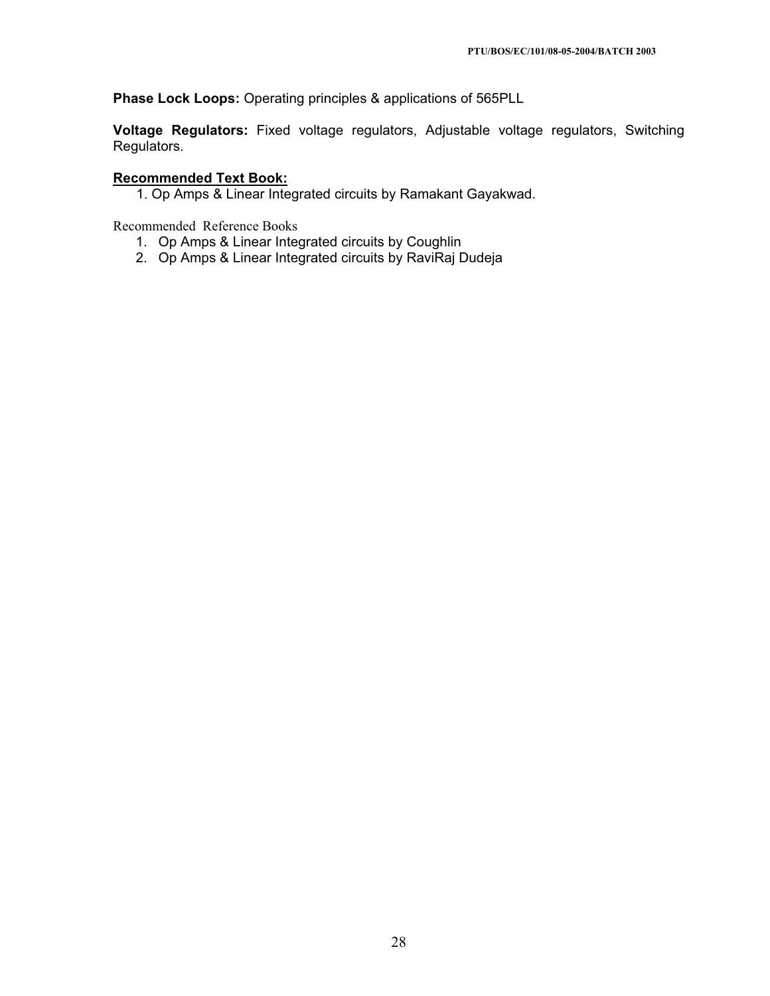**Phase Lock Loops:** Operating principles & applications of 565PLL

**Voltage Regulators:** Fixed voltage regulators, Adjustable voltage regulators, Switching Regulators.

# **Recommended Text Book:**

1. Op Amps & Linear Integrated circuits by Ramakant Gayakwad.

Recommended Reference Books

- 1. Op Amps & Linear Integrated circuits by Coughlin
- 2. Op Amps & Linear Integrated circuits by RaviRaj Dudeja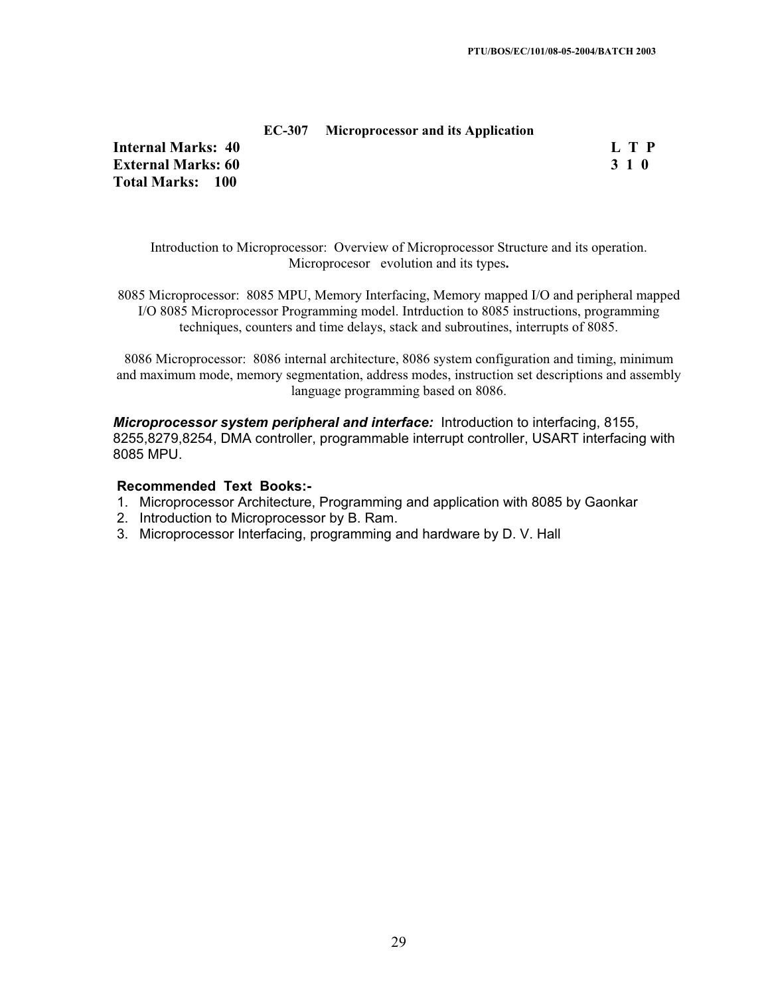#### **EC-307 Microprocessor and its Application**

**Internal Marks: 40 L T P L T P External Marks: 60 3 1 0 Total Marks: 100**

Introduction to Microprocessor: Overview of Microprocessor Structure and its operation. Microprocesor evolution and its types**.**

8085 Microprocessor: 8085 MPU, Memory Interfacing, Memory mapped I/O and peripheral mapped I/O 8085 Microprocessor Programming model. Intrduction to 8085 instructions, programming techniques, counters and time delays, stack and subroutines, interrupts of 8085.

8086 Microprocessor: 8086 internal architecture, 8086 system configuration and timing, minimum and maximum mode, memory segmentation, address modes, instruction set descriptions and assembly language programming based on 8086.

*Microprocessor system peripheral and interface:* Introduction to interfacing, 8155, 8255,8279,8254, DMA controller, programmable interrupt controller, USART interfacing with 8085 MPU.

- 1. Microprocessor Architecture, Programming and application with 8085 by Gaonkar
- 2. Introduction to Microprocessor by B. Ram.
- 3. Microprocessor Interfacing, programming and hardware by D. V. Hall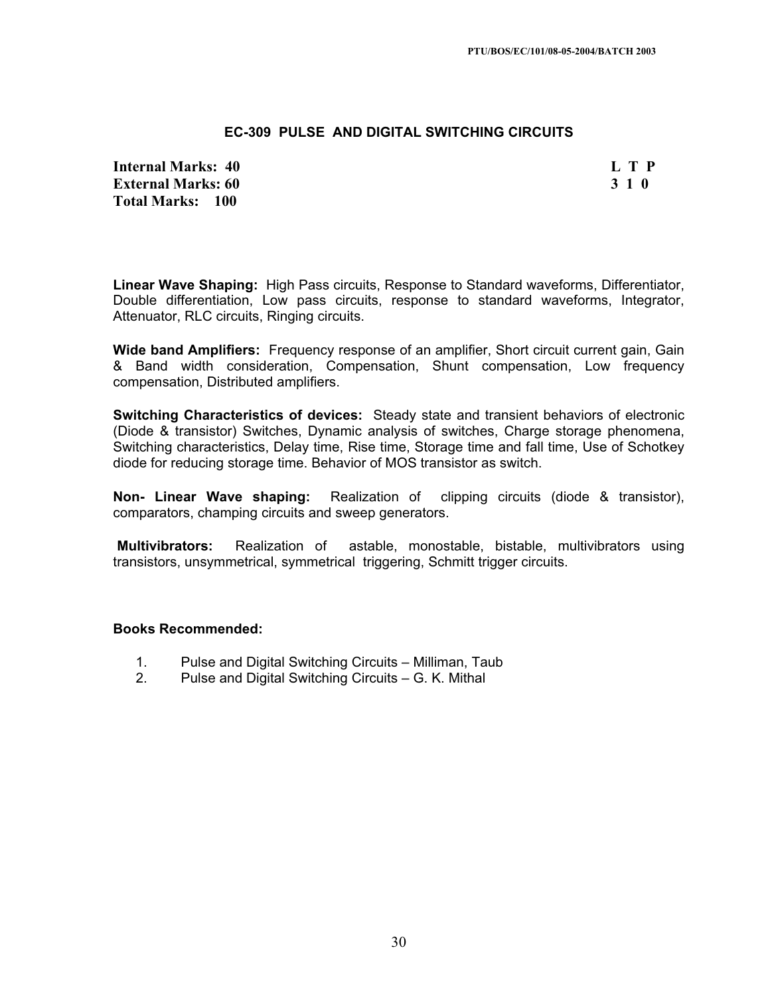## **EC-309 PULSE AND DIGITAL SWITCHING CIRCUITS**

**Internal Marks: 40 L T P External Marks: 60 3 1 0 Total Marks: 100**

**Linear Wave Shaping:** High Pass circuits, Response to Standard waveforms, Differentiator, Double differentiation, Low pass circuits, response to standard waveforms, Integrator, Attenuator, RLC circuits, Ringing circuits.

**Wide band Amplifiers:** Frequency response of an amplifier, Short circuit current gain, Gain & Band width consideration, Compensation, Shunt compensation, Low frequency compensation, Distributed amplifiers.

**Switching Characteristics of devices:** Steady state and transient behaviors of electronic (Diode & transistor) Switches, Dynamic analysis of switches, Charge storage phenomena, Switching characteristics, Delay time, Rise time, Storage time and fall time, Use of Schotkey diode for reducing storage time. Behavior of MOS transistor as switch.

**Non- Linear Wave shaping:** Realization of clipping circuits (diode & transistor), comparators, champing circuits and sweep generators.

**Multivibrators:** Realization of astable, monostable, bistable, multivibrators using transistors, unsymmetrical, symmetrical triggering, Schmitt trigger circuits.

#### **Books Recommended:**

- 1. Pulse and Digital Switching Circuits Milliman, Taub
- 2. Pulse and Digital Switching Circuits G. K. Mithal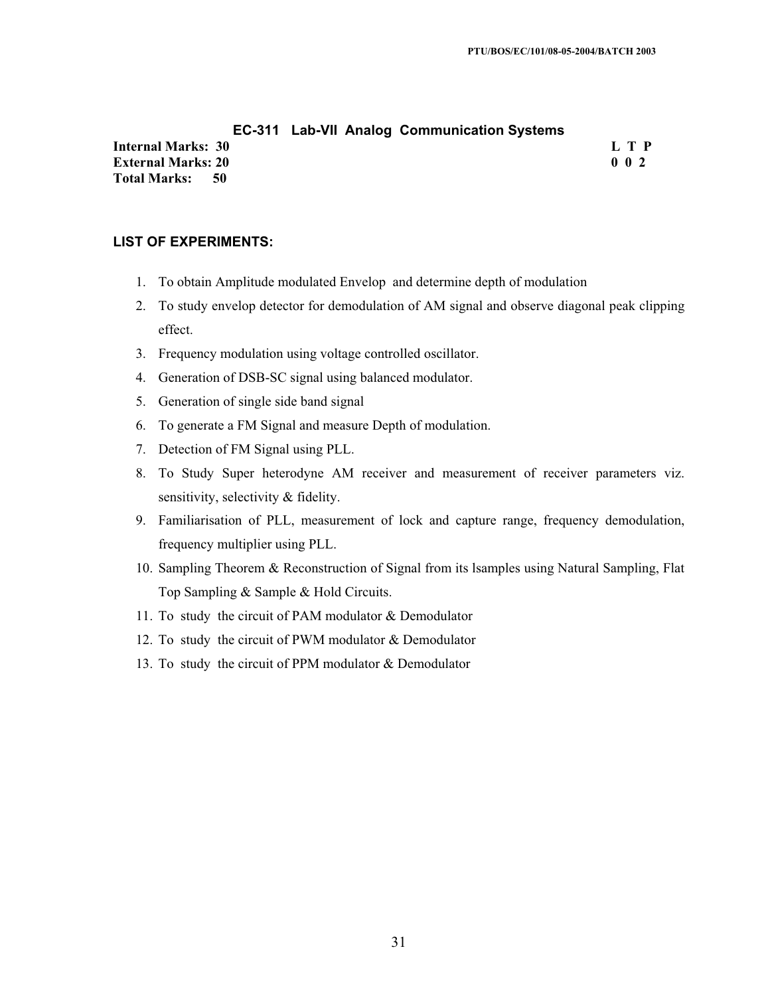#### **EC-311 Lab-VII Analog Communication Systems**

**Internal Marks: 30 L T P L T P External Marks: 20 0 0 2 Total Marks: 50**

## **LIST OF EXPERIMENTS:**

- 1. To obtain Amplitude modulated Envelop and determine depth of modulation
- 2. To study envelop detector for demodulation of AM signal and observe diagonal peak clipping effect.
- 3. Frequency modulation using voltage controlled oscillator.
- 4. Generation of DSB-SC signal using balanced modulator.
- 5. Generation of single side band signal
- 6. To generate a FM Signal and measure Depth of modulation.
- 7. Detection of FM Signal using PLL.
- 8. To Study Super heterodyne AM receiver and measurement of receiver parameters viz. sensitivity, selectivity & fidelity.
- 9. Familiarisation of PLL, measurement of lock and capture range, frequency demodulation, frequency multiplier using PLL.
- 10. Sampling Theorem & Reconstruction of Signal from its lsamples using Natural Sampling, Flat Top Sampling & Sample & Hold Circuits.
- 11. To study the circuit of PAM modulator & Demodulator
- 12. To study the circuit of PWM modulator & Demodulator
- 13. To study the circuit of PPM modulator & Demodulator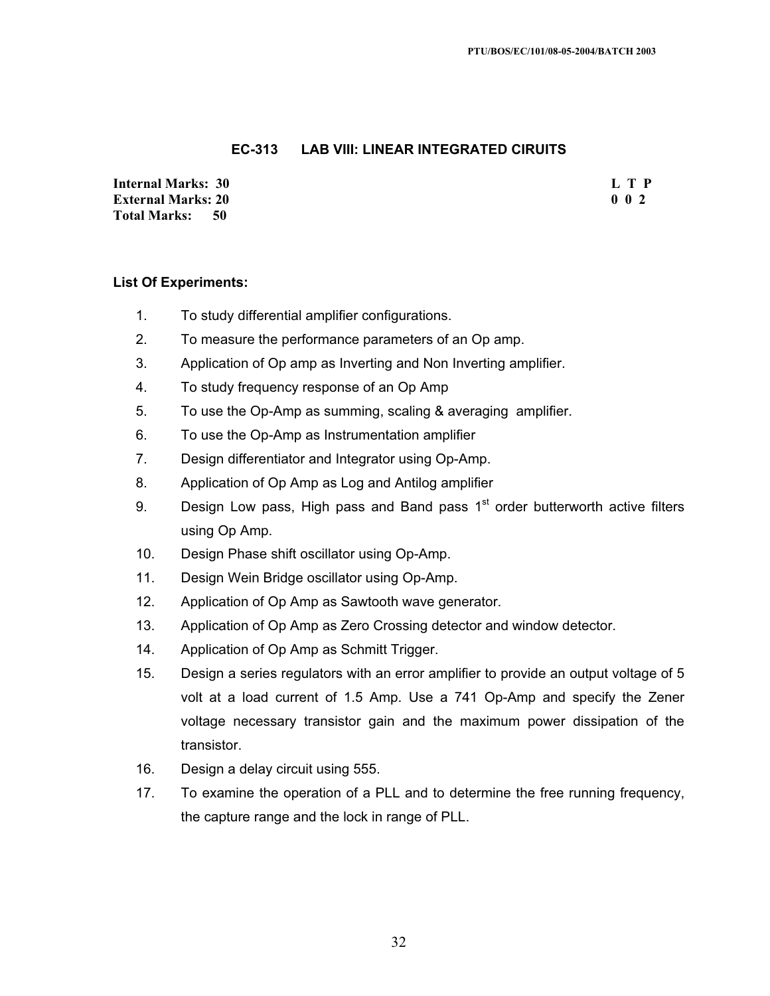## **EC-313 LAB VIII: LINEAR INTEGRATED CIRUITS**

**Internal Marks: 30 L T P I** L T P **External Marks: 20 0 0 2** 0 0 2 **Total Marks: 50**

## **List Of Experiments:**

- 1. To study differential amplifier configurations.
- 2. To measure the performance parameters of an Op amp.
- 3. Application of Op amp as Inverting and Non Inverting amplifier.
- 4. To study frequency response of an Op Amp
- 5. To use the Op-Amp as summing, scaling & averaging amplifier.
- 6. To use the Op-Amp as Instrumentation amplifier
- 7. Design differentiator and Integrator using Op-Amp.
- 8. Application of Op Amp as Log and Antilog amplifier
- 9. Design Low pass, High pass and Band pass  $1<sup>st</sup>$  order butterworth active filters using Op Amp.
- 10. Design Phase shift oscillator using Op-Amp.
- 11. Design Wein Bridge oscillator using Op-Amp.
- 12. Application of Op Amp as Sawtooth wave generator.
- 13. Application of Op Amp as Zero Crossing detector and window detector.
- 14. Application of Op Amp as Schmitt Trigger.
- 15. Design a series regulators with an error amplifier to provide an output voltage of 5 volt at a load current of 1.5 Amp. Use a 741 Op-Amp and specify the Zener voltage necessary transistor gain and the maximum power dissipation of the transistor.
- 16. Design a delay circuit using 555.
- 17. To examine the operation of a PLL and to determine the free running frequency, the capture range and the lock in range of PLL.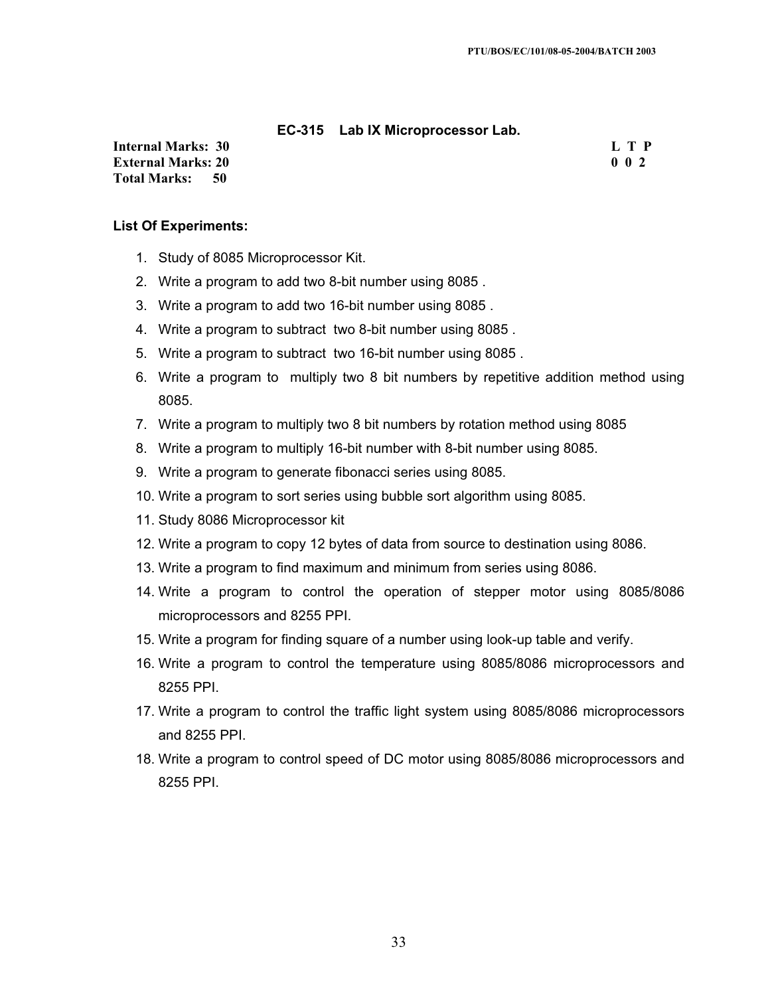#### **EC-315 Lab IX Microprocessor Lab.**

**Internal Marks: 30 L T P L T P External Marks: 20 0 0 2 Total Marks: 50**

#### **List Of Experiments:**

- 1. Study of 8085 Microprocessor Kit.
- 2. Write a program to add two 8-bit number using 8085 .
- 3. Write a program to add two 16-bit number using 8085 .
- 4. Write a program to subtract two 8-bit number using 8085 .
- 5. Write a program to subtract two 16-bit number using 8085 .
- 6. Write a program to multiply two 8 bit numbers by repetitive addition method using 8085.
- 7. Write a program to multiply two 8 bit numbers by rotation method using 8085
- 8. Write a program to multiply 16-bit number with 8-bit number using 8085.
- 9. Write a program to generate fibonacci series using 8085.
- 10. Write a program to sort series using bubble sort algorithm using 8085.
- 11. Study 8086 Microprocessor kit
- 12. Write a program to copy 12 bytes of data from source to destination using 8086.
- 13. Write a program to find maximum and minimum from series using 8086.
- 14. Write a program to control the operation of stepper motor using 8085/8086 microprocessors and 8255 PPI.
- 15. Write a program for finding square of a number using look-up table and verify.
- 16. Write a program to control the temperature using 8085/8086 microprocessors and 8255 PPI.
- 17. Write a program to control the traffic light system using 8085/8086 microprocessors and 8255 PPI.
- 18. Write a program to control speed of DC motor using 8085/8086 microprocessors and 8255 PPI.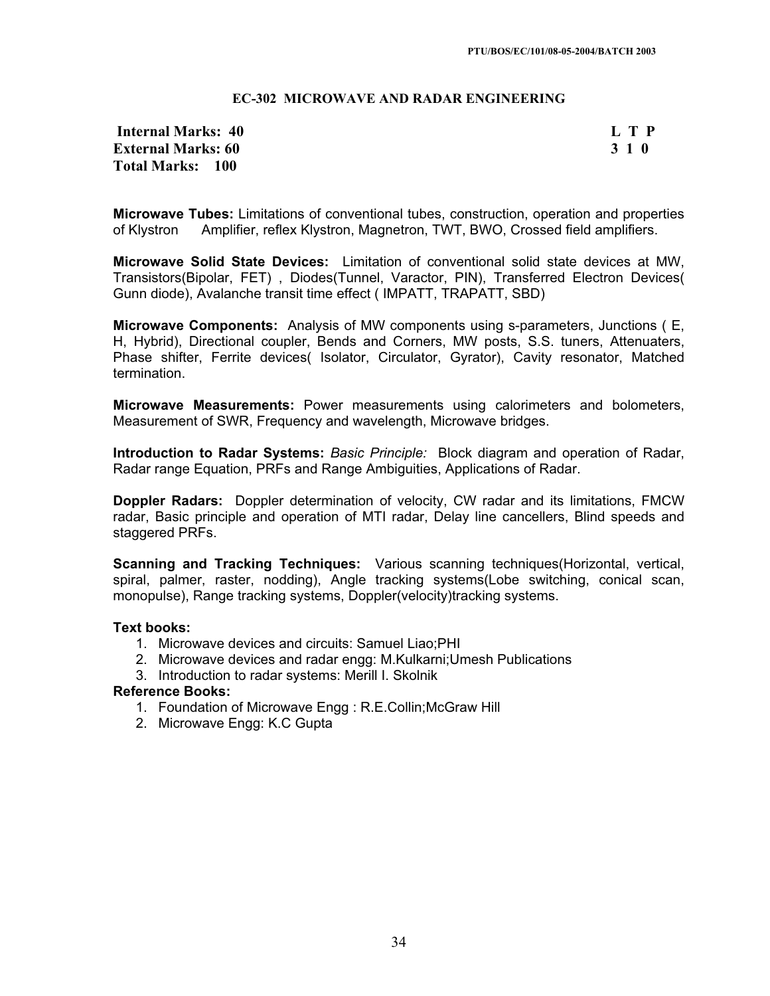#### **EC-302 MICROWAVE AND RADAR ENGINEERING**

## **Internal Marks: 40 L T P L T P External Marks: 60 3 1 0 3 2 3 3 4 6 3 4 5 4 4 4 4 4 5 4 5 4 5 4 4 5 4 5 6 7 6 7 7 8 4 5 6 7 7 8 7 7 8 7 8 7 7 8 7 8 7 7 8 7 7 8 7 7 8 7 7 8 7 7 8 7 7 8 7 7 8 7 7 8 7 7 8 7 7 8 7 7 8 7 7 8 7 7 8 7 7 8 7 7 8 7 7 8 7 7 8 7 Total Marks: 100**

**Microwave Tubes:** Limitations of conventional tubes, construction, operation and properties of Klystron Amplifier, reflex Klystron, Magnetron, TWT, BWO, Crossed field amplifiers.

**Microwave Solid State Devices:** Limitation of conventional solid state devices at MW, Transistors(Bipolar, FET) , Diodes(Tunnel, Varactor, PIN), Transferred Electron Devices( Gunn diode), Avalanche transit time effect ( IMPATT, TRAPATT, SBD)

**Microwave Components:** Analysis of MW components using s-parameters, Junctions ( E, H, Hybrid), Directional coupler, Bends and Corners, MW posts, S.S. tuners, Attenuaters, Phase shifter, Ferrite devices( Isolator, Circulator, Gyrator), Cavity resonator, Matched termination.

**Microwave Measurements:** Power measurements using calorimeters and bolometers, Measurement of SWR, Frequency and wavelength, Microwave bridges.

**Introduction to Radar Systems:** *Basic Principle:* Block diagram and operation of Radar, Radar range Equation, PRFs and Range Ambiguities, Applications of Radar.

**Doppler Radars:** Doppler determination of velocity, CW radar and its limitations, FMCW radar, Basic principle and operation of MTI radar, Delay line cancellers, Blind speeds and staggered PRFs.

**Scanning and Tracking Techniques:** Various scanning techniques(Horizontal, vertical, spiral, palmer, raster, nodding), Angle tracking systems(Lobe switching, conical scan, monopulse), Range tracking systems, Doppler(velocity)tracking systems.

#### **Text books:**

- 1. Microwave devices and circuits: Samuel Liao;PHI
- 2. Microwave devices and radar engg: M.Kulkarni;Umesh Publications
- 3. Introduction to radar systems: Merill I. Skolnik

#### **Reference Books:**

- 1. Foundation of Microwave Engg : R.E.Collin;McGraw Hill
- 2. Microwave Engg: K.C Gupta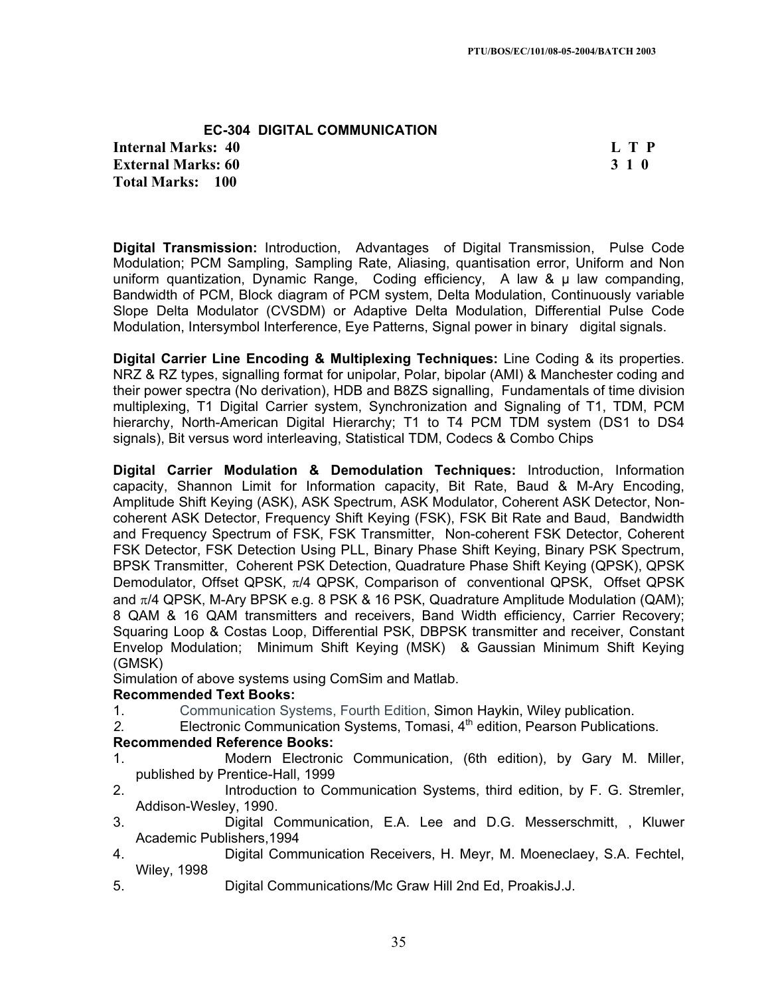**EC-304 DIGITAL COMMUNICATION Internal Marks: 40 L T P L T P External Marks: 60 3 1 0 3 2 3 3 4 6 3 4 5 4 5 4 5 4 6 4 7 4 5 4 6 4 7 6 7 7 8 7 7 8 7 7 8 7 7 8 7 8 7 7 8 7 7 8 7 8 7 7 8 7 7 8 7 7 8 7 7 8 7 7 8 7 7 8 7 7 8 7 7 8 7 7 8 7 7 8 7 7 8 7 7 8 7 7 8 7 7 8 7 7 8 7 7 8 7 7 8 7 Total Marks: 100**

**Digital Transmission:** Introduction, Advantages of Digital Transmission, Pulse Code Modulation; PCM Sampling, Sampling Rate, Aliasing, quantisation error, Uniform and Non uniform quantization, Dynamic Range, Coding efficiency, A law & u law companding, Bandwidth of PCM, Block diagram of PCM system, Delta Modulation, Continuously variable Slope Delta Modulator (CVSDM) or Adaptive Delta Modulation, Differential Pulse Code Modulation, Intersymbol Interference, Eye Patterns, Signal power in binary digital signals.

**Digital Carrier Line Encoding & Multiplexing Techniques:** Line Coding & its properties. NRZ & RZ types, signalling format for unipolar, Polar, bipolar (AMI) & Manchester coding and their power spectra (No derivation), HDB and B8ZS signalling, Fundamentals of time division multiplexing, T1 Digital Carrier system, Synchronization and Signaling of T1, TDM, PCM hierarchy, North-American Digital Hierarchy; T1 to T4 PCM TDM system (DS1 to DS4 signals), Bit versus word interleaving, Statistical TDM, Codecs & Combo Chips

**Digital Carrier Modulation & Demodulation Techniques:** Introduction, Information capacity, Shannon Limit for Information capacity, Bit Rate, Baud & M-Ary Encoding, Amplitude Shift Keying (ASK), ASK Spectrum, ASK Modulator, Coherent ASK Detector, Noncoherent ASK Detector, Frequency Shift Keying (FSK), FSK Bit Rate and Baud, Bandwidth and Frequency Spectrum of FSK, FSK Transmitter, Non-coherent FSK Detector, Coherent FSK Detector, FSK Detection Using PLL, Binary Phase Shift Keying, Binary PSK Spectrum, BPSK Transmitter, Coherent PSK Detection, Quadrature Phase Shift Keying (QPSK), QPSK Demodulator, Offset QPSK,  $\pi/4$  QPSK, Comparison of conventional QPSK, Offset QPSK and  $\pi/4$  QPSK, M-Ary BPSK e.g. 8 PSK & 16 PSK, Quadrature Amplitude Modulation (QAM); 8 QAM & 16 QAM transmitters and receivers, Band Width efficiency, Carrier Recovery; Squaring Loop & Costas Loop, Differential PSK, DBPSK transmitter and receiver, Constant Envelop Modulation; Minimum Shift Keying (MSK) & Gaussian Minimum Shift Keying (GMSK)

Simulation of above systems using ComSim and Matlab.

#### **Recommended Text Books:**

- 1. Communication Systems, Fourth Edition, Simon Haykin, Wiley publication.
- *2.* Electronic Communication Systems, Tomasi, 4th edition, Pearson Publications*.*

#### **Recommended Reference Books:**

- 1. Modern Electronic Communication, (6th edition), by Gary M. Miller, published by Prentice-Hall, 1999
- 2. Introduction to Communication Systems, third edition, by F. G. Stremler, Addison-Wesley, 1990.
- 3. Digital Communication, E.A. Lee and D.G. Messerschmitt, , Kluwer Academic Publishers,1994
- 4. Digital Communication Receivers, H. Meyr, M. Moeneclaey, S.A. Fechtel, Wiley, 1998
- 5. Digital Communications/Mc Graw Hill 2nd Ed, ProakisJ.J.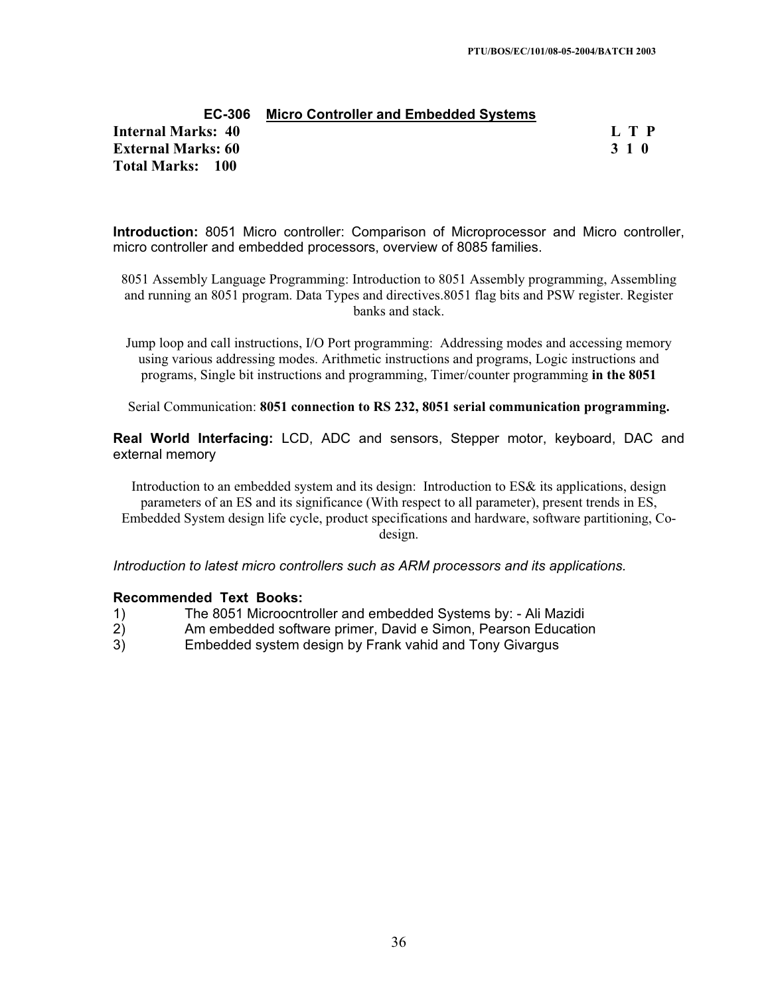| EC-306                    | <b>Micro Controller and Embedded Systems</b> |       |
|---------------------------|----------------------------------------------|-------|
| Internal Marks: 40        |                                              | L T P |
| <b>External Marks: 60</b> |                                              | 3 1 0 |
| Total Marks: 100          |                                              |       |

**Introduction:** 8051 Micro controller: Comparison of Microprocessor and Micro controller, micro controller and embedded processors, overview of 8085 families.

8051 Assembly Language Programming: Introduction to 8051 Assembly programming, Assembling and running an 8051 program. Data Types and directives.8051 flag bits and PSW register. Register banks and stack.

Jump loop and call instructions, I/O Port programming: Addressing modes and accessing memory using various addressing modes. Arithmetic instructions and programs, Logic instructions and programs, Single bit instructions and programming, Timer/counter programming **in the 8051**

Serial Communication: **8051 connection to RS 232, 8051 serial communication programming.** 

**Real World Interfacing:** LCD, ADC and sensors, Stepper motor, keyboard, DAC and external memory

Introduction to an embedded system and its design: Introduction to ES& its applications, design parameters of an ES and its significance (With respect to all parameter), present trends in ES, Embedded System design life cycle, product specifications and hardware, software partitioning, Codesign.

*Introduction to latest micro controllers such as ARM processors and its applications.* 

- 1) The 8051 Microocntroller and embedded Systems by: Ali Mazidi
- 2) Am embedded software primer, David e Simon, Pearson Education
- 3) Embedded system design by Frank vahid and Tony Givargus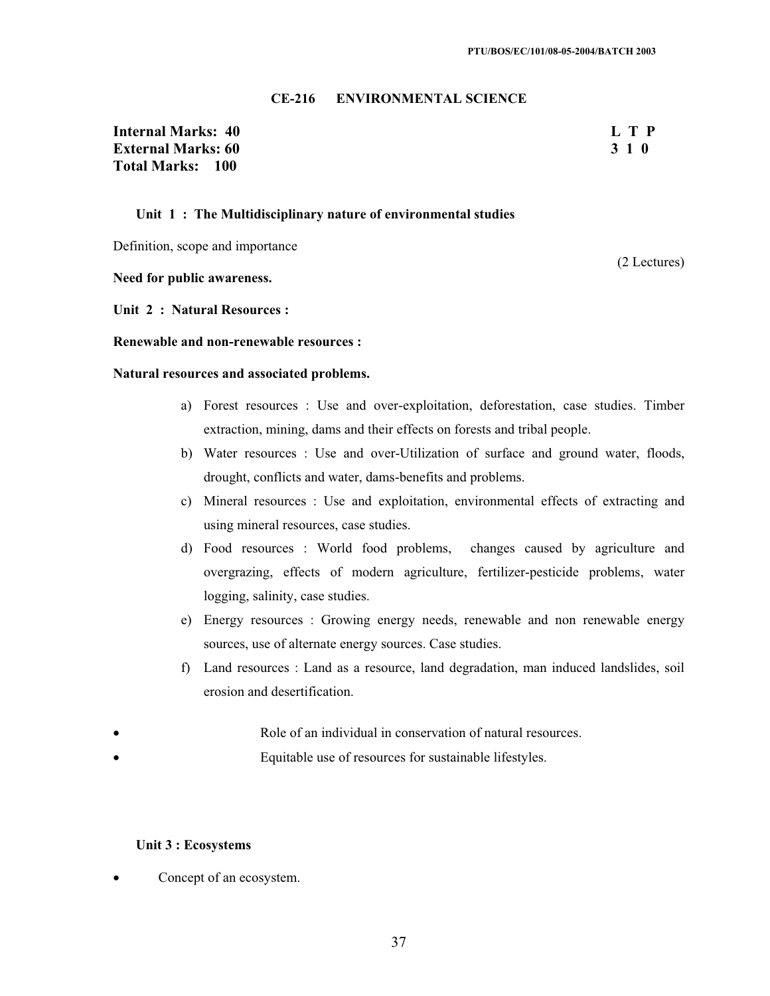#### **CE-216 ENVIRONMENTAL SCIENCE**

## **Internal Marks: 40 L T P External Marks: 60 3 1 0** 3 3 1 0 3 3 4 0 3 3 4 0 3 3 4 0 3 3 4 0 3 3 4 0 3 4  $\sigma$ **Total Marks: 100**

(2 Lectures)

#### **Unit 1 : The Multidisciplinary nature of environmental studies**

Definition, scope and importance

**Need for public awareness.** 

**Unit 2 : Natural Resources :** 

**Renewable and non-renewable resources :** 

**Natural resources and associated problems.** 

- a) Forest resources : Use and over-exploitation, deforestation, case studies. Timber extraction, mining, dams and their effects on forests and tribal people.
- b) Water resources : Use and over-Utilization of surface and ground water, floods, drought, conflicts and water, dams-benefits and problems.
- c) Mineral resources : Use and exploitation, environmental effects of extracting and using mineral resources, case studies.
- d) Food resources : World food problems, changes caused by agriculture and overgrazing, effects of modern agriculture, fertilizer-pesticide problems, water logging, salinity, case studies.
- e) Energy resources : Growing energy needs, renewable and non renewable energy sources, use of alternate energy sources. Case studies.
- f) Land resources : Land as a resource, land degradation, man induced landslides, soil erosion and desertification.
- Role of an individual in conservation of natural resources.
- Equitable use of resources for sustainable lifestyles.

#### **Unit 3 : Ecosystems**

Concept of an ecosystem.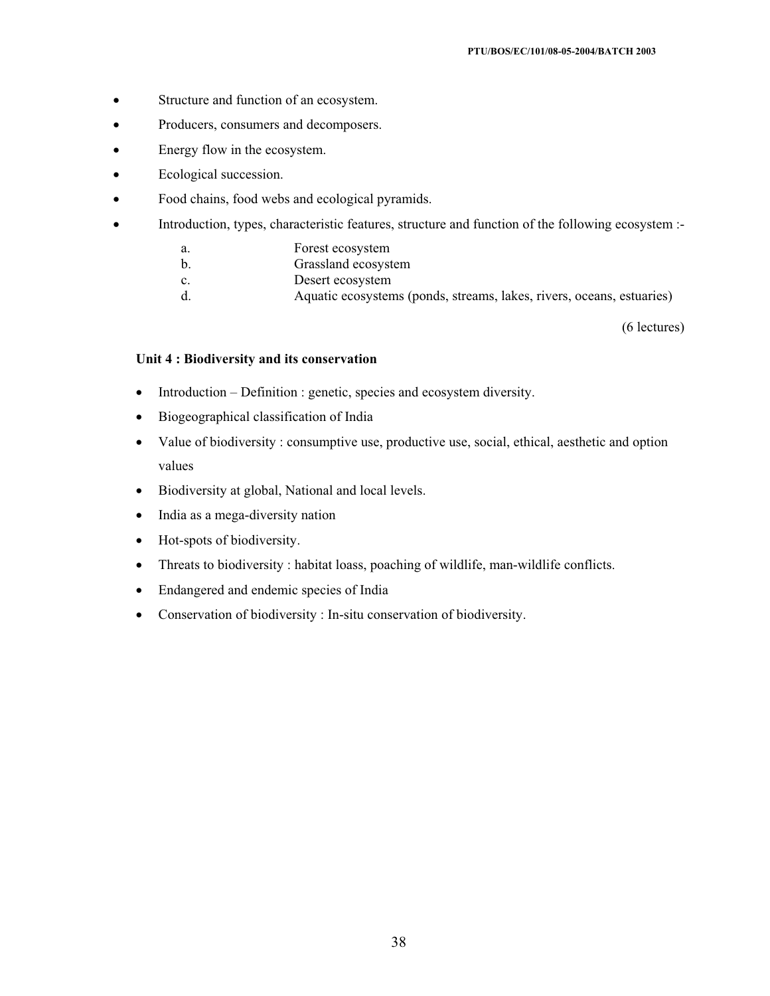- Structure and function of an ecosystem.
- Producers, consumers and decomposers.
- Energy flow in the ecosystem.
- Ecological succession.
- Food chains, food webs and ecological pyramids.
- Introduction, types, characteristic features, structure and function of the following ecosystem :
	- a. Forest ecosystem
	- b. Grassland ecosystem
	- c. Desert ecosystem
	- d. Aquatic ecosystems (ponds, streams, lakes, rivers, oceans, estuaries)

(6 lectures)

#### **Unit 4 : Biodiversity and its conservation**

- $\bullet$  Introduction Definition : genetic, species and ecosystem diversity.
- Biogeographical classification of India
- Value of biodiversity : consumptive use, productive use, social, ethical, aesthetic and option values
- Biodiversity at global, National and local levels.
- India as a mega-diversity nation
- Hot-spots of biodiversity.
- Threats to biodiversity : habitat loass, poaching of wildlife, man-wildlife conflicts.
- Endangered and endemic species of India
- Conservation of biodiversity : In-situ conservation of biodiversity.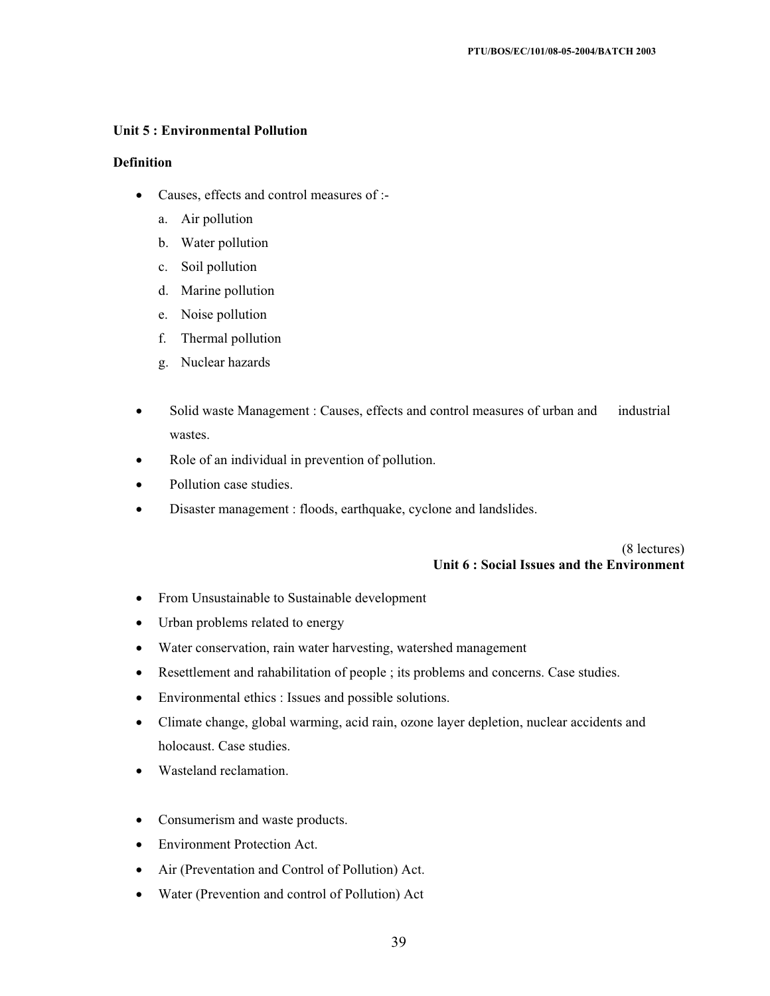#### **Unit 5 : Environmental Pollution**

#### **Definition**

- Causes, effects and control measures of :
	- a. Air pollution
	- b. Water pollution
	- c. Soil pollution
	- d. Marine pollution
	- e. Noise pollution
	- f. Thermal pollution
	- g. Nuclear hazards
- Solid waste Management : Causes, effects and control measures of urban and industrial wastes.
- Role of an individual in prevention of pollution.
- Pollution case studies.
- Disaster management : floods, earthquake, cyclone and landslides.

(8 lectures) **Unit 6 : Social Issues and the Environment** 

- From Unsustainable to Sustainable development
- Urban problems related to energy
- Water conservation, rain water harvesting, watershed management
- Resettlement and rahabilitation of people ; its problems and concerns. Case studies.
- Environmental ethics : Issues and possible solutions.
- Climate change, global warming, acid rain, ozone layer depletion, nuclear accidents and holocaust. Case studies.
- Wasteland reclamation.
- Consumerism and waste products.
- Environment Protection Act.
- Air (Preventation and Control of Pollution) Act.
- Water (Prevention and control of Pollution) Act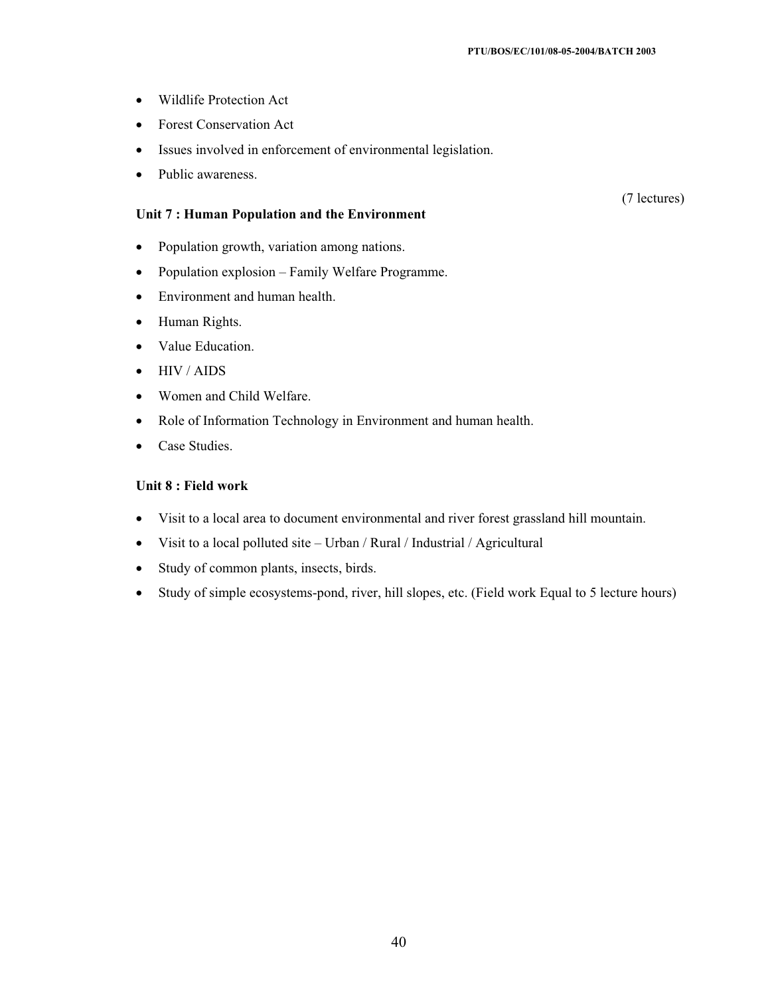- Wildlife Protection Act
- Forest Conservation Act
- Issues involved in enforcement of environmental legislation.
- Public awareness.

#### **Unit 7 : Human Population and the Environment**

- Population growth, variation among nations.
- Population explosion Family Welfare Programme.
- Environment and human health.
- Human Rights.
- Value Education.
- $\bullet$  HIV / AIDS
- Women and Child Welfare.
- Role of Information Technology in Environment and human health.
- Case Studies.

## **Unit 8 : Field work**

- Visit to a local area to document environmental and river forest grassland hill mountain.
- $\bullet$  Visit to a local polluted site Urban / Rural / Industrial / Agricultural
- Study of common plants, insects, birds.
- Study of simple ecosystems-pond, river, hill slopes, etc. (Field work Equal to 5 lecture hours)

(7 lectures)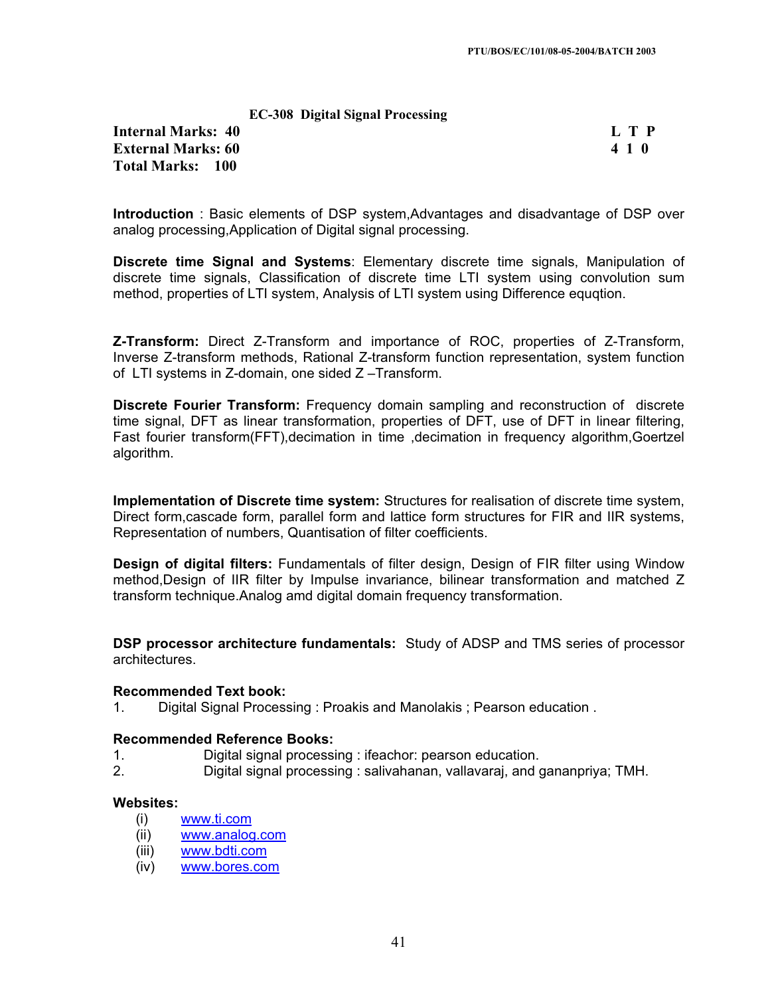| <b>EC-308 Digital Signal Processing</b> |  |  |
|-----------------------------------------|--|--|
|-----------------------------------------|--|--|

**Internal Marks: 40 L T P External Marks: 60 4 1 0 Total Marks: 100**

**Introduction** : Basic elements of DSP system,Advantages and disadvantage of DSP over analog processing,Application of Digital signal processing.

**Discrete time Signal and Systems**: Elementary discrete time signals, Manipulation of discrete time signals, Classification of discrete time LTI system using convolution sum method, properties of LTI system, Analysis of LTI system using Difference equqtion.

**Z-Transform:** Direct Z-Transform and importance of ROC, properties of Z-Transform, Inverse Z-transform methods, Rational Z-transform function representation, system function of LTI systems in Z-domain, one sided Z –Transform.

**Discrete Fourier Transform:** Frequency domain sampling and reconstruction of discrete time signal, DFT as linear transformation, properties of DFT, use of DFT in linear filtering, Fast fourier transform(FFT),decimation in time ,decimation in frequency algorithm,Goertzel algorithm.

**Implementation of Discrete time system:** Structures for realisation of discrete time system, Direct form,cascade form, parallel form and lattice form structures for FIR and IIR systems, Representation of numbers, Quantisation of filter coefficients.

**Design of digital filters:** Fundamentals of filter design, Design of FIR filter using Window method,Design of IIR filter by Impulse invariance, bilinear transformation and matched Z transform technique.Analog amd digital domain frequency transformation.

**DSP processor architecture fundamentals:** Study of ADSP and TMS series of processor architectures.

#### **Recommended Text book:**

1. Digital Signal Processing : Proakis and Manolakis ; Pearson education .

#### **Recommended Reference Books:**

- 1. Digital signal processing : ifeachor: pearson education.
- 2. Digital signal processing : salivahanan, vallavaraj, and gananpriya; TMH.

## **Websites:**

- (i) www.ti.com
- (ii) www.analog.com
- (iii) www.bdti.com
- (iv) www.bores.com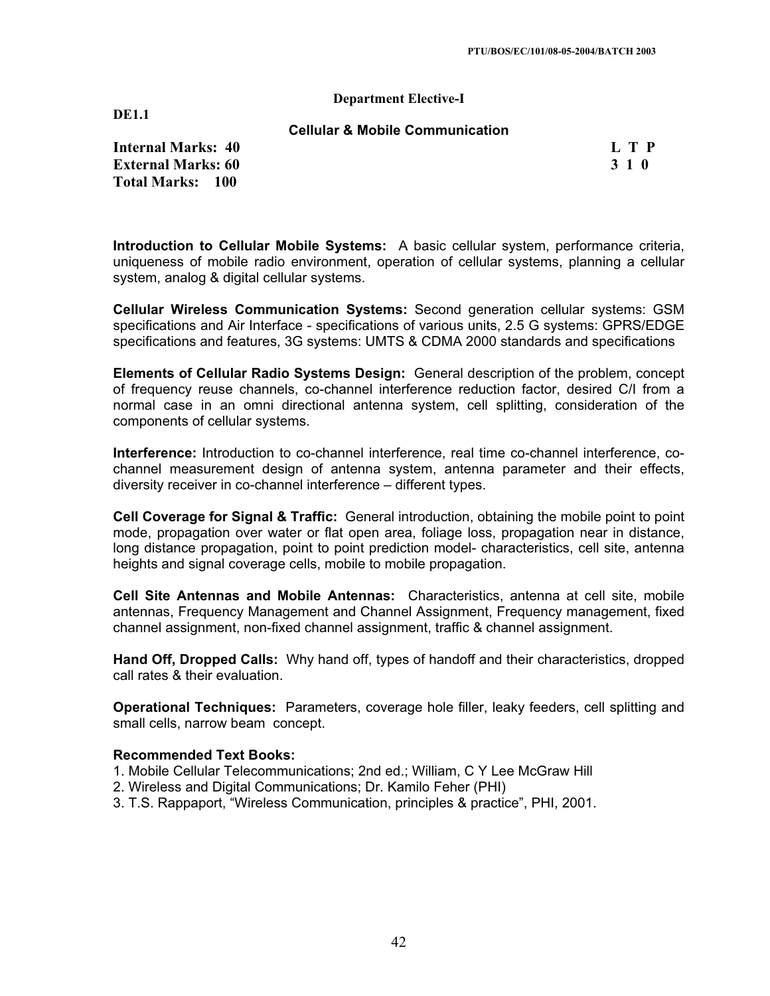#### **Department Elective-I**

**DE1.1**

**Cellular & Mobile Communication** 

**Internal Marks: 40 L T P L T P External Marks: 60 3 1 0 3 2 3 3 4 6 3 4 5 4 5 4 5 4 6 4 7 4 5 4 6 4 7 6 7 7 8 7 7 8 7 7 8 7 7 8 7 7 8 7 7 8 7 7 8 7 7 8 7 7 8 7 7 8 7 7 8 7 7 8 7 7 8 7 7 8 7 7 8 7 7 8 7 7 8 7 7 8 7 7 8 7 7 8 7 7 8 7 7 8 7 7 8 7 7 8 7 7 Total Marks: 100**

**Introduction to Cellular Mobile Systems:** A basic cellular system, performance criteria, uniqueness of mobile radio environment, operation of cellular systems, planning a cellular system, analog & digital cellular systems.

**Cellular Wireless Communication Systems:** Second generation cellular systems: GSM specifications and Air Interface - specifications of various units, 2.5 G systems: GPRS/EDGE specifications and features, 3G systems: UMTS & CDMA 2000 standards and specifications

**Elements of Cellular Radio Systems Design:** General description of the problem, concept of frequency reuse channels, co-channel interference reduction factor, desired C/I from a normal case in an omni directional antenna system, cell splitting, consideration of the components of cellular systems.

**Interference:** Introduction to co-channel interference, real time co-channel interference, cochannel measurement design of antenna system, antenna parameter and their effects, diversity receiver in co-channel interference – different types.

**Cell Coverage for Signal & Traffic:** General introduction, obtaining the mobile point to point mode, propagation over water or flat open area, foliage loss, propagation near in distance, long distance propagation, point to point prediction model- characteristics, cell site, antenna heights and signal coverage cells, mobile to mobile propagation.

**Cell Site Antennas and Mobile Antennas:** Characteristics, antenna at cell site, mobile antennas, Frequency Management and Channel Assignment, Frequency management, fixed channel assignment, non-fixed channel assignment, traffic & channel assignment.

**Hand Off, Dropped Calls:** Why hand off, types of handoff and their characteristics, dropped call rates & their evaluation.

**Operational Techniques:** Parameters, coverage hole filler, leaky feeders, cell splitting and small cells, narrow beam concept.

- 1. Mobile Cellular Telecommunications; 2nd ed.; William, C Y Lee McGraw Hill
- 2. Wireless and Digital Communications; Dr. Kamilo Feher (PHI)
- 3. T.S. Rappaport, "Wireless Communication, principles & practice", PHI, 2001.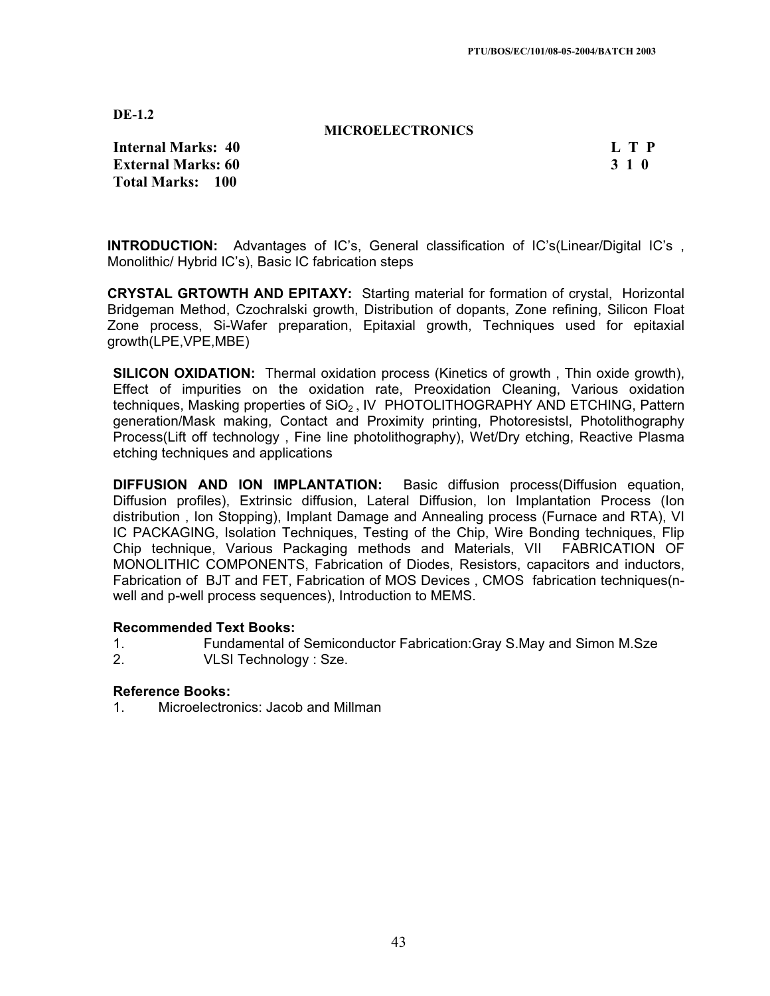**MICROELECTRONICS**

**Internal Marks: 40 L T P L T P External Marks: 60 3 1 0 3 2 3 3 4 6 3 4 5 4 5 4 5 4 6 4 7 4 5 4 6 4 7 6 7 7 8 7 7 8 7 7 8 7 7 8 7 8 7 7 8 7 7 8 7 8 7 7 8 7 7 8 7 7 8 7 7 8 7 7 8 7 7 8 7 7 8 7 7 8 7 7 8 7 7 8 7 7 8 7 7 8 7 7 8 7 7 8 7 7 8 7 7 8 7 7 8 7 Total Marks: 100**

**INTRODUCTION:** Advantages of IC's, General classification of IC's(Linear/Digital IC's , Monolithic/ Hybrid IC's), Basic IC fabrication steps

**CRYSTAL GRTOWTH AND EPITAXY:** Starting material for formation of crystal, Horizontal Bridgeman Method, Czochralski growth, Distribution of dopants, Zone refining, Silicon Float Zone process, Si-Wafer preparation, Epitaxial growth, Techniques used for epitaxial growth(LPE,VPE,MBE)

**SILICON OXIDATION:** Thermal oxidation process (Kinetics of growth , Thin oxide growth), Effect of impurities on the oxidation rate, Preoxidation Cleaning, Various oxidation techniques, Masking properties of  $SiO<sub>2</sub>$ , IV PHOTOLITHOGRAPHY AND ETCHING, Pattern generation/Mask making, Contact and Proximity printing, Photoresistsl, Photolithography Process(Lift off technology , Fine line photolithography), Wet/Dry etching, Reactive Plasma etching techniques and applications

**DIFFUSION AND ION IMPLANTATION:** Basic diffusion process(Diffusion equation, Diffusion profiles), Extrinsic diffusion, Lateral Diffusion, Ion Implantation Process (Ion distribution , Ion Stopping), Implant Damage and Annealing process (Furnace and RTA), VI IC PACKAGING, Isolation Techniques, Testing of the Chip, Wire Bonding techniques, Flip Chip technique, Various Packaging methods and Materials, VII FABRICATION OF MONOLITHIC COMPONENTS, Fabrication of Diodes, Resistors, capacitors and inductors, Fabrication of BJT and FET, Fabrication of MOS Devices , CMOS fabrication techniques(nwell and p-well process sequences), Introduction to MEMS.

#### **Recommended Text Books:**

- 1. Fundamental of Semiconductor Fabrication:Gray S.May and Simon M.Sze
- 2. VLSI Technology : Sze.

## **Reference Books:**

1. Microelectronics: Jacob and Millman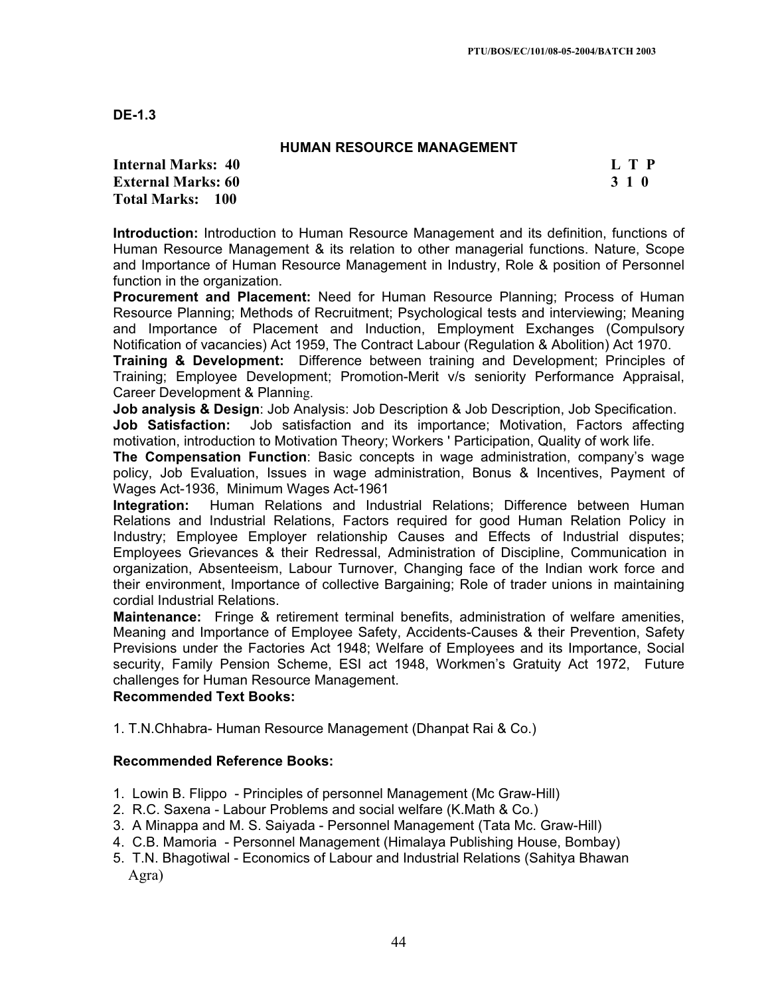## **HUMAN RESOURCE MANAGEMENT**

**Internal Marks: 40 L T P L T P External Marks: 60 3 1 0 3 2 3 4 6 7 7 7 8 7 7 8 7 7 8 7 7 8 7 7 8 7 7 8 7 7 8 7 7 8 7 7 8 7 7 8 7 7 8 7 7 8 7 7 8 7 7 8 7 7 8 7 7 8 7 7 8 7 7 8 7 7 8 7 7 8 7 7 8 7 7 8 7 7 8 7 7 8 7 7 8 7 7 8 7 7 8 7 7 8 7 7 8 7 7 8 7 7 Total Marks: 100**

**Introduction:** Introduction to Human Resource Management and its definition, functions of Human Resource Management & its relation to other managerial functions. Nature, Scope and Importance of Human Resource Management in Industry, Role & position of Personnel function in the organization.

**Procurement and Placement:** Need for Human Resource Planning; Process of Human Resource Planning; Methods of Recruitment; Psychological tests and interviewing; Meaning and Importance of Placement and Induction, Employment Exchanges (Compulsory Notification of vacancies) Act 1959, The Contract Labour (Regulation & Abolition) Act 1970.

**Training & Development:** Difference between training and Development; Principles of Training; Employee Development; Promotion-Merit v/s seniority Performance Appraisal, Career Development & Planning.

**Job analysis & Design**: Job Analysis: Job Description & Job Description, Job Specification. **Job Satisfaction:** Job satisfaction and its importance; Motivation, Factors affecting motivation, introduction to Motivation Theory; Workers ' Participation, Quality of work life.

**The Compensation Function**: Basic concepts in wage administration, company's wage policy, Job Evaluation, Issues in wage administration, Bonus & Incentives, Payment of Wages Act-1936, Minimum Wages Act-1961

**Integration:** Human Relations and Industrial Relations; Difference between Human Relations and Industrial Relations, Factors required for good Human Relation Policy in Industry; Employee Employer relationship Causes and Effects of Industrial disputes; Employees Grievances & their Redressal, Administration of Discipline, Communication in organization, Absenteeism, Labour Turnover, Changing face of the Indian work force and their environment, Importance of collective Bargaining; Role of trader unions in maintaining cordial Industrial Relations.

**Maintenance:** Fringe & retirement terminal benefits, administration of welfare amenities, Meaning and Importance of Employee Safety, Accidents-Causes & their Prevention, Safety Previsions under the Factories Act 1948; Welfare of Employees and its Importance, Social security, Family Pension Scheme, ESI act 1948, Workmen's Gratuity Act 1972, Future challenges for Human Resource Management.

#### **Recommended Text Books:**

1. T.N.Chhabra- Human Resource Management (Dhanpat Rai & Co.)

#### **Recommended Reference Books:**

- 1. Lowin B. Flippo Principles of personnel Management (Mc Graw-Hill)
- 2. R.C. Saxena Labour Problems and social welfare (K.Math & Co.)
- 3. A Minappa and M. S. Saiyada Personnel Management (Tata Mc. Graw-Hill)
- 4. C.B. Mamoria Personnel Management (Himalaya Publishing House, Bombay)
- 5. T.N. Bhagotiwal Economics of Labour and Industrial Relations (Sahitya Bhawan Agra)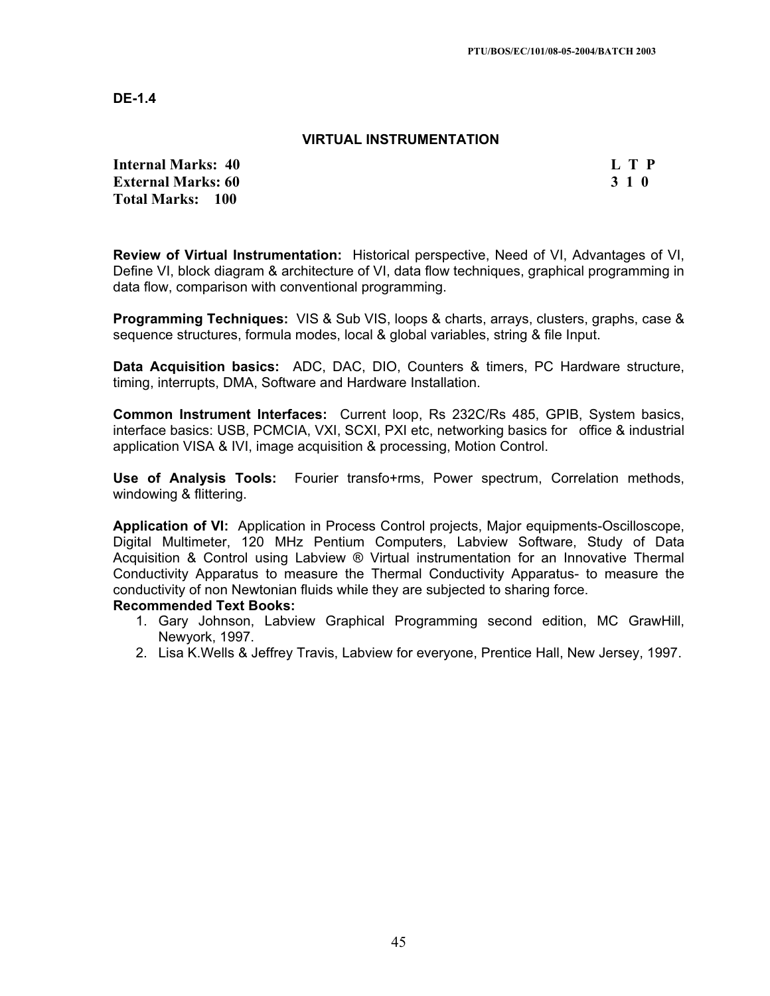#### **VIRTUAL INSTRUMENTATION**

**Internal Marks: 40 L T P L T P External Marks: 60 3 1 0 Total Marks: 100**

**Review of Virtual Instrumentation:** Historical perspective, Need of VI, Advantages of VI, Define VI, block diagram & architecture of VI, data flow techniques, graphical programming in data flow, comparison with conventional programming.

**Programming Techniques:** VIS & Sub VIS, loops & charts, arrays, clusters, graphs, case & sequence structures, formula modes, local & global variables, string & file Input.

**Data Acquisition basics:** ADC, DAC, DIO, Counters & timers, PC Hardware structure, timing, interrupts, DMA, Software and Hardware Installation.

**Common Instrument Interfaces:** Current loop, Rs 232C/Rs 485, GPIB, System basics, interface basics: USB, PCMCIA, VXI, SCXI, PXI etc, networking basics for office & industrial application VISA & IVI, image acquisition & processing, Motion Control.

**Use of Analysis Tools:** Fourier transfo+rms, Power spectrum, Correlation methods, windowing & flittering.

**Application of VI:** Application in Process Control projects, Major equipments-Oscilloscope, Digital Multimeter, 120 MHz Pentium Computers, Labview Software, Study of Data Acquisition & Control using Labview ® Virtual instrumentation for an Innovative Thermal Conductivity Apparatus to measure the Thermal Conductivity Apparatus- to measure the conductivity of non Newtonian fluids while they are subjected to sharing force.

- 1. Gary Johnson, Labview Graphical Programming second edition, MC GrawHill, Newyork, 1997.
- 2. Lisa K.Wells & Jeffrey Travis, Labview for everyone, Prentice Hall, New Jersey, 1997.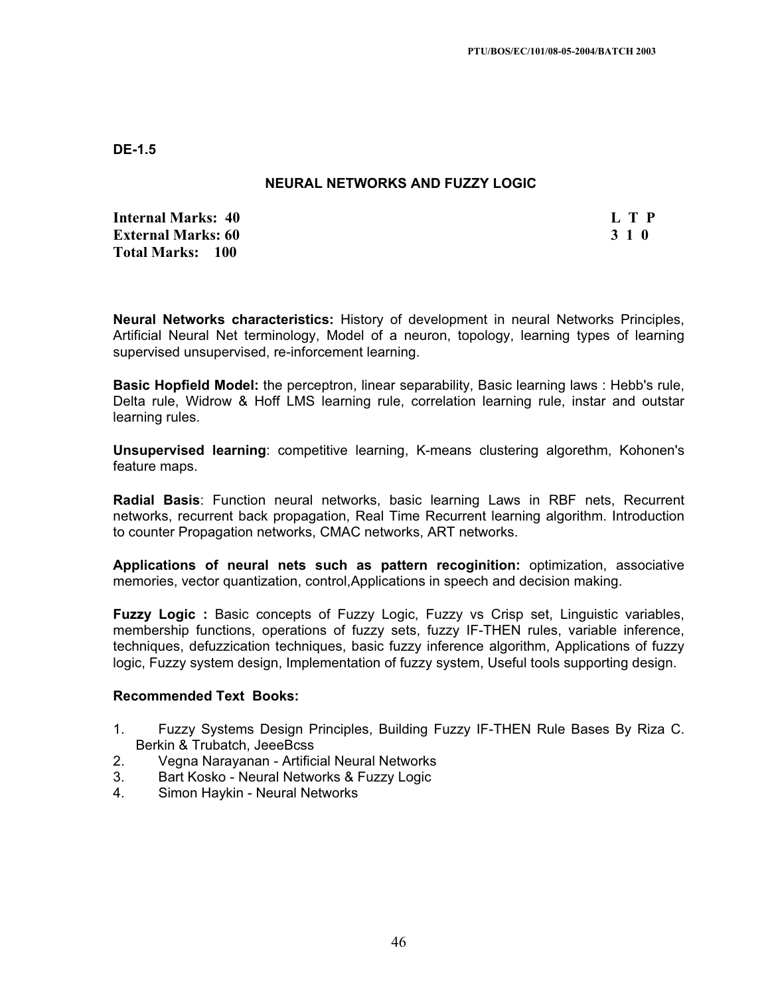## **NEURAL NETWORKS AND FUZZY LOGIC**

**Internal Marks: 40 L T P External Marks: 60 3 1 0 3 2 3 4 6 7 7 7 7 8 7 7 8 7 7 7 7 7 8 7 7 8 7 7 8 7 7 8 7 7 8 7 7 8 7 7 8 7 7 8 7 7 8 7 7 8 7 7 8 7 7 8 7 7 8 7 7 8 7 7 8 7 7 8 7 7 8 7 7 8 7 7 8 7 7 8 7 7 8 7 7 8 7 7 8 7 7 8 7 7 8 7 7 8 7 7 8 7 Total Marks: 100**

**Neural Networks characteristics:** History of development in neural Networks Principles, Artificial Neural Net terminology, Model of a neuron, topology, learning types of learning supervised unsupervised, re-inforcement learning.

**Basic Hopfield Model:** the perceptron, linear separability, Basic learning laws : Hebb's rule, Delta rule, Widrow & Hoff LMS learning rule, correlation learning rule, instar and outstar learning rules.

**Unsupervised learning**: competitive learning, K-means clustering algorethm, Kohonen's feature maps.

**Radial Basis**: Function neural networks, basic learning Laws in RBF nets, Recurrent networks, recurrent back propagation, Real Time Recurrent learning algorithm. Introduction to counter Propagation networks, CMAC networks, ART networks.

**Applications of neural nets such as pattern recoginition:** optimization, associative memories, vector quantization, control,Applications in speech and decision making.

**Fuzzy Logic :** Basic concepts of Fuzzy Logic, Fuzzy vs Crisp set, Linguistic variables, membership functions, operations of fuzzy sets, fuzzy IF-THEN rules, variable inference, techniques, defuzzication techniques, basic fuzzy inference algorithm, Applications of fuzzy logic, Fuzzy system design, Implementation of fuzzy system, Useful tools supporting design.

- 1. Fuzzy Systems Design Principles, Building Fuzzy IF-THEN Rule Bases By Riza C. Berkin & Trubatch, JeeeBcss
- 2. Vegna Narayanan Artificial Neural Networks
- 3. Bart Kosko Neural Networks & Fuzzy Logic
- 4. Simon Haykin Neural Networks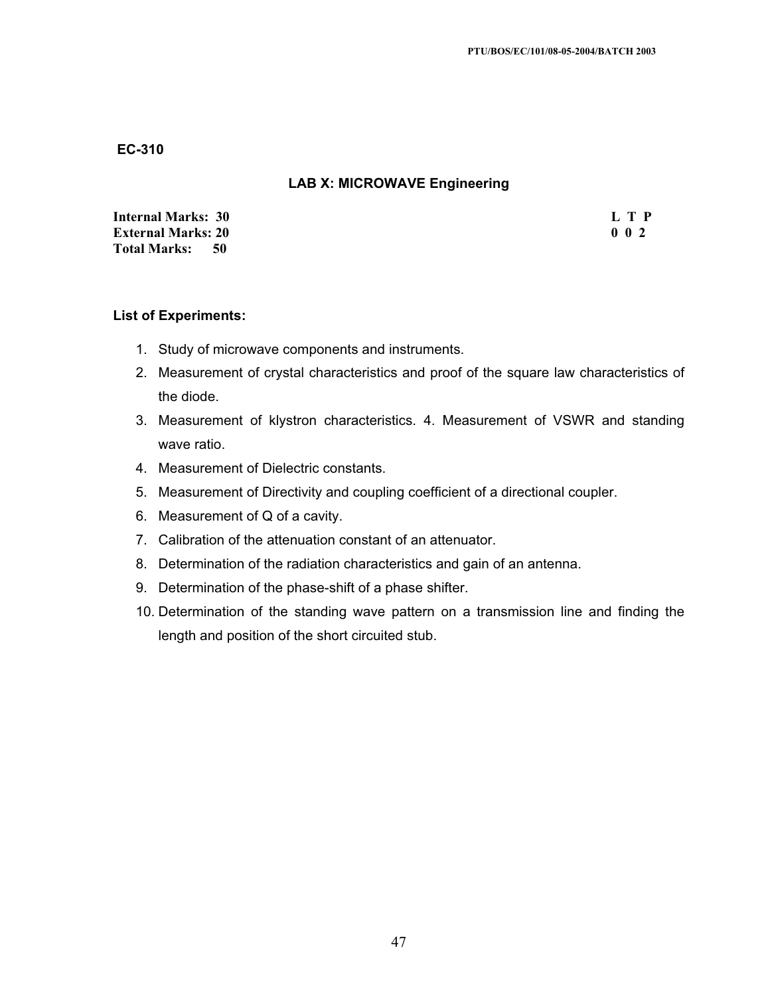## **LAB X: MICROWAVE Engineering**

| <b>Internal Marks: 30</b>   | L T P |
|-----------------------------|-------|
| <b>External Marks: 20</b>   | 002   |
| <b>Total Marks:</b><br>- 50 |       |

#### **List of Experiments:**

- 1. Study of microwave components and instruments.
- 2. Measurement of crystal characteristics and proof of the square law characteristics of the diode.
- 3. Measurement of klystron characteristics. 4. Measurement of VSWR and standing wave ratio.
- 4. Measurement of Dielectric constants.
- 5. Measurement of Directivity and coupling coefficient of a directional coupler.
- 6. Measurement of Q of a cavity.
- 7. Calibration of the attenuation constant of an attenuator.
- 8. Determination of the radiation characteristics and gain of an antenna.
- 9. Determination of the phase-shift of a phase shifter.
- 10. Determination of the standing wave pattern on a transmission line and finding the length and position of the short circuited stub.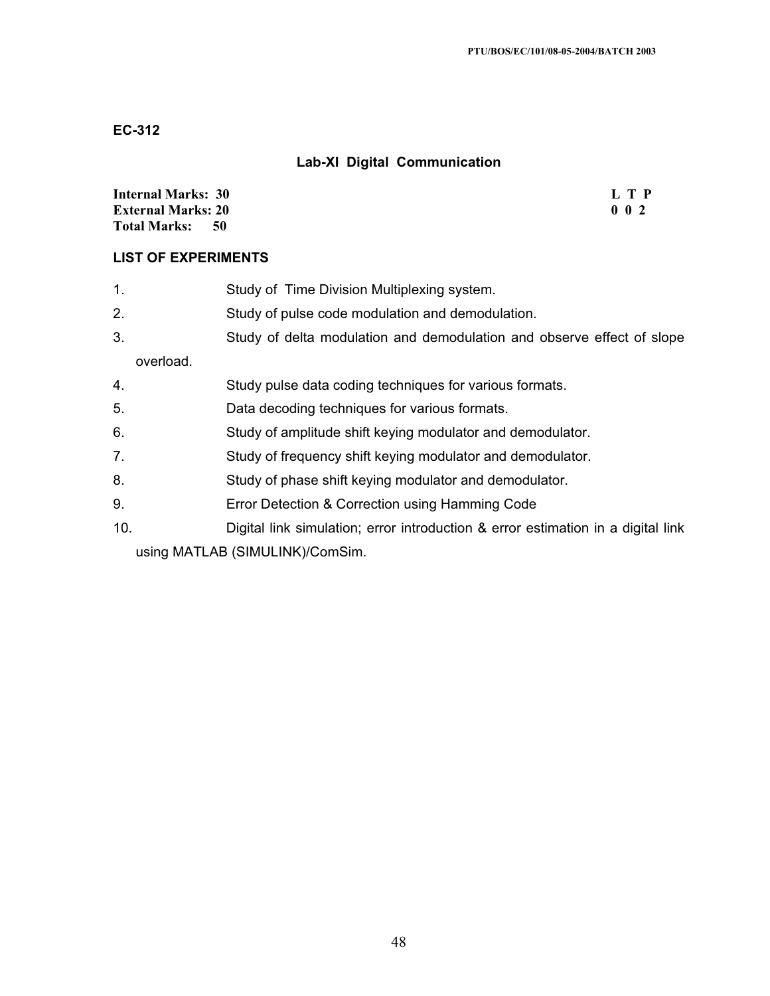# **Lab-XI Digital Communication**

| <b>Internal Marks: 30</b>   | L T P |
|-----------------------------|-------|
| <b>External Marks: 20</b>   | 002   |
| <b>Total Marks:</b><br>- 50 |       |

## **LIST OF EXPERIMENTS**

| 1.                              | Study of Time Division Multiplexing system.                                      |
|---------------------------------|----------------------------------------------------------------------------------|
| 2.                              | Study of pulse code modulation and demodulation.                                 |
| 3.                              | Study of delta modulation and demodulation and observe effect of slope           |
| overload.                       |                                                                                  |
| 4.                              | Study pulse data coding techniques for various formats.                          |
| 5.                              | Data decoding techniques for various formats.                                    |
| 6.                              | Study of amplitude shift keying modulator and demodulator.                       |
| 7.                              | Study of frequency shift keying modulator and demodulator.                       |
| 8.                              | Study of phase shift keying modulator and demodulator.                           |
| 9.                              | Error Detection & Correction using Hamming Code                                  |
| 10.                             | Digital link simulation; error introduction & error estimation in a digital link |
| using MATLAB (SIMULINK)/ComSim. |                                                                                  |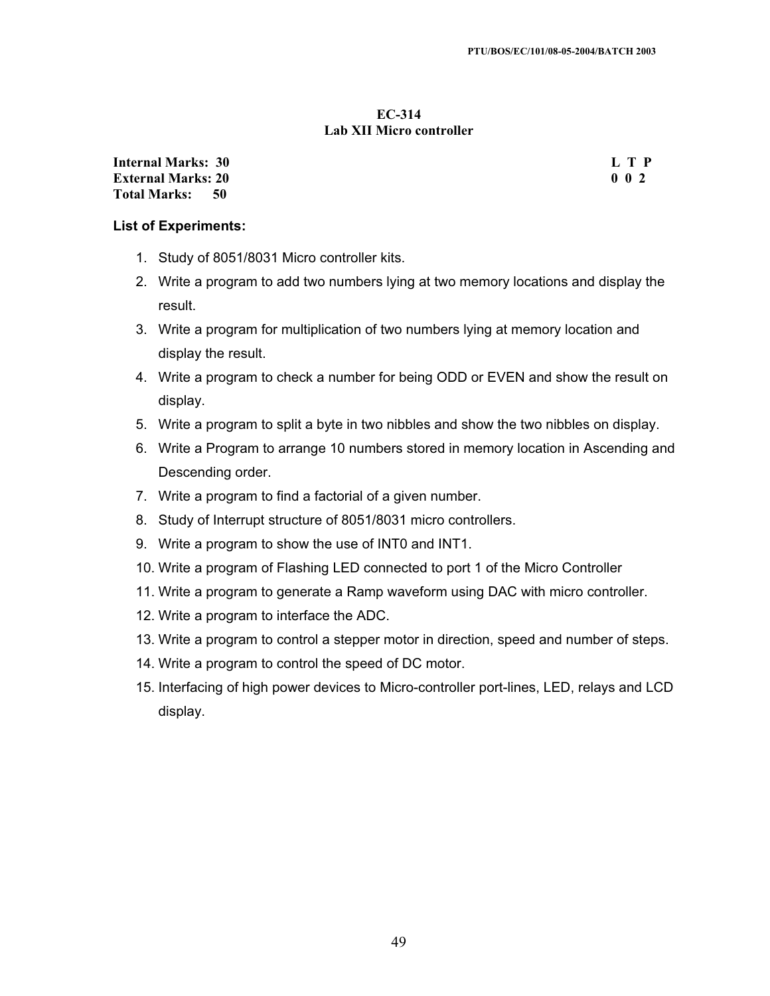#### **EC-314 Lab XII Micro controller**

**Internal Marks: 30 L T P External Marks: 20 0 0 2 Total Marks: 50**

#### **List of Experiments:**

- 1. Study of 8051/8031 Micro controller kits.
- 2. Write a program to add two numbers lying at two memory locations and display the result.
- 3. Write a program for multiplication of two numbers lying at memory location and display the result.
- 4. Write a program to check a number for being ODD or EVEN and show the result on display.
- 5. Write a program to split a byte in two nibbles and show the two nibbles on display.
- 6. Write a Program to arrange 10 numbers stored in memory location in Ascending and Descending order.
- 7. Write a program to find a factorial of a given number.
- 8. Study of Interrupt structure of 8051/8031 micro controllers.
- 9. Write a program to show the use of INT0 and INT1.
- 10. Write a program of Flashing LED connected to port 1 of the Micro Controller
- 11. Write a program to generate a Ramp waveform using DAC with micro controller.
- 12. Write a program to interface the ADC.
- 13. Write a program to control a stepper motor in direction, speed and number of steps.
- 14. Write a program to control the speed of DC motor.
- 15. Interfacing of high power devices to Micro-controller port-lines, LED, relays and LCD display.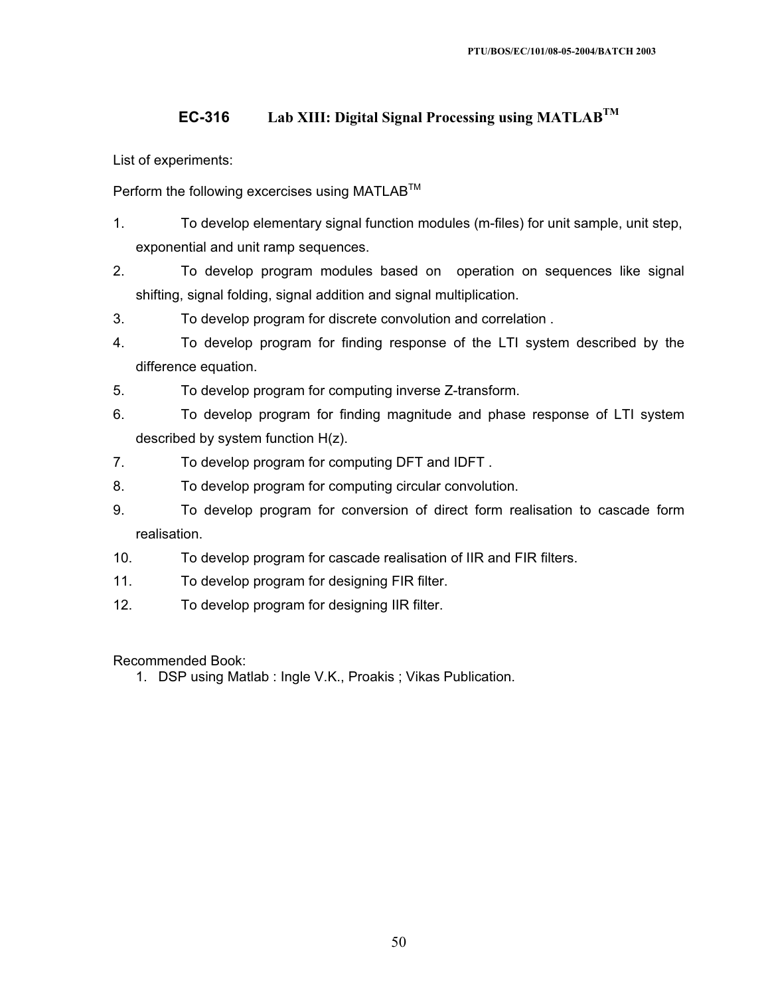# **EC-316 Lab XIII: Digital Signal Processing using MATLABTM**

List of experiments:

Perform the following excercises using MATLAB<sup>TM</sup>

- 1. To develop elementary signal function modules (m-files) for unit sample, unit step, exponential and unit ramp sequences.
- 2. To develop program modules based on operation on sequences like signal shifting, signal folding, signal addition and signal multiplication.
- 3. To develop program for discrete convolution and correlation .
- 4. To develop program for finding response of the LTI system described by the difference equation.
- 5. To develop program for computing inverse Z-transform.
- 6. To develop program for finding magnitude and phase response of LTI system described by system function H(z).
- 7. To develop program for computing DFT and IDFT .
- 8. To develop program for computing circular convolution.
- 9. To develop program for conversion of direct form realisation to cascade form realisation.
- 10. To develop program for cascade realisation of IIR and FIR filters.
- 11. To develop program for designing FIR filter.
- 12. To develop program for designing IIR filter.

Recommended Book:

1. DSP using Matlab : Ingle V.K., Proakis ; Vikas Publication.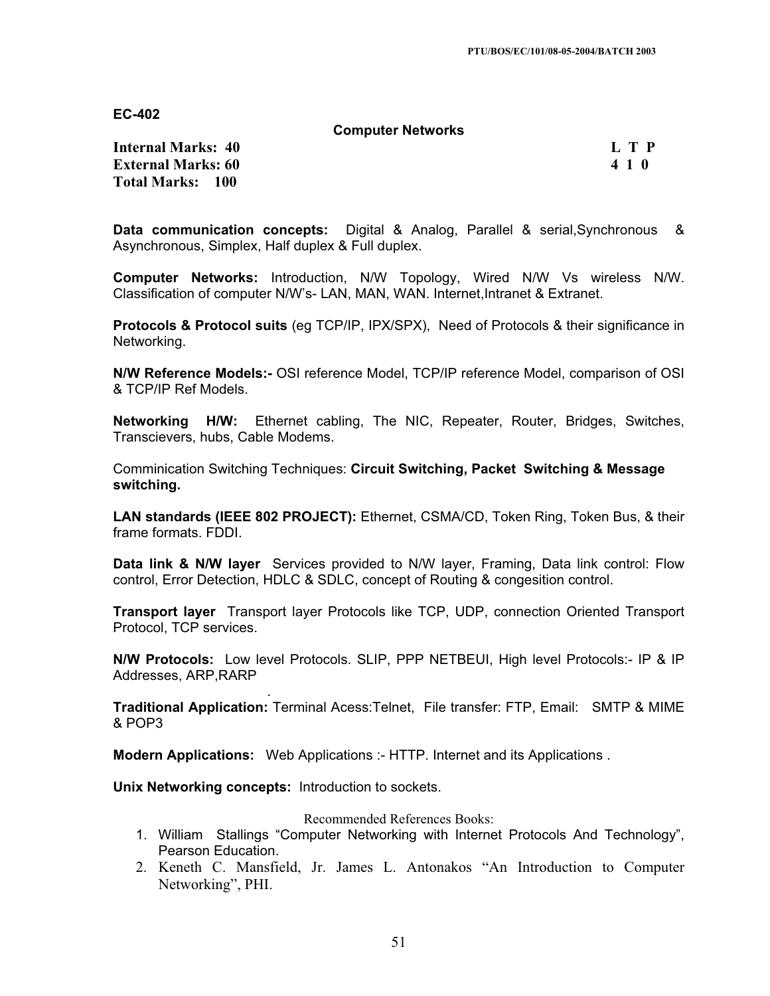**Computer Networks**

**Internal Marks: 40 L T P L T P External Marks: 60 4 1 0 4 2 4 4 5 4 5 4 6 4 7 6 4 6 4 7 6 4 7 6 4 7 6 4 7 6 4 7 6 4 7 6 4 7 6 4 7 6 4 7 6 4 7 6 4 7 6 4 7 6 4 7 6 4 7 6 4 7 6 4 7 6 4 7 6 4 7 6 4 7 6 4 7 6 4 7 6 4 7 6 4 7 6 4 7 6 4 7 6 4 7 6 4 7 6 4 7 6 Total Marks: 100**

**Data communication concepts:** Digital & Analog, Parallel & serial,Synchronous & Asynchronous, Simplex, Half duplex & Full duplex.

**Computer Networks:** Introduction, N/W Topology, Wired N/W Vs wireless N/W. Classification of computer N/W's- LAN, MAN, WAN. Internet,Intranet & Extranet.

**Protocols & Protocol suits** (eg TCP/IP, IPX/SPX), Need of Protocols & their significance in Networking.

**N/W Reference Models:-** OSI reference Model, TCP/IP reference Model, comparison of OSI & TCP/IP Ref Models.

**Networking H/W:** Ethernet cabling, The NIC, Repeater, Router, Bridges, Switches, Transcievers, hubs, Cable Modems.

Comminication Switching Techniques: **Circuit Switching, Packet Switching & Message switching.**

**LAN standards (IEEE 802 PROJECT):** Ethernet, CSMA/CD, Token Ring, Token Bus, & their frame formats. FDDI.

**Data link & N/W layer** Services provided to N/W layer, Framing, Data link control: Flow control, Error Detection, HDLC & SDLC, concept of Routing & congesition control.

**Transport layer** Transport layer Protocols like TCP, UDP, connection Oriented Transport Protocol, TCP services.

**N/W Protocols:** Low level Protocols. SLIP, PPP NETBEUI, High level Protocols:- IP & IP Addresses, ARP,RARP

 . **Traditional Application:** Terminal Acess:Telnet, File transfer: FTP, Email: SMTP & MIME & POP3

**Modern Applications:** Web Applications :- HTTP. Internet and its Applications .

**Unix Networking concepts:** Introduction to sockets.

Recommended References Books:

- 1. William Stallings "Computer Networking with Internet Protocols And Technology", Pearson Education.
- 2. Keneth C. Mansfield, Jr. James L. Antonakos "An Introduction to Computer Networking", PHI.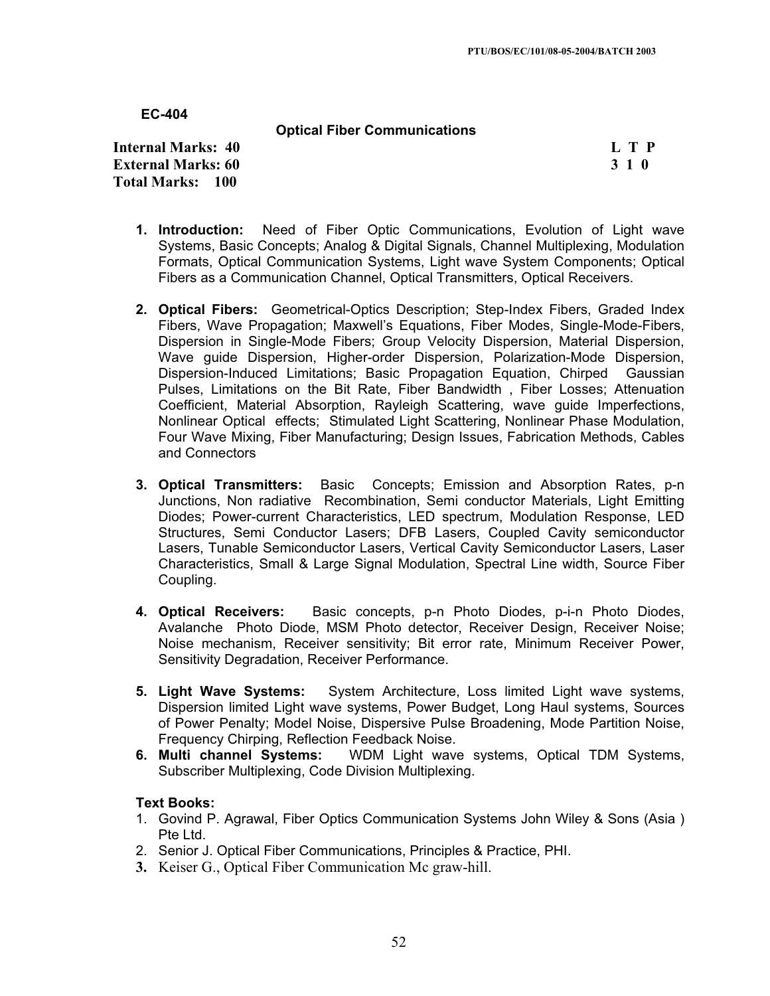**Optical Fiber Communications** 

**Internal Marks: 40 L T P L T P External Marks: 60 3 1 0 3 2 3 3 4 6 3 4 5 4 5 4 5 4 6 4 7 4 5 4 6 4 7 6 7 7 8 7 7 8 7 7 8 7 7 8 7 7 8 7 7 8 7 7 8 7 7 8 7 7 8 7 7 8 7 7 8 7 7 8 7 7 8 7 7 8 7 7 8 7 7 8 7 7 8 7 7 8 7 7 8 7 7 8 7 7 8 7 7 8 7 7 8 7 7 8 7 7 Total Marks: 100**

- **1. Introduction:** Need of Fiber Optic Communications, Evolution of Light wave Systems, Basic Concepts; Analog & Digital Signals, Channel Multiplexing, Modulation Formats, Optical Communication Systems, Light wave System Components; Optical Fibers as a Communication Channel, Optical Transmitters, Optical Receivers.
- **2. Optical Fibers:** Geometrical-Optics Description; Step-Index Fibers, Graded Index Fibers, Wave Propagation; Maxwell's Equations, Fiber Modes, Single-Mode-Fibers, Dispersion in Single-Mode Fibers; Group Velocity Dispersion, Material Dispersion, Wave guide Dispersion, Higher-order Dispersion, Polarization-Mode Dispersion, Dispersion-Induced Limitations; Basic Propagation Equation, Chirped Gaussian Pulses, Limitations on the Bit Rate, Fiber Bandwidth , Fiber Losses; Attenuation Coefficient, Material Absorption, Rayleigh Scattering, wave guide Imperfections, Nonlinear Optical effects; Stimulated Light Scattering, Nonlinear Phase Modulation, Four Wave Mixing, Fiber Manufacturing; Design Issues, Fabrication Methods, Cables and Connectors
- **3. Optical Transmitters:** Basic Concepts; Emission and Absorption Rates, p-n Junctions, Non radiative Recombination, Semi conductor Materials, Light Emitting Diodes; Power-current Characteristics, LED spectrum, Modulation Response, LED Structures, Semi Conductor Lasers; DFB Lasers, Coupled Cavity semiconductor Lasers, Tunable Semiconductor Lasers, Vertical Cavity Semiconductor Lasers, Laser Characteristics, Small & Large Signal Modulation, Spectral Line width, Source Fiber Coupling.
- **4. Optical Receivers:** Basic concepts, p-n Photo Diodes, p-i-n Photo Diodes, Avalanche Photo Diode, MSM Photo detector, Receiver Design, Receiver Noise; Noise mechanism, Receiver sensitivity; Bit error rate, Minimum Receiver Power, Sensitivity Degradation, Receiver Performance.
- **5. Light Wave Systems:** System Architecture, Loss limited Light wave systems, Dispersion limited Light wave systems, Power Budget, Long Haul systems, Sources of Power Penalty; Model Noise, Dispersive Pulse Broadening, Mode Partition Noise, Frequency Chirping, Reflection Feedback Noise.<br>6. Multi channel Systems: WDM Light wave
- **6. Multi channel Systems:** WDM Light wave systems, Optical TDM Systems, Subscriber Multiplexing, Code Division Multiplexing.

## **Text Books:**

- 1. Govind P. Agrawal, Fiber Optics Communication Systems John Wiley & Sons (Asia ) Pte Ltd.
- 2. Senior J. Optical Fiber Communications, Principles & Practice, PHI.
- **3.** Keiser G., Optical Fiber Communication Mc graw-hill.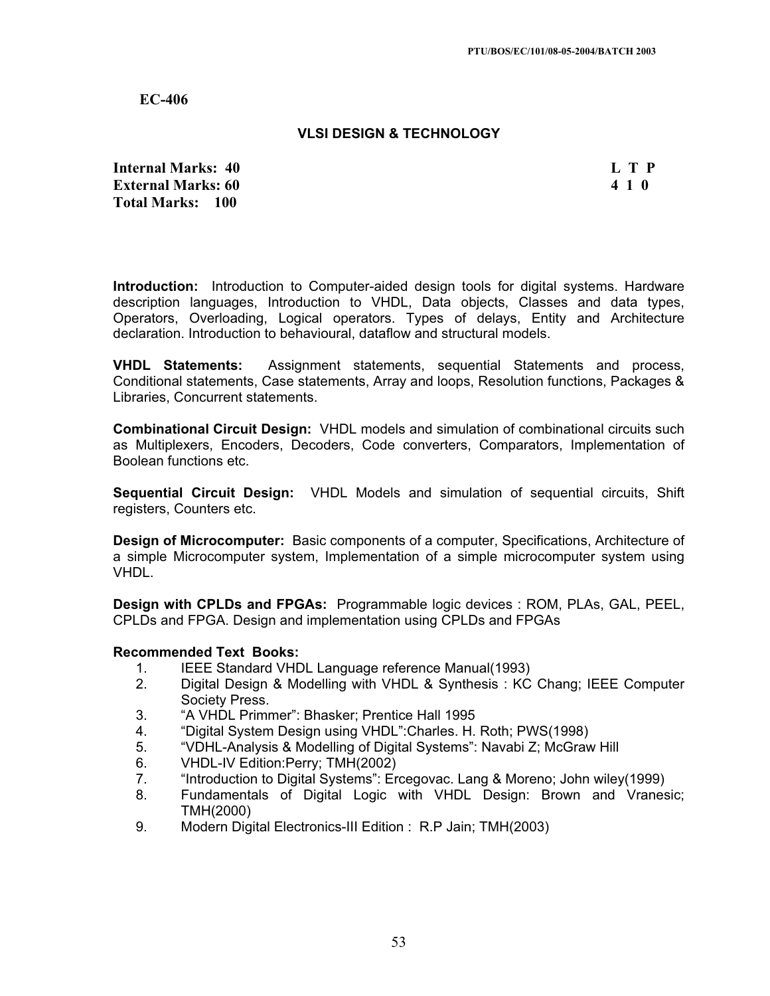#### **VLSI DESIGN & TECHNOLOGY**

**Internal Marks: 40 L T P L T P External Marks: 60 4 1 0 Total Marks: 100**

**Introduction:** Introduction to Computer-aided design tools for digital systems. Hardware description languages, Introduction to VHDL, Data objects, Classes and data types, Operators, Overloading, Logical operators. Types of delays, Entity and Architecture declaration. Introduction to behavioural, dataflow and structural models.

**VHDL Statements:** Assignment statements, sequential Statements and process, Conditional statements, Case statements, Array and loops, Resolution functions, Packages & Libraries, Concurrent statements.

**Combinational Circuit Design:** VHDL models and simulation of combinational circuits such as Multiplexers, Encoders, Decoders, Code converters, Comparators, Implementation of Boolean functions etc.

**Sequential Circuit Design:** VHDL Models and simulation of sequential circuits, Shift registers, Counters etc.

**Design of Microcomputer:** Basic components of a computer, Specifications, Architecture of a simple Microcomputer system, Implementation of a simple microcomputer system using VHDL.

**Design with CPLDs and FPGAs:** Programmable logic devices : ROM, PLAs, GAL, PEEL, CPLDs and FPGA. Design and implementation using CPLDs and FPGAs

- 1. IEEE Standard VHDL Language reference Manual(1993)
- 2. Digital Design & Modelling with VHDL & Synthesis : KC Chang; IEEE Computer Society Press.
- 3. "A VHDL Primmer": Bhasker; Prentice Hall 1995
- 4. "Digital System Design using VHDL":Charles. H. Roth; PWS(1998)
- 5. "VDHL-Analysis & Modelling of Digital Systems": Navabi Z; McGraw Hill
- 6. VHDL-IV Edition:Perry; TMH(2002)
- 7. "Introduction to Digital Systems": Ercegovac. Lang & Moreno; John wiley(1999)
- 8. Fundamentals of Digital Logic with VHDL Design: Brown and Vranesic; TMH(2000)
- 9. Modern Digital Electronics-III Edition : R.P Jain; TMH(2003)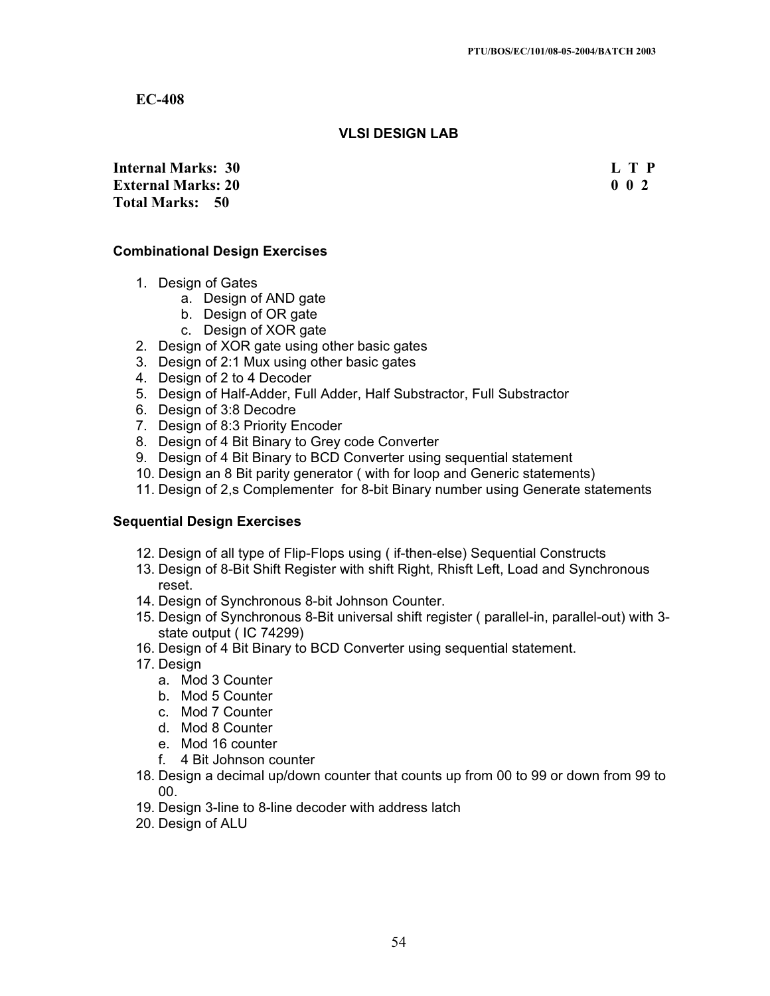## **VLSI DESIGN LAB**

**Internal Marks: 30 L T P L T P External Marks: 20 0 0 2 Total Marks: 50**

## **Combinational Design Exercises**

- 1. Design of Gates
	- a. Design of AND gate
	- b. Design of OR gate
	- c. Design of XOR gate
- 2. Design of XOR gate using other basic gates
- 3. Design of 2:1 Mux using other basic gates
- 4. Design of 2 to 4 Decoder
- 5. Design of Half-Adder, Full Adder, Half Substractor, Full Substractor
- 6. Design of 3:8 Decodre
- 7. Design of 8:3 Priority Encoder
- 8. Design of 4 Bit Binary to Grey code Converter
- 9. Design of 4 Bit Binary to BCD Converter using sequential statement
- 10. Design an 8 Bit parity generator ( with for loop and Generic statements)
- 11. Design of 2,s Complementer for 8-bit Binary number using Generate statements

#### **Sequential Design Exercises**

- 12. Design of all type of Flip-Flops using ( if-then-else) Sequential Constructs
- 13. Design of 8-Bit Shift Register with shift Right, Rhisft Left, Load and Synchronous reset.
- 14. Design of Synchronous 8-bit Johnson Counter.
- 15. Design of Synchronous 8-Bit universal shift register ( parallel-in, parallel-out) with 3 state output ( IC 74299)
- 16. Design of 4 Bit Binary to BCD Converter using sequential statement.
- 17. Design
	- a. Mod 3 Counter
	- b. Mod 5 Counter
	- c. Mod 7 Counter
	- d. Mod 8 Counter
	- e. Mod 16 counter
	- f. 4 Bit Johnson counter
- 18. Design a decimal up/down counter that counts up from 00 to 99 or down from 99 to 00.
- 19. Design 3-line to 8-line decoder with address latch
- 20. Design of ALU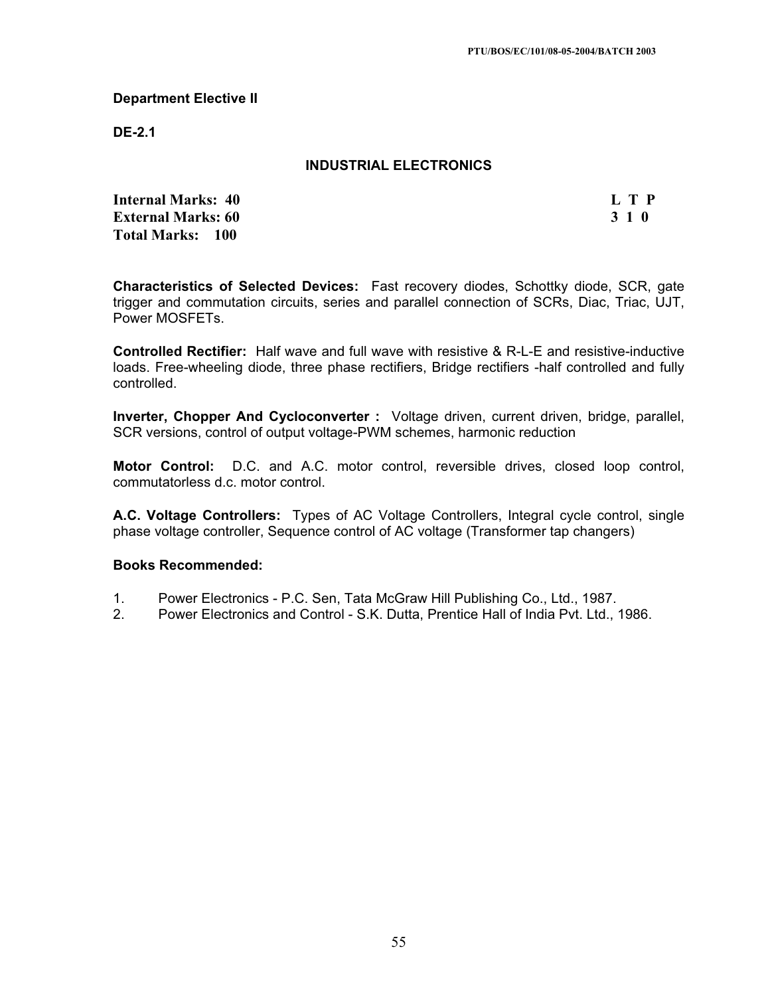#### **Department Elective II**

**DE-2.1**

## **INDUSTRIAL ELECTRONICS**

**Internal Marks: 40 L T P L T P External Marks: 60 3 1 0 Total Marks: 100**

**Characteristics of Selected Devices:** Fast recovery diodes, Schottky diode, SCR, gate trigger and commutation circuits, series and parallel connection of SCRs, Diac, Triac, UJT, Power MOSFETs.

**Controlled Rectifier:** Half wave and full wave with resistive & R-L-E and resistive-inductive loads. Free-wheeling diode, three phase rectifiers, Bridge rectifiers -half controlled and fully controlled.

**Inverter, Chopper And Cycloconverter :** Voltage driven, current driven, bridge, parallel, SCR versions, control of output voltage-PWM schemes, harmonic reduction

**Motor Control:** D.C. and A.C. motor control, reversible drives, closed loop control, commutatorless d.c. motor control.

**A.C. Voltage Controllers:** Types of AC Voltage Controllers, Integral cycle control, single phase voltage controller, Sequence control of AC voltage (Transformer tap changers)

#### **Books Recommended:**

- 1. Power Electronics P.C. Sen, Tata McGraw Hill Publishing Co., Ltd., 1987.
- 2. Power Electronics and Control S.K. Dutta, Prentice Hall of India Pvt. Ltd., 1986.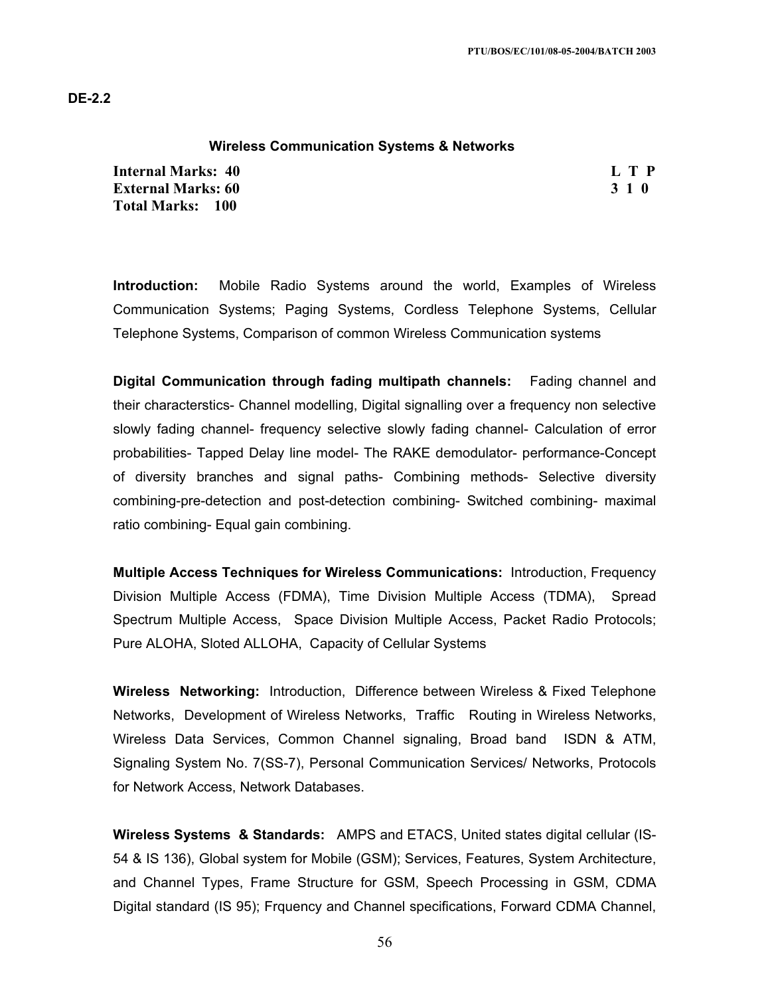#### **Wireless Communication Systems & Networks**

**Internal Marks: 40 L T P External Marks: 60 3 1 0 3 2 3 3 4 6 3 4 5 4 5 4 5 4 6 4 7 4 5 4 6 4 7 6 7 7 8 7 7 8 7 7 8 7 7 8 7 7 8 7 7 8 7 7 8 7 7 8 7 7 8 7 7 8 7 7 8 7 7 8 7 7 8 7 7 8 7 7 8 7 7 8 7 7 8 7 7 8 7 7 8 7 7 8 7 7 8 7 7 8 7 7 8 7 7 8 7 7 Total Marks: 100**

**Introduction:** Mobile Radio Systems around the world, Examples of Wireless Communication Systems; Paging Systems, Cordless Telephone Systems, Cellular Telephone Systems, Comparison of common Wireless Communication systems

**Digital Communication through fading multipath channels:** Fading channel and their characterstics- Channel modelling, Digital signalling over a frequency non selective slowly fading channel- frequency selective slowly fading channel- Calculation of error probabilities- Tapped Delay line model- The RAKE demodulator- performance-Concept of diversity branches and signal paths- Combining methods- Selective diversity combining-pre-detection and post-detection combining- Switched combining- maximal ratio combining- Equal gain combining.

**Multiple Access Techniques for Wireless Communications:** Introduction, Frequency Division Multiple Access (FDMA), Time Division Multiple Access (TDMA), Spread Spectrum Multiple Access, Space Division Multiple Access, Packet Radio Protocols; Pure ALOHA, Sloted ALLOHA, Capacity of Cellular Systems

**Wireless Networking:** Introduction, Difference between Wireless & Fixed Telephone Networks, Development of Wireless Networks, Traffic Routing in Wireless Networks, Wireless Data Services, Common Channel signaling, Broad band ISDN & ATM, Signaling System No. 7(SS-7), Personal Communication Services/ Networks, Protocols for Network Access, Network Databases.

**Wireless Systems & Standards:** AMPS and ETACS, United states digital cellular (IS-54 & IS 136), Global system for Mobile (GSM); Services, Features, System Architecture, and Channel Types, Frame Structure for GSM, Speech Processing in GSM, CDMA Digital standard (IS 95); Frquency and Channel specifications, Forward CDMA Channel,

56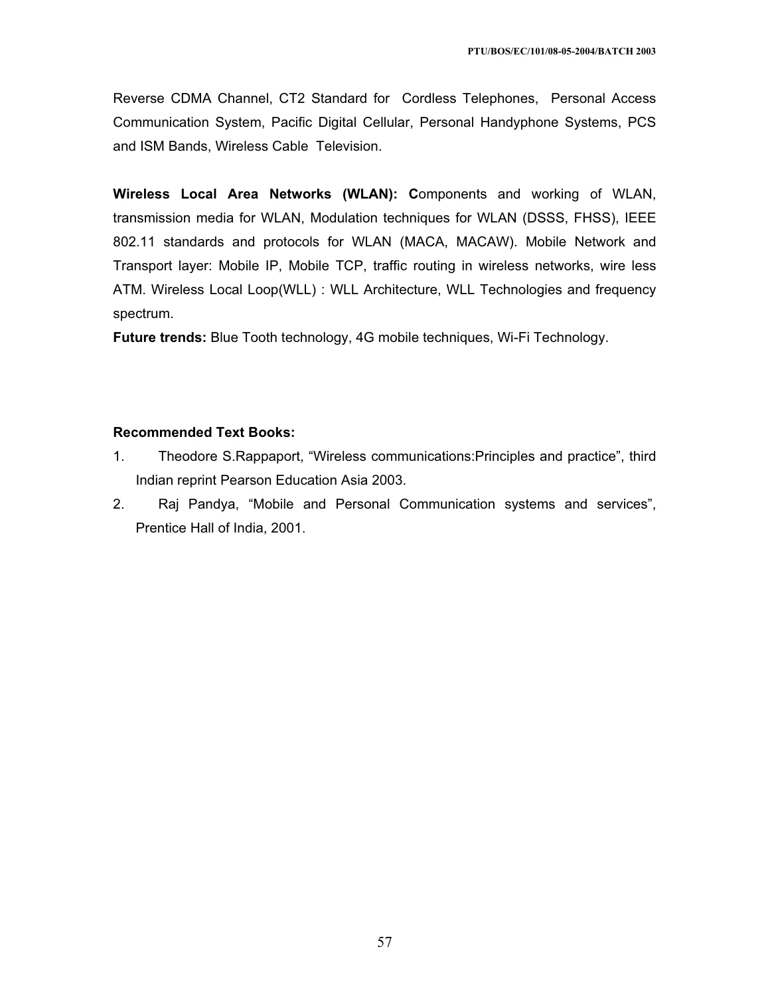Reverse CDMA Channel, CT2 Standard for Cordless Telephones, Personal Access Communication System, Pacific Digital Cellular, Personal Handyphone Systems, PCS and ISM Bands, Wireless Cable Television.

**Wireless Local Area Networks (WLAN): C**omponents and working of WLAN, transmission media for WLAN, Modulation techniques for WLAN (DSSS, FHSS), IEEE 802.11 standards and protocols for WLAN (MACA, MACAW). Mobile Network and Transport layer: Mobile IP, Mobile TCP, traffic routing in wireless networks, wire less ATM. Wireless Local Loop(WLL) : WLL Architecture, WLL Technologies and frequency spectrum.

**Future trends:** Blue Tooth technology, 4G mobile techniques, Wi-Fi Technology.

- 1. Theodore S.Rappaport, "Wireless communications:Principles and practice", third Indian reprint Pearson Education Asia 2003.
- 2. Raj Pandya, "Mobile and Personal Communication systems and services", Prentice Hall of India, 2001.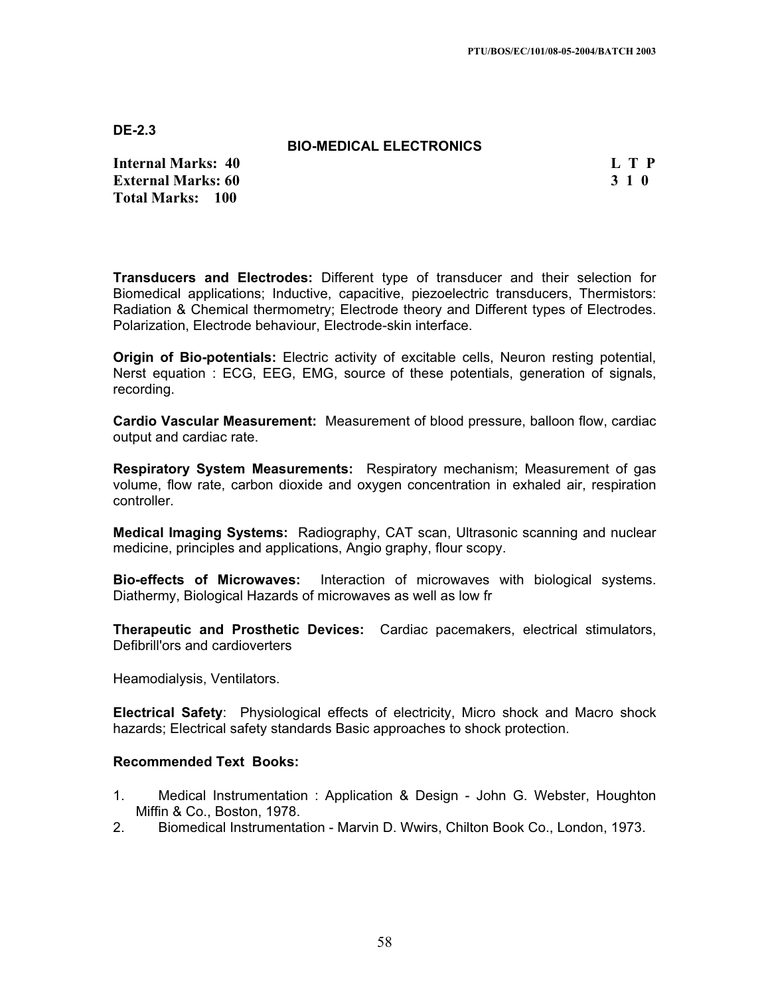## **BIO-MEDICAL ELECTRONICS**

**Internal Marks: 40 L T P I** L T P **External Marks: 60 3 1 0 Total Marks: 100**

**Transducers and Electrodes:** Different type of transducer and their selection for Biomedical applications; Inductive, capacitive, piezoelectric transducers, Thermistors: Radiation & Chemical thermometry; Electrode theory and Different types of Electrodes. Polarization, Electrode behaviour, Electrode-skin interface.

**Origin of Bio-potentials:** Electric activity of excitable cells, Neuron resting potential, Nerst equation : ECG, EEG, EMG, source of these potentials, generation of signals, recording.

**Cardio Vascular Measurement:** Measurement of blood pressure, balloon flow, cardiac output and cardiac rate.

**Respiratory System Measurements:** Respiratory mechanism; Measurement of gas volume, flow rate, carbon dioxide and oxygen concentration in exhaled air, respiration controller.

**Medical Imaging Systems:** Radiography, CAT scan, Ultrasonic scanning and nuclear medicine, principles and applications, Angio graphy, flour scopy.

**Bio-effects of Microwaves:** Interaction of microwaves with biological systems. Diathermy, Biological Hazards of microwaves as well as low fr

**Therapeutic and Prosthetic Devices:** Cardiac pacemakers, electrical stimulators, Defibrill'ors and cardioverters

Heamodialysis, Ventilators.

**Electrical Safety**: Physiological effects of electricity, Micro shock and Macro shock hazards; Electrical safety standards Basic approaches to shock protection.

- 1. Medical Instrumentation : Application & Design John G. Webster, Houghton Miffin & Co., Boston, 1978.
- 2. Biomedical Instrumentation Marvin D. Wwirs, Chilton Book Co., London, 1973.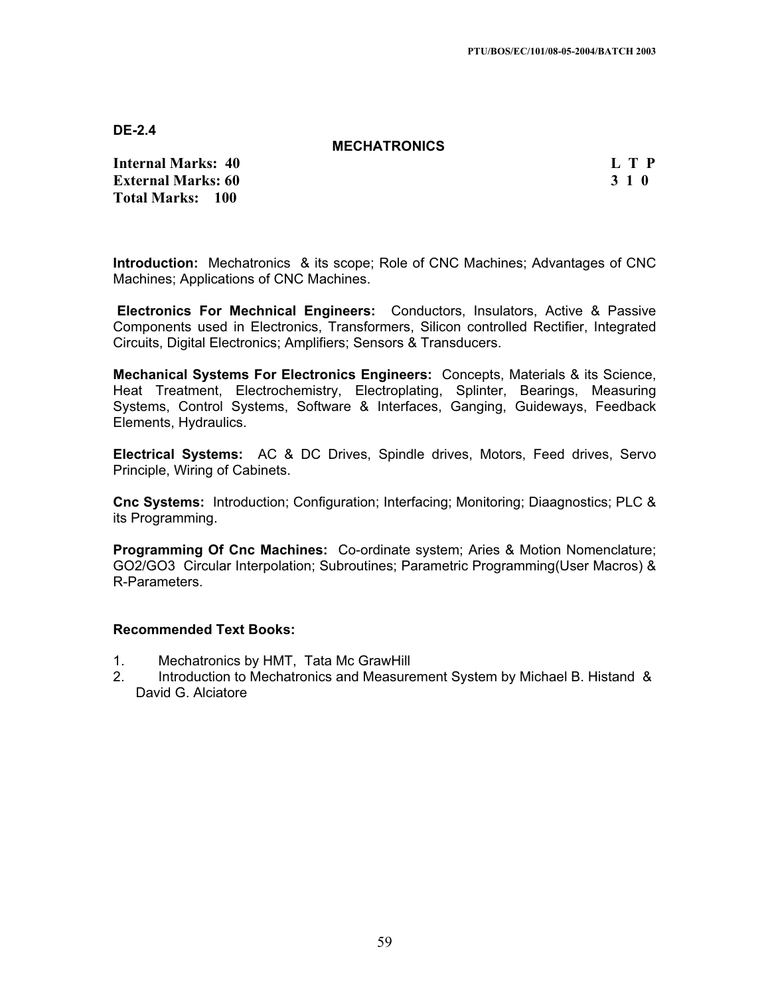#### **MECHATRONICS**

**Internal Marks: 40 L T P I** L T P **External Marks: 60 3 1 0 Total Marks: 100**

**Introduction:** Mechatronics & its scope; Role of CNC Machines; Advantages of CNC Machines; Applications of CNC Machines.

**Electronics For Mechnical Engineers:** Conductors, Insulators, Active & Passive Components used in Electronics, Transformers, Silicon controlled Rectifier, Integrated Circuits, Digital Electronics; Amplifiers; Sensors & Transducers.

**Mechanical Systems For Electronics Engineers:** Concepts, Materials & its Science, Heat Treatment, Electrochemistry, Electroplating, Splinter, Bearings, Measuring Systems, Control Systems, Software & Interfaces, Ganging, Guideways, Feedback Elements, Hydraulics.

**Electrical Systems:** AC & DC Drives, Spindle drives, Motors, Feed drives, Servo Principle, Wiring of Cabinets.

**Cnc Systems:** Introduction; Configuration; Interfacing; Monitoring; Diaagnostics; PLC & its Programming.

**Programming Of Cnc Machines:** Co-ordinate system; Aries & Motion Nomenclature; GO2/GO3 Circular Interpolation; Subroutines; Parametric Programming(User Macros) & R-Parameters.

- 1. Mechatronics by HMT, Tata Mc GrawHill
- 2. Introduction to Mechatronics and Measurement System by Michael B. Histand & David G. Alciatore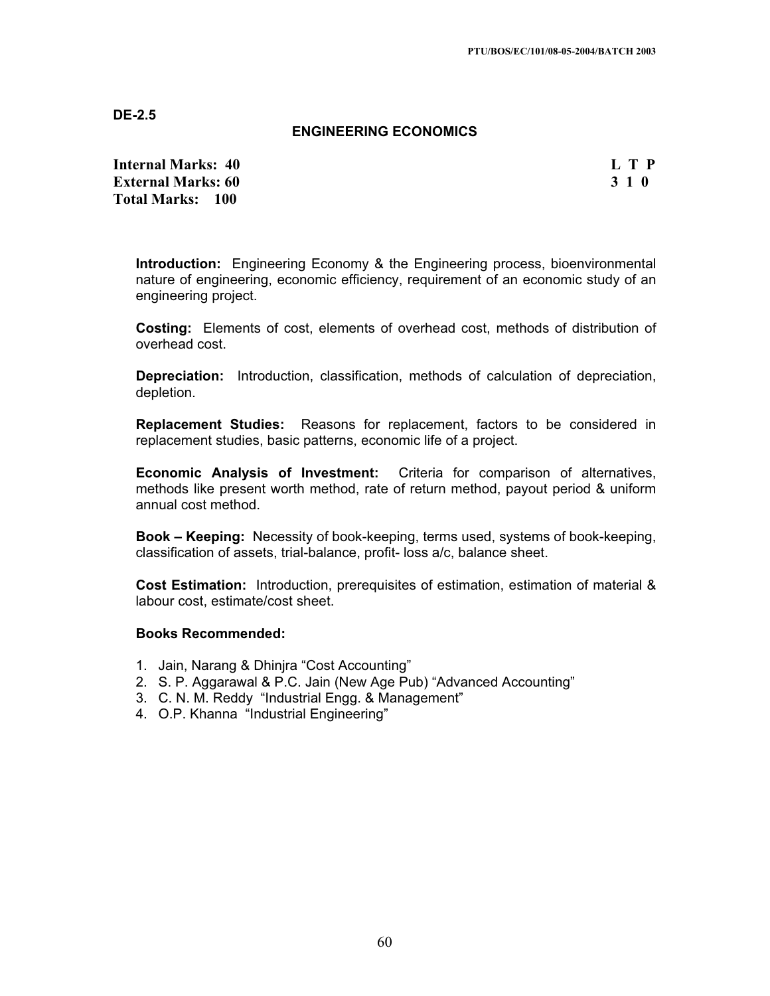## **ENGINEERING ECONOMICS**

**Internal Marks: 40 L T P External Marks: 60 3 1 0 Total Marks: 100**

**Introduction:** Engineering Economy & the Engineering process, bioenvironmental nature of engineering, economic efficiency, requirement of an economic study of an engineering project.

**Costing:** Elements of cost, elements of overhead cost, methods of distribution of overhead cost.

**Depreciation:** Introduction, classification, methods of calculation of depreciation, depletion.

**Replacement Studies:** Reasons for replacement, factors to be considered in replacement studies, basic patterns, economic life of a project.

**Economic Analysis of Investment:** Criteria for comparison of alternatives, methods like present worth method, rate of return method, payout period & uniform annual cost method.

**Book – Keeping:** Necessity of book-keeping, terms used, systems of book-keeping, classification of assets, trial-balance, profit- loss a/c, balance sheet.

**Cost Estimation:** Introduction, prerequisites of estimation, estimation of material & labour cost, estimate/cost sheet.

#### **Books Recommended:**

- 1. Jain, Narang & Dhinjra "Cost Accounting"
- 2. S. P. Aggarawal & P.C. Jain (New Age Pub) "Advanced Accounting"
- 3. C. N. M. Reddy "Industrial Engg. & Management"
- 4. O.P. Khanna "Industrial Engineering"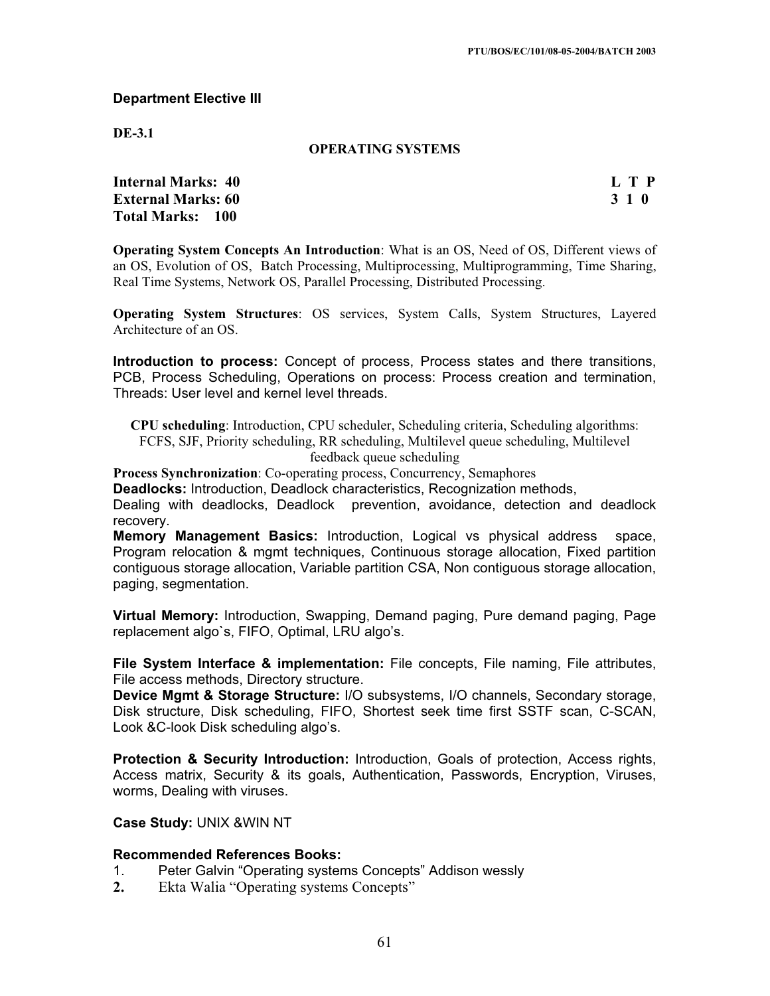#### **Department Elective III**

**DE-3.1**

#### **OPERATING SYSTEMS**

**Internal Marks: 40 L T P External Marks: 60 3 1 0 Total Marks: 100**

**Operating System Concepts An Introduction**: What is an OS, Need of OS, Different views of an OS, Evolution of OS, Batch Processing, Multiprocessing, Multiprogramming, Time Sharing, Real Time Systems, Network OS, Parallel Processing, Distributed Processing.

**Operating System Structures**: OS services, System Calls, System Structures, Layered Architecture of an OS.

**Introduction to process:** Concept of process, Process states and there transitions, PCB, Process Scheduling, Operations on process: Process creation and termination, Threads: User level and kernel level threads.

**CPU scheduling**: Introduction, CPU scheduler, Scheduling criteria, Scheduling algorithms: FCFS, SJF, Priority scheduling, RR scheduling, Multilevel queue scheduling, Multilevel feedback queue scheduling

**Process Synchronization**: Co-operating process, Concurrency, Semaphores

**Deadlocks:** Introduction, Deadlock characteristics, Recognization methods,

Dealing with deadlocks, Deadlock prevention, avoidance, detection and deadlock recovery.

**Memory Management Basics:** Introduction, Logical vs physical address space, Program relocation & mgmt techniques, Continuous storage allocation, Fixed partition contiguous storage allocation, Variable partition CSA, Non contiguous storage allocation, paging, segmentation.

**Virtual Memory:** Introduction, Swapping, Demand paging, Pure demand paging, Page replacement algo`s, FIFO, Optimal, LRU algo's.

**File System Interface & implementation:** File concepts, File naming, File attributes, File access methods, Directory structure.

**Device Mgmt & Storage Structure:** I/O subsystems, I/O channels, Secondary storage, Disk structure, Disk scheduling, FIFO, Shortest seek time first SSTF scan, C-SCAN, Look &C-look Disk scheduling algo's.

**Protection & Security Introduction:** Introduction, Goals of protection, Access rights, Access matrix, Security & its goals, Authentication, Passwords, Encryption, Viruses, worms, Dealing with viruses.

## **Case Study:** UNIX &WIN NT

#### **Recommended References Books:**

- 1. Peter Galvin "Operating systems Concepts" Addison wessly
- **2.** Ekta Walia "Operating systems Concepts"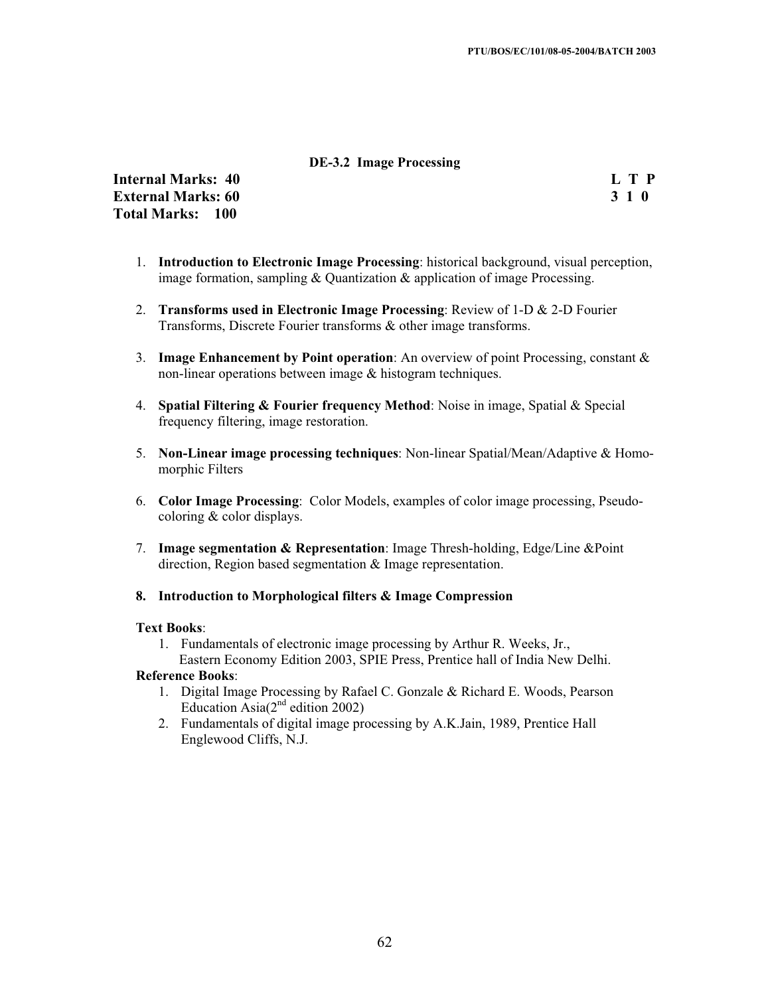## **DE-3.2 Image Processing**

**Internal Marks: 40 L T P External Marks: 60 3 1 0 Total Marks: 100**

- 1. **Introduction to Electronic Image Processing**: historical background, visual perception, image formation, sampling & Quantization & application of image Processing.
- 2. **Transforms used in Electronic Image Processing**: Review of 1-D & 2-D Fourier Transforms, Discrete Fourier transforms & other image transforms.
- 3. **Image Enhancement by Point operation**: An overview of point Processing, constant & non-linear operations between image & histogram techniques.
- 4. **Spatial Filtering & Fourier frequency Method**: Noise in image, Spatial & Special frequency filtering, image restoration.
- 5. **Non-Linear image processing techniques**: Non-linear Spatial/Mean/Adaptive & Homomorphic Filters
- 6. **Color Image Processing**: Color Models, examples of color image processing, Pseudocoloring & color displays.
- 7. **Image segmentation & Representation**: Image Thresh-holding, Edge/Line &Point direction, Region based segmentation & Image representation.
- **8. Introduction to Morphological filters & Image Compression**

#### **Text Books**:

1. Fundamentals of electronic image processing by Arthur R. Weeks, Jr., Eastern Economy Edition 2003, SPIE Press, Prentice hall of India New Delhi.

#### **Reference Books**:

- 1. Digital Image Processing by Rafael C. Gonzale & Richard E. Woods, Pearson Education Asia $(2<sup>nd</sup>$  edition 2002)
- 2. Fundamentals of digital image processing by A.K.Jain, 1989, Prentice Hall Englewood Cliffs, N.J.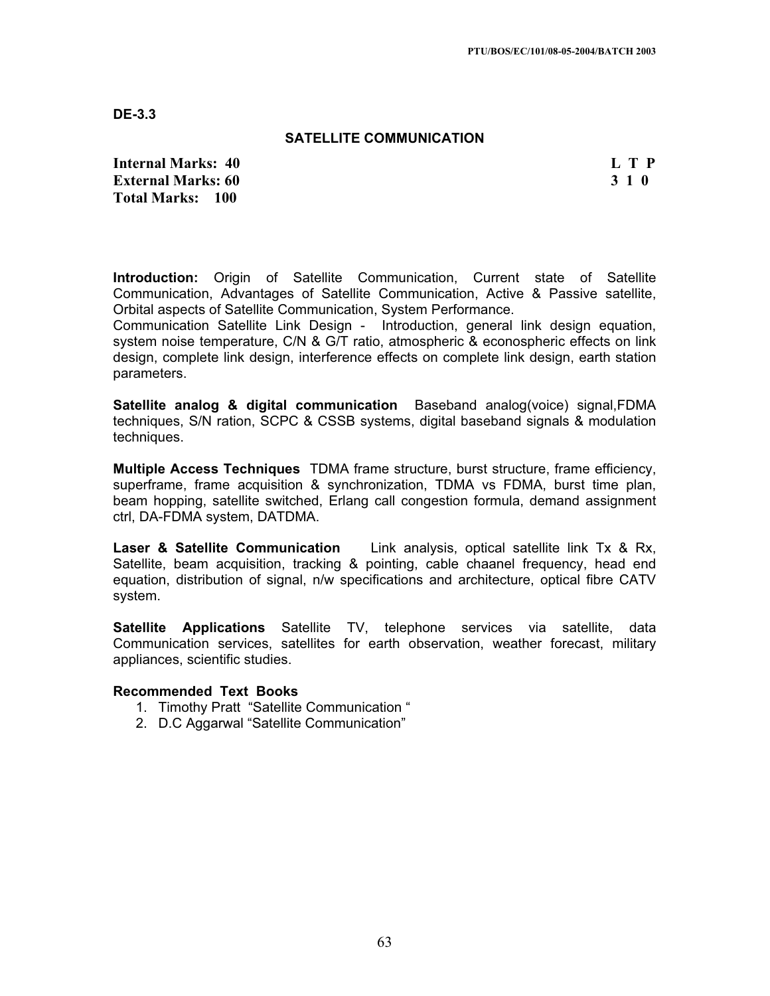**DE-3.3**

## **SATELLITE COMMUNICATION**

**Internal Marks: 40 L T P I** L T P **External Marks: 60 3 1 0 Total Marks: 100**

**Introduction:** Origin of Satellite Communication, Current state of Satellite Communication, Advantages of Satellite Communication, Active & Passive satellite, Orbital aspects of Satellite Communication, System Performance.

Communication Satellite Link Design - Introduction, general link design equation, system noise temperature, C/N & G/T ratio, atmospheric & econospheric effects on link design, complete link design, interference effects on complete link design, earth station parameters.

**Satellite analog & digital communication** Baseband analog(voice) signal,FDMA techniques, S/N ration, SCPC & CSSB systems, digital baseband signals & modulation techniques.

**Multiple Access Techniques** TDMA frame structure, burst structure, frame efficiency, superframe, frame acquisition & synchronization, TDMA vs FDMA, burst time plan, beam hopping, satellite switched, Erlang call congestion formula, demand assignment ctrl, DA-FDMA system, DATDMA.

**Laser & Satellite Communication** Link analysis, optical satellite link Tx & Rx, Satellite, beam acquisition, tracking & pointing, cable chaanel frequency, head end equation, distribution of signal, n/w specifications and architecture, optical fibre CATV system.

**Satellite Applications** Satellite TV, telephone services via satellite, data Communication services, satellites for earth observation, weather forecast, military appliances, scientific studies.

- 1. Timothy Pratt "Satellite Communication "
- 2. D.C Aggarwal "Satellite Communication"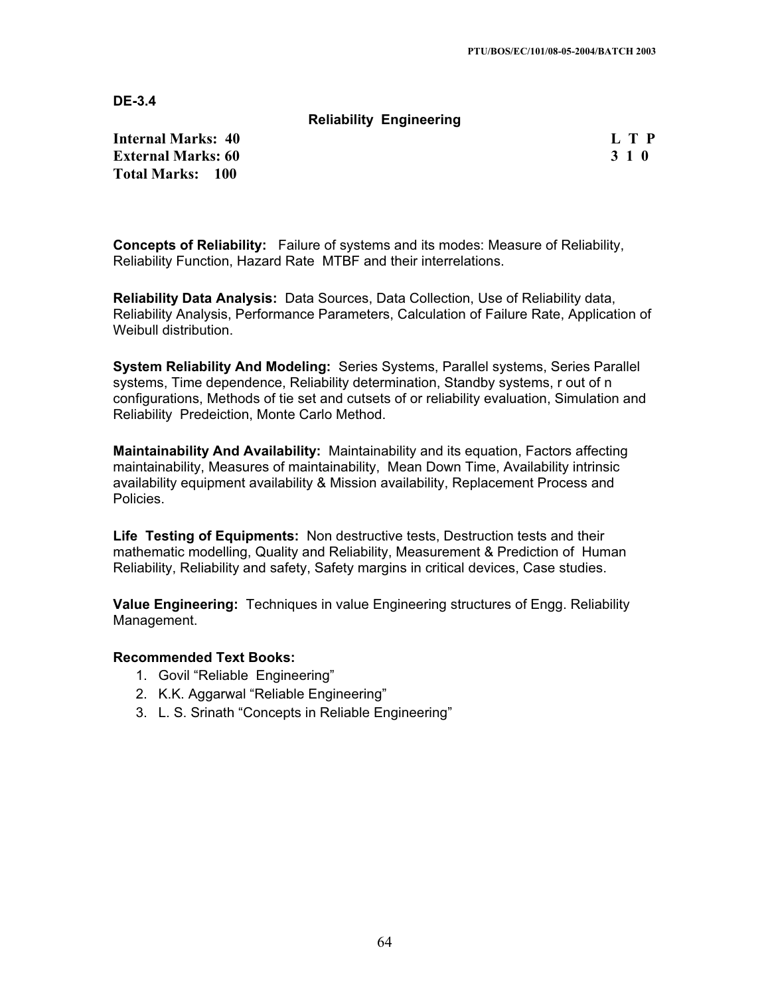**DE-3.4**

**Reliability Engineering** 

**Internal Marks: 40 L T P External Marks: 60 3 1 0 3 2 3 3 4 6 3 3 4 6 3 4 4 4 4 5 4 4 5 4 5 4 5 4 5 6 7 6 7 7 8 4 5 6 7 7 8 7 7 8 7 8 7 7 8 7 8 7 7 8 7 7 8 7 7 8 7 7 8 7 7 8 7 7 8 7 7 8 7 7 8 7 7 8 7 7 8 7 7 8 7 7 8 7 7 8 7 7 8 7 7 8 7 7 8 7 7 8 Total Marks: 100**

**Concepts of Reliability:** Failure of systems and its modes: Measure of Reliability, Reliability Function, Hazard Rate MTBF and their interrelations.

**Reliability Data Analysis:** Data Sources, Data Collection, Use of Reliability data, Reliability Analysis, Performance Parameters, Calculation of Failure Rate, Application of Weibull distribution.

**System Reliability And Modeling:** Series Systems, Parallel systems, Series Parallel systems, Time dependence, Reliability determination, Standby systems, r out of n configurations, Methods of tie set and cutsets of or reliability evaluation, Simulation and Reliability Predeiction, Monte Carlo Method.

**Maintainability And Availability:** Maintainability and its equation, Factors affecting maintainability, Measures of maintainability, Mean Down Time, Availability intrinsic availability equipment availability & Mission availability, Replacement Process and Policies.

**Life Testing of Equipments:** Non destructive tests, Destruction tests and their mathematic modelling, Quality and Reliability, Measurement & Prediction of Human Reliability, Reliability and safety, Safety margins in critical devices, Case studies.

**Value Engineering:** Techniques in value Engineering structures of Engg. Reliability Management.

- 1. Govil "Reliable Engineering"
- 2. K.K. Aggarwal "Reliable Engineering"
- 3. L. S. Srinath "Concepts in Reliable Engineering"